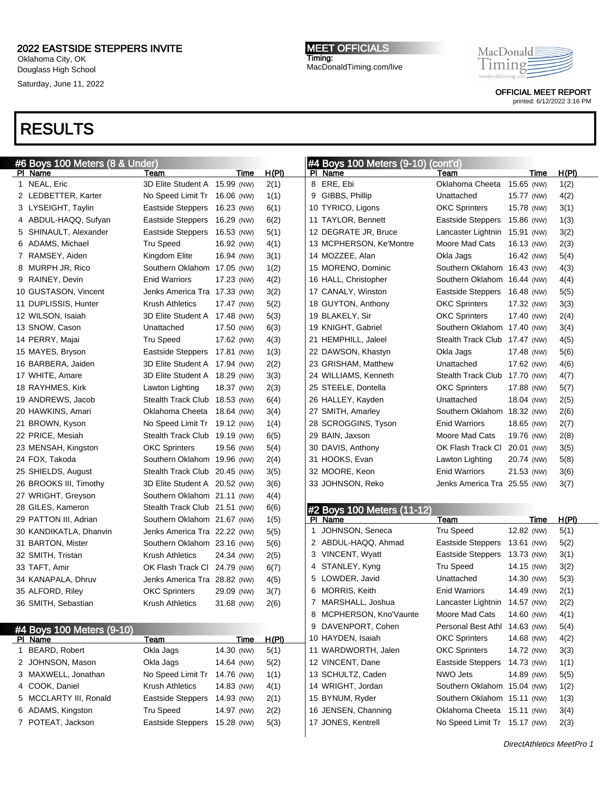6 ADAMS, Kingston Tru Speed 14.97 (NW) 2(2) POTEAT, Jackson Eastside Steppers 15.28 (NW) 5(3)

Oklahoma City, OK Douglass High School

Saturday, June 11, 2022

MEET OFFICIALS Timing: MacDonaldTiming.com/live

MacDonald Timing:

> OFFICIAL MEET REPORT printed: 6/12/2022 3:16 PM

### RESULTS

|   | #6 Boys 100 Meters (8 & Under)       |                               |             |              | #4 Boys 100 Meters (9-10)  | (cont'd)                      |            |       |
|---|--------------------------------------|-------------------------------|-------------|--------------|----------------------------|-------------------------------|------------|-------|
|   | PI Name                              | Team                          | Time        | <u>H(PI)</u> | PI Name                    | Team                          | Time       | H(PI) |
|   | 1 NEAL, Eric                         | 3D Elite Student A 15.99 (NW) |             | 2(1)         | 8 ERE, Ebi                 | Oklahoma Cheeta               | 15.65 (NW) | 1(2)  |
|   | 2 LEDBETTER, Karter                  | No Speed Limit Tr 16.06 (NW)  |             | 1(1)         | 9 GIBBS, Phillip           | Unattached                    | 15.77 (NW) | 4(2)  |
|   | 3 LYSEIGHT, Taylin                   | Eastside Steppers 16.23 (NW)  |             | 6(1)         | 10 TYRICO, Ligons          | <b>OKC Sprinters</b>          | 15.78 (NW) | 3(1)  |
|   | 4 ABDUL-HAQQ, Sufyan                 | Eastside Steppers 16.29 (NW)  |             | 6(2)         | 11 TAYLOR, Bennett         | Eastside Steppers 15.86 (NW)  |            | 1(3)  |
|   | 5 SHINAULT, Alexander                | <b>Eastside Steppers</b>      | 16.53 (NW)  | 5(1)         | 12 DEGRATE JR, Bruce       | Lancaster Lightnin 15.91 (NW) |            | 3(2)  |
|   | 6 ADAMS, Michael                     | <b>Tru Speed</b>              | 16.92 (NW)  | 4(1)         | 13 MCPHERSON, Ke'Montre    | Moore Mad Cats                | 16.13 (NW) | 2(3)  |
|   | 7 RAMSEY, Aiden                      | Kingdom Elite                 | 16.94 (NW)  | 3(1)         | 14 MOZZEE, Alan            | Okla Jags                     | 16.42 (NW) | 5(4)  |
|   | 8 MURPH JR, Rico                     | Southern Oklahom 17.05 (NW)   |             | 1(2)         | 15 MORENO, Dominic         | Southern Oklahom 16.43 (NW)   |            | 4(3)  |
|   | 9 RAINEY, Devin                      | <b>Enid Warriors</b>          | 17.23 (NW)  | 4(2)         | 16 HALL, Christopher       | Southern Oklahom 16.44 (NW)   |            | 4(4)  |
|   | 10 GUSTASON, Vincent                 | Jenks America Tra 17.33 (NW)  |             | 3(2)         | 17 CANALY, Winston         | Eastside Steppers 16.48 (NW)  |            | 5(5)  |
|   | 11 DUPLISSIS, Hunter                 | Krush Athletics               | 17.47 (NW)  | 5(2)         | 18 GUYTON, Anthony         | <b>OKC Sprinters</b>          | 17.32 (NW) | 3(3)  |
|   | 12 WILSON, Isaiah                    | 3D Elite Student A 17.48 (NW) |             | 5(3)         | 19 BLAKELY, Sir            | <b>OKC Sprinters</b>          | 17.40 (NW) | 2(4)  |
|   | 13 SNOW, Cason                       | Unattached                    | 17.50 (NW)  | 6(3)         | 19 KNIGHT, Gabriel         | Southern Oklahom 17.40 (NW)   |            | 3(4)  |
|   | 14 PERRY, Majai                      | Tru Speed                     | 17.62 (NW)  | 4(3)         | 21 HEMPHILL, Jaleel        | Stealth Track Club 17.47 (NW) |            | 4(5)  |
|   | 15 MAYES, Bryson                     | Eastside Steppers 17.81 (NW)  |             | 1(3)         | 22 DAWSON, Khastyn         | Okla Jags                     | 17.48 (NW) | 5(6)  |
|   | 16 BARBERA, Jaiden                   | 3D Elite Student A 17.94 (NW) |             | 2(2)         | 23 GRISHAM, Matthew        | Unattached                    | 17.62 (NW) | 4(6)  |
|   | 17 WHITE, Amare                      | 3D Elite Student A 18.29 (NW) |             | 3(3)         | 24 WILLIAMS, Kenneth       | Stealth Track Club 17.70 (NW) |            | 4(7)  |
|   | 18 RAYHMES, Kirk                     | Lawton Lighting               | 18.37 (NW)  | 2(3)         | 25 STEELE, Dontella        | <b>OKC Sprinters</b>          | 17.88 (NW) | 5(7)  |
|   | 19 ANDREWS, Jacob                    | Stealth Track Club 18.53 (NW) |             | 6(4)         | 26 HALLEY, Kayden          | Unattached                    | 18.04 (NW) | 2(5)  |
|   | 20 HAWKINS, Amari                    | Oklahoma Cheeta               | 18.64 (NW)  | 3(4)         | 27 SMITH, Amarley          | Southern Oklahom 18.32 (NW)   |            | 2(6)  |
|   | 21 BROWN, Kyson                      | No Speed Limit Tr 19.12 (NW)  |             | 1(4)         | 28 SCROGGINS, Tyson        | <b>Enid Warriors</b>          | 18.65 (NW) | 2(7)  |
|   | 22 PRICE, Mesiah                     | Stealth Track Club 19.19 (NW) |             | 6(5)         | 29 BAIN, Jaxson            | Moore Mad Cats                | 19.76 (NW) | 2(8)  |
|   | 23 MENSAH, Kingston                  | <b>OKC Sprinters</b>          | 19.56 (NW)  | 5(4)         | 30 DAVIS, Anthony          | OK Flash Track Cl 20.01 (NW)  |            | 3(5)  |
|   | 24 FOX, Takoda                       | Southern Oklahom 19.96 (NW)   |             | 2(4)         | 31 HOOKS, Evan             | Lawton Lighting               | 20.74 (NW) | 5(8)  |
|   | 25 SHIELDS, August                   | Stealth Track Club 20.45 (NW) |             | 3(5)         | 32 MOORE, Keon             | <b>Enid Warriors</b>          | 21.53 (NW) | 3(6)  |
|   | 26 BROOKS III, Timothy               | 3D Elite Student A 20.52 (NW) |             | 3(6)         | 33 JOHNSON, Reko           | Jenks America Tra 25.55 (NW)  |            | 3(7)  |
|   | 27 WRIGHT, Greyson                   | Southern Oklahom 21.11 (NW)   |             | 4(4)         |                            |                               |            |       |
|   | 28 GILES, Kameron                    | Stealth Track Club 21.51 (NW) |             | 6(6)         | #2 Boys 100 Meters (11-12) |                               |            |       |
|   | 29 PATTON III, Adrian                | Southern Oklahom 21.67 (NW)   |             | 1(5)         | PI Name                    | Team                          | Time       | H(PI) |
|   | 30 KANDIKATLA, Dhanvin               | Jenks America Tra 22.22 (NW)  |             | 5(5)         | 1 JOHNSON, Seneca          | <b>Tru Speed</b>              | 12.82 (NW) | 5(1)  |
|   | 31 BARTON, Mister                    | Southern Oklahom 23.16 (NW)   |             | 5(6)         | 2 ABDUL-HAQQ, Ahmad        | Eastside Steppers 13.61 (NW)  |            | 5(2)  |
|   | 32 SMITH, Tristan                    | Krush Athletics               | 24.34 (NW)  | 2(5)         | 3 VINCENT, Wyatt           | Eastside Steppers 13.73 (NW)  |            | 3(1)  |
|   | 33 TAFT, Amir                        | OK Flash Track Cl 24.79 (NW)  |             | 6(7)         | 4 STANLEY, Kyng            | <b>Tru Speed</b>              | 14.15 (NW) | 3(2)  |
|   | 34 KANAPALA, Dhruv                   | Jenks America Tra 28.82 (NW)  |             | 4(5)         | 5 LOWDER, Javid            | Unattached                    | 14.30 (NW) | 5(3)  |
|   | 35 ALFORD, Riley                     | <b>OKC Sprinters</b>          | 29.09 (NW)  | 3(7)         | 6 MORRIS, Keith            | <b>Enid Warriors</b>          | 14.49 (NW) | 2(1)  |
|   | 36 SMITH, Sebastian                  | Krush Athletics               | 31.68 (NW)  | 2(6)         | 7 MARSHALL, Joshua         | Lancaster Lightnin 14.57 (NW) |            | 2(2)  |
|   |                                      |                               |             |              | 8 MCPHERSON, Kno'Vaunte    | Moore Mad Cats                | 14.60 (NW) | 4(1)  |
|   |                                      |                               |             |              | 9 DAVENPORT, Cohen         | Personal Best Athl 14.63 (NW) |            | 5(4)  |
|   | #4 Boys 100 Meters (9-10)<br>PI Name | Team                          | <b>Time</b> | <u>H(PI)</u> | 10 HAYDEN, Isaiah          | <b>OKC Sprinters</b>          | 14.68 (NW) | 4(2)  |
| 1 | BEARD, Robert                        | Okla Jags                     | 14.30 (NW)  | 5(1)         | 11 WARDWORTH, Jalen        | <b>OKC Sprinters</b>          | 14.72 (NW) | 3(3)  |
|   | 2 JOHNSON, Mason                     | Okla Jags                     | 14.64 (NW)  | 5(2)         | 12 VINCENT, Dane           | Eastside Steppers             | 14.73 (NW) | 1(1)  |
|   | 3 MAXWELL, Jonathan                  | No Speed Limit Tr             | 14.76 (NW)  | 1(1)         | 13 SCHULTZ, Caden          | NWO Jets                      | 14.89 (NW) | 5(5)  |
|   | 4 COOK, Daniel                       | <b>Krush Athletics</b>        | 14.83 (NW)  | 4(1)         | 14 WRIGHT, Jordan          | Southern Oklahom 15.04 (NW)   |            | 1(2)  |
|   | 5 MCCLARTY III, Ronald               | Eastside Steppers             | 14.93 (NW)  | 2(1)         | 15 BYNUM, Ryder            | Southern Oklahom 15.11 (NW)   |            | 1(3)  |

DirectAthletics MeetPro 1

 JENSEN, Channing Oklahoma Cheeta 15.11 (NW) 3(4) JONES, Kentrell No Speed Limit Tr 15.17 (NW) 2(3)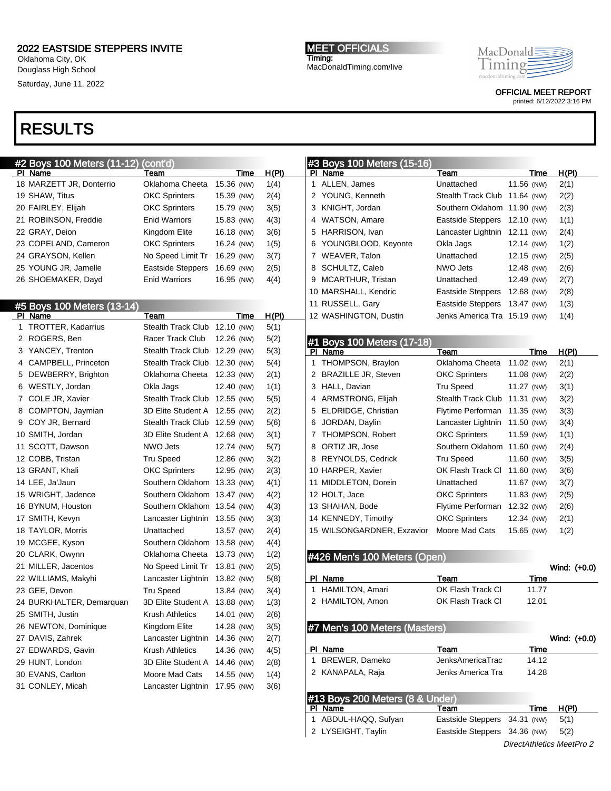Oklahoma City, OK Douglass High School

Saturday, June 11, 2022

#### MEET OFFICIALS Timing: MacDonaldTiming.com/live

OFFICIAL MEET REPORT printed: 6/12/2022 3:16 PM

MacDonald Timing:

RESULTS

### #2 Boys 100 Meters (11-12) (cont'd)

| Name<br>PI.              | Team                     | Time       | H(PI) |
|--------------------------|--------------------------|------------|-------|
| 18 MARZETT JR, Donterrio | Oklahoma Cheeta          | 15.36 (NW) | 1(4)  |
| 19 SHAW, Titus           | <b>OKC Sprinters</b>     | 15.39 (NW) | 2(4)  |
| 20 FAIRLEY, Elijah       | <b>OKC Sprinters</b>     | 15.79 (NW) | 3(5)  |
| 21 ROBINSON, Freddie     | <b>Enid Warriors</b>     | 15.83 (NW) | 4(3)  |
| 22 GRAY, Deion           | Kingdom Elite            | 16.18 (NW) | 3(6)  |
| 23 COPELAND, Cameron     | <b>OKC Sprinters</b>     | 16.24 (NW) | 1(5)  |
| 24 GRAYSON, Kellen       | No Speed Limit Tr        | 16.29 (NW) | 3(7)  |
| 25 YOUNG JR, Jamelle     | <b>Eastside Steppers</b> | 16.69 (NW) | 2(5)  |
| 26 SHOEMAKER, Dayd       | <b>Enid Warriors</b>     | 16.95 (NW) | 4(4)  |

### #5 Boys 100 Meters (13-14)

| PI | Name                      | Team                      | Time       | H(PI) |
|----|---------------------------|---------------------------|------------|-------|
| 1  | <b>TROTTER, Kadarrius</b> | Stealth Track Club        | 12.10 (NW) | 5(1)  |
| 2  | ROGERS, Ben               | Racer Track Club          | 12.26 (NW) | 5(2)  |
| 3  | YANCEY, Trenton           | Stealth Track Club        | 12.29 (NW) | 5(3)  |
| 4  | CAMPBELL, Princeton       | <b>Stealth Track Club</b> | 12.30 (NW) | 5(4)  |
| 5  | DEWBERRY, Brighton        | Oklahoma Cheeta           | 12.33 (NW) | 2(1)  |
| 6  | WESTLY, Jordan            | Okla Jags                 | 12.40 (NW) | 1(1)  |
| 7  | COLE JR, Xavier           | <b>Stealth Track Club</b> | 12.55 (NW) | 5(5)  |
| 8  | COMPTON, Jaymian          | 3D Elite Student A        | 12.55 (NW) | 2(2)  |
| 9  | COY JR, Bernard           | <b>Stealth Track Club</b> | 12.59 (NW) | 5(6)  |
|    | 10 SMITH, Jordan          | 3D Elite Student A        | 12.68 (NW) | 3(1)  |
|    | 11 SCOTT, Dawson          | NWO Jets                  | 12.74 (NW) | 5(7)  |
|    | 12 COBB, Tristan          | Tru Speed                 | 12.86 (NW) | 3(2)  |
|    | 13 GRANT, Khali           | <b>OKC Sprinters</b>      | 12.95 (NW) | 2(3)  |
|    | 14 LEE, Ja'Jaun           | Southern Oklahom          | 13.33 (NW) | 4(1)  |
|    | 15 WRIGHT, Jadence        | Southern Oklahom          | 13.47 (NW) | 4(2)  |
|    | 16 BYNUM, Houston         | Southern Oklahom          | 13.54 (NW) | 4(3)  |
|    | 17 SMITH, Kevyn           | Lancaster Lightnin        | 13.55 (NW) | 3(3)  |
|    | 18 TAYLOR, Morris         | Unattached                | 13.57 (NW) | 2(4)  |
|    | 19 MCGEE, Kyson           | Southern Oklahom          | 13.58 (NW) | 4(4)  |
|    | 20 CLARK, Owynn           | Oklahoma Cheeta           | 13.73 (NW) | 1(2)  |
|    | 21 MILLER, Jacentos       | No Speed Limit Tr         | 13.81 (NW) | 2(5)  |
|    | 22 WILLIAMS, Makyhi       | Lancaster Lightnin        | 13.82 (NW) | 5(8)  |
|    | 23 GEE, Devon             | Tru Speed                 | 13.84 (NW) | 3(4)  |
|    | 24 BURKHALTER, Demarquan  | 3D Elite Student A        | 13.88 (NW) | 1(3)  |
|    | 25 SMITH, Justin          | <b>Krush Athletics</b>    | 14.01 (NW) | 2(6)  |
|    | 26 NEWTON, Dominique      | Kingdom Elite             | 14.28 (NW) | 3(5)  |
|    | 27 DAVIS, Zahrek          | Lancaster Lightnin        | 14.36 (NW) | 2(7)  |
|    | 27 EDWARDS, Gavin         | <b>Krush Athletics</b>    | 14.36 (NW) | 4(5)  |
|    | 29 HUNT, London           | 3D Elite Student A        | 14.46 (NW) | 2(8)  |
|    | 30 EVANS, Carlton         | Moore Mad Cats            | 14.55 (NW) | 1(4)  |
|    | 31 CONLEY, Micah          | Lancaster Lightnin        | 17.95 (NW) | 3(6)  |
|    |                           |                           |            |       |

### #3 Boys 100 Meters (15-16)

|   | PI Name               | Team                          | Time       | H(PI) |
|---|-----------------------|-------------------------------|------------|-------|
|   | 1 ALLEN, James        | Unattached                    | 11.56 (NW) | 2(1)  |
|   | 2 YOUNG, Kenneth      | Stealth Track Club 11.64 (NW) |            | 2(2)  |
|   | 3 KNIGHT, Jordan      | Southern Oklahom 11.90 (NW)   |            | 2(3)  |
| 4 | WATSON, Amare         | Eastside Steppers             | 12.10 (NW) | 1(1)  |
|   | 5 HARRISON, Ivan      | Lancaster Lightnin            | 12.11 (NW) | 2(4)  |
|   | 6 YOUNGBLOOD, Keyonte | Okla Jags                     | 12.14 (NW) | 1(2)  |
|   | 7 WEAVER, Talon       | Unattached                    | 12.15 (NW) | 2(5)  |
|   | 8 SCHULTZ, Caleb      | NWO Jets                      | 12.48 (NW) | 2(6)  |
|   | 9 MCARTHUR, Tristan   | Unattached                    | 12.49 (NW) | 2(7)  |
|   | 10 MARSHALL, Kendric  | Eastside Steppers             | 12.68 (NW) | 2(8)  |
|   | 11 RUSSELL, Gary      | Eastside Steppers             | 13.47 (NW) | 1(3)  |
|   | 12 WASHINGTON, Dustin | Jenks America Tra 15.19 (NW)  |            | 1(4)  |
|   |                       |                               |            |       |

### #1 Boys 100 Meters (17-18)

| PI | Name                       | Team                      | <b>Time</b> | H(PI) |
|----|----------------------------|---------------------------|-------------|-------|
| 1  | THOMPSON, Braylon          | Oklahoma Cheeta           | 11.02 (NW)  | 2(1)  |
| 2  | <b>BRAZILLE JR, Steven</b> | <b>OKC Sprinters</b>      | 11.08 (NW)  | 2(2)  |
| 3  | HALL, Davian               | Tru Speed                 | 11.27 (NW)  | 3(1)  |
| 4  | ARMSTRONG, Elijah          | <b>Stealth Track Club</b> | 11.31 (NW)  | 3(2)  |
| 5  | ELDRIDGE, Christian        | Flytime Performan         | 11.35 (NW)  | 3(3)  |
| 6  | JORDAN, Daylin             | Lancaster Lightnin        | 11.50 (NW)  | 3(4)  |
| 7  | THOMPSON, Robert           | <b>OKC Sprinters</b>      | 11.59 (NW)  | 1(1)  |
| 8  | ORTIZ JR, Jose             | Southern Oklahom          | 11.60 (NW)  | 2(4)  |
| 8  | REYNOLDS, Cedrick          | <b>Tru Speed</b>          | 11.60 (NW)  | 3(5)  |
|    | 10 HARPER, Xavier          | OK Flash Track Cl         | 11.60 (NW)  | 3(6)  |
|    | 11 MIDDLETON, Dorein       | Unattached                | 11.67 (NW)  | 3(7)  |
|    | 12 HOLT, Jace              | <b>OKC Sprinters</b>      | 11.83 (NW)  | 2(5)  |
|    | 13 SHAHAN, Bode            | Flytime Performan         | 12.32 (NW)  | 2(6)  |
|    | 14 KENNEDY, Timothy        | <b>OKC Sprinters</b>      | 12.34 (NW)  | 2(1)  |
|    | 15 WILSONGARDNER, Exzavior | Moore Mad Cats            | 15.65 (NW)  | 1(2)  |

### #426 Men's 100 Meters (Open)

|                   |                   | Wind: $(+0.0)$ |
|-------------------|-------------------|----------------|
| Name              | Team              | Time           |
| 1 HAMILTON, Amari | OK Flash Track CI | 11.77          |
| 2 HAMILTON, Amon  | OK Flash Track Cl | 12.01          |
|                   |                   |                |

### #7 Men's 100 Meters (Masters)

|                                                         |                              |       | Wind: (+0.0)         |  |
|---------------------------------------------------------|------------------------------|-------|----------------------|--|
| Name                                                    | Team                         | Time  |                      |  |
| BREWER, Dameko                                          | <b>JenksAmericaTrac</b>      | 14.12 |                      |  |
| 2 KANAPALA, Raja                                        | Jenks America Tra            | 14.28 |                      |  |
|                                                         |                              |       |                      |  |
| #13 Boys 200 Meters (8 & Under)                         |                              |       |                      |  |
| Name                                                    | Team                         | Time  | H(PI)                |  |
| ABDUL-HAQQ, Sufyan                                      | Eastside Steppers 34.31 (NW) |       | 5(1)                 |  |
| $\sim$ $\sim$ $\sim$ $\sim$ $\sim$ $\sim$ $\sim$ $\sim$ |                              |       | $\sim$ $\sim$ $\sim$ |  |

 LYSEIGHT, Taylin Eastside Steppers 34.36 (NW) 5(2) DirectAthletics MeetPro 2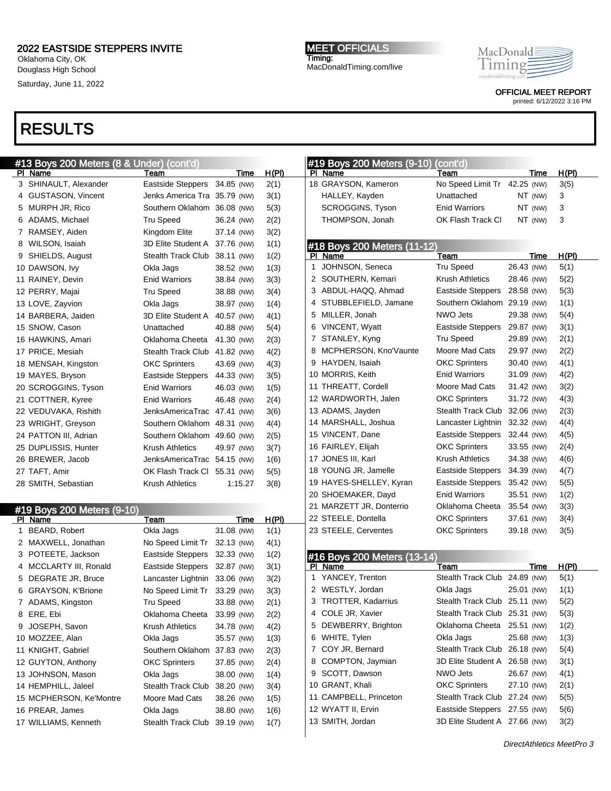Oklahoma City, OK Douglass High School Saturday, June 11, 2022

MEET OFFICIALS

MacDonaldTiming.com/live

Timing:

OFFICIAL MEET REPORT

MacDonald Timing

printed: 6/12/2022 3:16 PM

| <u>#13 Boys 200 Meters (8 &amp; Under) (contˈd</u> ) |                               |            |       |   | #19 Boys 200 Meters (9-10)             | <u>(cont'd)</u>               |            |         |       |
|------------------------------------------------------|-------------------------------|------------|-------|---|----------------------------------------|-------------------------------|------------|---------|-------|
| PI Name                                              | Team                          | Time       | H(PI) |   | PI Name                                | Team                          |            | Time    | H(PI) |
| 3 SHINAULT, Alexander                                | Eastside Steppers 34.85 (NW)  |            | 2(1)  |   | 18 GRAYSON, Kameron                    | No Speed Limit Tr 42.25 (NW)  |            |         | 3(5)  |
| 4 GUSTASON, Vincent                                  | Jenks America Tra 35.79 (NW)  |            | 3(1)  |   | HALLEY, Kayden                         | Unattached                    |            | NT (NW) | 3     |
| 5 MURPH JR, Rico                                     | Southern Oklahom 36.08 (NW)   |            | 5(3)  |   | <b>SCROGGINS, Tyson</b>                | <b>Enid Warriors</b>          |            | NT (NW) | 3     |
| 6 ADAMS, Michael                                     | <b>Tru Speed</b>              | 36.24 (NW) | 2(2)  |   | THOMPSON, Jonah                        | OK Flash Track CI             |            | NT (NW) | 3     |
| 7 RAMSEY, Aiden                                      | Kingdom Elite                 | 37.14 (NW) | 3(2)  |   |                                        |                               |            |         |       |
| 8 WILSON, Isaiah                                     | 3D Elite Student A 37.76 (NW) |            | 1(1)  |   | #18 Boys 200 Meters (11-12)            |                               |            |         |       |
| 9 SHIELDS, August                                    | Stealth Track Club 38.11 (NW) |            | 1(2)  |   | PI Name                                | Team                          |            | Time    | H(PI) |
| 10 DAWSON, Ivy                                       | Okla Jags                     | 38.52 (NW) | 1(3)  |   | 1 JOHNSON, Seneca                      | <b>Tru Speed</b>              | 26.43 (NW) |         | 5(1)  |
| 11 RAINEY, Devin                                     | <b>Enid Warriors</b>          | 38.84 (NW) | 3(3)  |   | 2 SOUTHERN, Kemari                     | Krush Athletics               | 28.46 (NW) |         | 5(2)  |
| 12 PERRY, Majai                                      | <b>Tru Speed</b>              | 38.88 (NW) | 3(4)  |   | 3 ABDUL-HAQQ, Ahmad                    | Eastside Steppers 28.58 (NW)  |            |         | 5(3)  |
| 13 LOVE, Zayvion                                     | Okla Jags                     | 38.97 (NW) | 1(4)  |   | 4 STUBBLEFIELD, Jamane                 | Southern Oklahom 29.19 (NW)   |            |         | 1(1)  |
| 14 BARBERA, Jaiden                                   | 3D Elite Student A            | 40.57 (NW) | 4(1)  |   | 5 MILLER, Jonah                        | <b>NWO Jets</b>               | 29.38 (NW) |         | 5(4)  |
| 15 SNOW, Cason                                       | Unattached                    | 40.88 (NW) | 5(4)  |   | 6 VINCENT, Wyatt                       | Eastside Steppers 29.87 (NW)  |            |         | 3(1)  |
| 16 HAWKINS, Amari                                    | Oklahoma Cheeta               | 41.30 (NW) | 2(3)  |   | 7 STANLEY, Kyng                        | <b>Tru Speed</b>              | 29.89 (NW) |         | 2(1)  |
| 17 PRICE, Mesiah                                     | Stealth Track Club            | 41.82 (NW) | 4(2)  |   | 8 MCPHERSON, Kno'Vaunte                | Moore Mad Cats                | 29.97 (NW) |         | 2(2)  |
| 18 MENSAH, Kingston                                  | <b>OKC Sprinters</b>          | 43.69 (NW) | 4(3)  |   | 9 HAYDEN, Isaiah                       | <b>OKC Sprinters</b>          | 30.40 (NW) |         | 4(1)  |
| 19 MAYES, Bryson                                     | Eastside Steppers             | 44.33 (NW) | 3(5)  |   | 10 MORRIS, Keith                       | <b>Enid Warriors</b>          | 31.09 (NW) |         | 4(2)  |
| 20 SCROGGINS, Tyson                                  | <b>Enid Warriors</b>          | 46.03 (NW) | 1(5)  |   | 11 THREATT, Cordell                    | Moore Mad Cats                | 31.42 (NW) |         | 3(2)  |
| 21 COTTNER, Kyree                                    | <b>Enid Warriors</b>          | 46.48 (NW) | 2(4)  |   | 12 WARDWORTH, Jalen                    | <b>OKC Sprinters</b>          | 31.72 (NW) |         | 4(3)  |
| 22 VEDUVAKA, Rishith                                 | JenksAmericaTrac 47.41 (NW)   |            | 3(6)  |   | 13 ADAMS, Jayden                       | Stealth Track Club 32.06 (NW) |            |         | 2(3)  |
| 23 WRIGHT, Greyson                                   | Southern Oklahom 48.31 (NW)   |            | 4(4)  |   | 14 MARSHALL, Joshua                    | Lancaster Lightnin 32.32 (NW) |            |         | 4(4)  |
| 24 PATTON III, Adrian                                | Southern Oklahom 49.60 (NW)   |            | 2(5)  |   | 15 VINCENT, Dane                       | Eastside Steppers 32.44 (NW)  |            |         | 4(5)  |
| 25 DUPLISSIS, Hunter                                 | Krush Athletics               | 49.97 (NW) | 3(7)  |   | 16 FAIRLEY, Elijah                     | <b>OKC Sprinters</b>          | 33.55 (NW) |         | 2(4)  |
| 26 BREWER, Jacob                                     | JenksAmericaTrac 54.15 (NW)   |            | 1(6)  |   | 17 JONES III, Karl                     | Krush Athletics               | 34.38 (NW) |         | 4(6)  |
| 27 TAFT, Amir                                        | OK Flash Track CI 55.31 (NW)  |            | 5(5)  |   | 18 YOUNG JR, Jamelle                   | Eastside Steppers 34.39 (NW)  |            |         | 4(7)  |
| 28 SMITH, Sebastian                                  | Krush Athletics               | 1:15.27    | 3(8)  |   | 19 HAYES-SHELLEY, Kyran                | Eastside Steppers 35.42 (NW)  |            |         | 5(5)  |
|                                                      |                               |            |       |   | 20 SHOEMAKER, Dayd                     | <b>Enid Warriors</b>          | 35.51 (NW) |         | 1(2)  |
|                                                      |                               |            |       |   | 21 MARZETT JR, Donterrio               | Oklahoma Cheeta 35.54 (NW)    |            |         | 3(3)  |
| #19 Boys 200 Meters (9-10)<br>PI Name                | Team                          | Time       | H(PI) |   | 22 STEELE, Dontella                    | <b>OKC Sprinters</b>          | 37.61 (NW) |         | 3(4)  |
| 1 BEARD, Robert                                      | Okla Jags                     | 31.08 (NW) | 1(1)  |   | 23 STEELE, Cerventes                   | <b>OKC Sprinters</b>          | 39.18 (NW) |         | 3(5)  |
| 2 MAXWELL, Jonathan                                  | No Speed Limit Tr 32.13 (NW)  |            | 4(1)  |   |                                        |                               |            |         |       |
| 3 POTEETE, Jackson                                   | Eastside Steppers 32.33 (NW)  |            | 1(2)  |   |                                        |                               |            |         |       |
| 4 MCCLARTY III, Ronald                               | Eastside Steppers 32.87 (NW)  |            | 3(1)  |   | #16 Boys 200 Meters (13-14)<br>PI Name | Team                          |            | Time    | H(PI) |
| 5 DEGRATE JR, Bruce                                  | Lancaster Lightnin 33.06 (NW) |            | 3(2)  |   | 1 YANCEY, Trenton                      | Stealth Track Club 24.89 (NW) |            |         | 5(1)  |
| 6 GRAYSON, K'Brione                                  | No Speed Limit Tr 33.29 (NW)  |            | 3(3)  |   | 2 WESTLY, Jordan                       | Okla Jags                     | 25.01 (NW) |         | 1(1)  |
| 7 ADAMS, Kingston                                    | <b>Tru Speed</b>              | 33.88 (NW) | 2(1)  |   | 3 TROTTER, Kadarrius                   | Stealth Track Club 25.11 (NW) |            |         | 5(2)  |
| 8 ERE, Ebi                                           | Oklahoma Cheeta               | 33.99 (NW) | 2(2)  |   | 4 COLE JR, Xavier                      | Stealth Track Club 25.31 (NW) |            |         | 5(3)  |
| 9 JOSEPH, Savon                                      | <b>Krush Athletics</b>        | 34.78 (NW) |       |   | 5 DEWBERRY, Brighton                   | Oklahoma Cheeta               | 25.51 (NW) |         | 1(2)  |
|                                                      |                               |            | 4(2)  |   | 6 WHITE, Tylen                         | Okla Jags                     | 25.68 (NW) |         | 1(3)  |
| 10 MOZZEE, Alan                                      | Okla Jags                     | 35.57 (NW) | 1(3)  |   | 7 COY JR, Bernard                      | Stealth Track Club 26.18 (NW) |            |         | 5(4)  |
| 11 KNIGHT, Gabriel                                   | Southern Oklahom              | 37.83 (NW) | 2(3)  | 8 | COMPTON, Jaymian                       | 3D Elite Student A 26.58 (NW) |            |         |       |
| 12 GUYTON, Anthony                                   | <b>OKC Sprinters</b>          | 37.85 (NW) | 2(4)  |   |                                        | NWO Jets                      |            |         | 3(1)  |
| 13 JOHNSON, Mason                                    | Okla Jags                     | 38.00 (NW) | 1(4)  | 9 | SCOTT, Dawson                          |                               | 26.67 (NW) |         | 4(1)  |
| 14 HEMPHILL, Jaleel                                  | Stealth Track Club            | 38.20 (NW) | 3(4)  |   | 10 GRANT, Khali                        | <b>OKC Sprinters</b>          | 27.10 (NW) |         | 2(1)  |
| 15 MCPHERSON, Ke'Montre                              | Moore Mad Cats                | 38.26 (NW) | 1(5)  |   | 11 CAMPBELL, Princeton                 | Stealth Track Club 27.24 (NW) |            |         | 5(5)  |
| 16 PREAR, James                                      | Okla Jags                     | 38.80 (NW) | 1(6)  |   | 12 WYATT II, Ervin                     | Eastside Steppers 27.55 (NW)  |            |         | 5(6)  |
| 17 WILLIAMS, Kenneth                                 | Stealth Track Club 39.19 (NW) |            | 1(7)  |   | 13 SMITH, Jordan                       | 3D Elite Student A 27.66 (NW) |            |         | 3(2)  |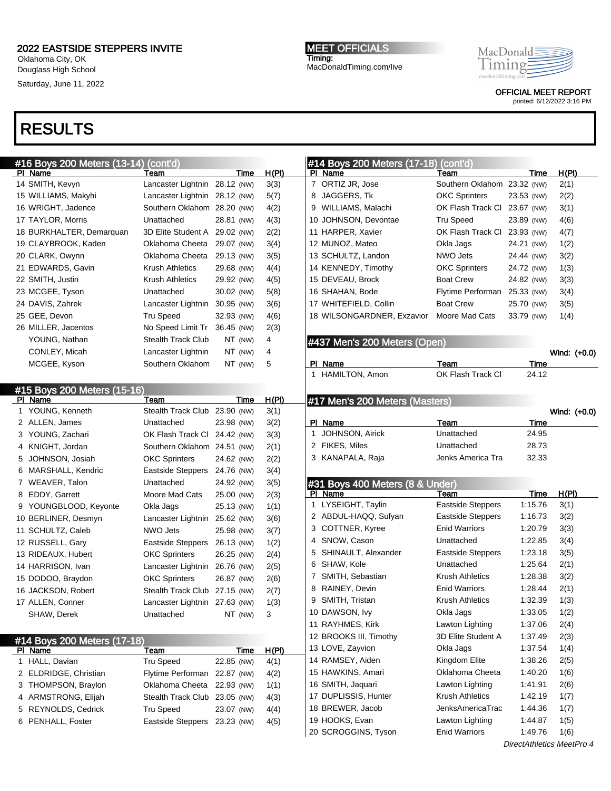Oklahoma City, OK Douglass High School

Saturday, June 11, 2022

MEET OFFICIALS Timing: MacDonaldTiming.com/live MacDonald macdonaldtim

> OFFICIAL MEET REPORT printed: 6/12/2022 3:16 PM

| #16 Boys 200 Meters (13-14) | (cont'd)                      |            |              | #14 Boys 200 Meters (17-18)     | (cont'd)                     |            |                           |
|-----------------------------|-------------------------------|------------|--------------|---------------------------------|------------------------------|------------|---------------------------|
| PI Name                     | Team                          | Time       | <u>H(PI)</u> | PI Name                         | Team                         | Time       | H(PI)                     |
| 14 SMITH, Kevyn             | Lancaster Lightnin 28.12 (NW) |            | 3(3)         | 7 ORTIZ JR, Jose                | Southern Oklahom 23.32 (NW)  |            | 2(1)                      |
| 15 WILLIAMS, Makyhi         | Lancaster Lightnin 28.12 (NW) |            | 5(7)         | 8 JAGGERS, Tk                   | <b>OKC Sprinters</b>         | 23.53 (NW) | 2(2)                      |
| 16 WRIGHT, Jadence          | Southern Oklahom 28.20 (NW)   |            | 4(2)         | 9 WILLIAMS, Malachi             | OK Flash Track Cl 23.67 (NW) |            | 3(1)                      |
| 17 TAYLOR, Morris           | Unattached                    | 28.81 (NW) | 4(3)         | 10 JOHNSON, Devontae            | <b>Tru Speed</b>             | 23.89 (NW) | 4(6)                      |
| 18 BURKHALTER, Demarquan    | 3D Elite Student A 29.02 (NW) |            | 2(2)         | 11 HARPER, Xavier               | OK Flash Track CI 23.93 (NW) |            | 4(7)                      |
| 19 CLAYBROOK, Kaden         | Oklahoma Cheeta               | 29.07 (NW) | 3(4)         | 12 MUNOZ, Mateo                 | Okla Jags                    | 24.21 (NW) | 1(2)                      |
| 20 CLARK, Owynn             | Oklahoma Cheeta               | 29.13 (NW) | 3(5)         | 13 SCHULTZ, Landon              | NWO Jets                     | 24.44 (NW) | 3(2)                      |
| 21 EDWARDS, Gavin           | Krush Athletics               | 29.68 (NW) | 4(4)         | 14 KENNEDY, Timothy             | <b>OKC Sprinters</b>         | 24.72 (NW) | 1(3)                      |
| 22 SMITH, Justin            | Krush Athletics               | 29.92 (NW) | 4(5)         | 15 DEVEAU, Brock                | <b>Boat Crew</b>             | 24.82 (NW) | 3(3)                      |
| 23 MCGEE, Tyson             | Unattached                    | 30.02 (NW) | 5(8)         | 16 SHAHAN, Bode                 | Flytime Performan            | 25.33 (NW) | 3(4)                      |
| 24 DAVIS, Zahrek            | Lancaster Lightnin 30.95 (NW) |            | 3(6)         | 17 WHITEFIELD, Collin           | <b>Boat Crew</b>             | 25.70 (NW) | 3(5)                      |
| 25 GEE, Devon               | Tru Speed                     | 32.93 (NW) | 4(6)         | 18 WILSONGARDNER, Exzavior      | Moore Mad Cats               | 33.79 (NW) | 1(4)                      |
| 26 MILLER, Jacentos         | No Speed Limit Tr 36.45 (NW)  |            | 2(3)         |                                 |                              |            |                           |
| YOUNG, Nathan               | Stealth Track Club            | NT (NW)    | 4            | #437 Men's 200 Meters (Open)    |                              |            |                           |
| CONLEY, Micah               | Lancaster Lightnin            | NT (NW)    | 4            |                                 |                              |            | Wind: (+0.0)              |
| MCGEE, Kyson                | Southern Oklahom              | NT (NW)    | 5            | PI Name                         | Team                         | Time       |                           |
|                             |                               |            |              | 1 HAMILTON, Amon                | OK Flash Track Cl            | 24.12      |                           |
| #15 Boys 200 Meters (15-16) |                               |            |              |                                 |                              |            |                           |
| PI Name                     | Team                          | Time       | H(PI)        | #17 Men's 200 Meters (Masters)  |                              |            |                           |
| 1 YOUNG, Kenneth            | Stealth Track Club 23.90 (NW) |            | 3(1)         |                                 |                              |            | Wind: (+0.0)              |
| 2 ALLEN, James              | Unattached                    | 23.98 (NW) | 3(2)         | PI Name                         | Team                         | Time       |                           |
| 3 YOUNG, Zachari            | OK Flash Track Cl 24.42 (NW)  |            | 3(3)         | 1 JOHNSON, Airick               | Unattached                   | 24.95      |                           |
| 4 KNIGHT, Jordan            | Southern Oklahom 24.51 (NW)   |            | 2(1)         | 2 FIKES, Miles                  | Unattached                   | 28.73      |                           |
| 5 JOHNSON, Josiah           | <b>OKC Sprinters</b>          | 24.62 (NW) | 2(2)         | 3 KANAPALA, Raja                | Jenks America Tra            | 32.33      |                           |
| 6 MARSHALL, Kendric         | Eastside Steppers 24.76 (NW)  |            | 3(4)         |                                 |                              |            |                           |
| 7 WEAVER, Talon             | Unattached                    | 24.92 (NW) | 3(5)         | #31 Boys 400 Meters (8 & Under) |                              |            |                           |
| 8 EDDY, Garrett             | Moore Mad Cats                | 25.00 (NW) | 2(3)         | PI Name                         | Team                         | Time       | H(PI)                     |
| 9 YOUNGBLOOD, Keyonte       | Okla Jags                     | 25.13 (NW) | 1(1)         | 1 LYSEIGHT, Taylin              | <b>Eastside Steppers</b>     | 1:15.76    | 3(1)                      |
| 10 BERLINER, Desmyn         | Lancaster Lightnin 25.62 (NW) |            | 3(6)         | 2 ABDUL-HAQQ, Sufyan            | <b>Eastside Steppers</b>     | 1:16.73    | 3(2)                      |
| 11 SCHULTZ, Caleb           | NWO Jets                      | 25.98 (NW) | 3(7)         | 3 COTTNER, Kyree                | <b>Enid Warriors</b>         | 1:20.79    | 3(3)                      |
| 12 RUSSELL, Gary            | Eastside Steppers 26.13 (NW)  |            | 1(2)         | 4 SNOW, Cason                   | Unattached                   | 1:22.85    | 3(4)                      |
| 13 RIDEAUX, Hubert          | <b>OKC Sprinters</b>          | 26.25 (NW) | 2(4)         | 5 SHINAULT, Alexander           | <b>Eastside Steppers</b>     | 1:23.18    | 3(5)                      |
| 14 HARRISON, Ivan           | Lancaster Lightnin 26.76 (NW) |            | 2(5)         | 6 SHAW, Kole                    | Unattached                   | 1:25.64    | 2(1)                      |
| 15 DODOO, Braydon           | <b>OKC Sprinters</b>          | 26.87 (NW) | 2(6)         | 7 SMITH, Sebastian              | <b>Krush Athletics</b>       | 1:28.38    | 3(2)                      |
| 16 JACKSON, Robert          | Stealth Track Club 27.15 (NW) |            | 2(7)         | 8 RAINEY, Devin                 | <b>Enid Warriors</b>         | 1:28.44    | 2(1)                      |
| 17 ALLEN, Conner            | Lancaster Lightnin 27.63 (NW) |            | 1(3)         | 9 SMITH, Tristan                | <b>Krush Athletics</b>       | 1:32.39    | 1(3)                      |
| SHAW, Derek                 | Unattached                    | NT (NW)    | 3            | 10 DAWSON, Ivy                  | Okla Jags                    | 1:33.05    | 1(2)                      |
|                             |                               |            |              | 11 RAYHMES, Kirk                | Lawton Lighting              | 1:37.06    | 2(4)                      |
| #14 Boys 200 Meters (17-18) |                               |            |              | 12 BROOKS III, Timothy          | 3D Elite Student A           | 1:37.49    | 2(3)                      |
| PI Name                     | Team                          | Time       | H(PI)        | 13 LOVE, Zayvion                | Okla Jags                    | 1:37.54    | 1(4)                      |
| 1 HALL, Davian              | <b>Tru Speed</b>              | 22.85 (NW) | 4(1)         | 14 RAMSEY, Aiden                | Kingdom Elite                | 1:38.26    | 2(5)                      |
| 2 ELDRIDGE, Christian       | Flytime Performan 22.87 (NW)  |            | 4(2)         | 15 HAWKINS, Amari               | Oklahoma Cheeta              | 1:40.20    | 1(6)                      |
| 3 THOMPSON, Braylon         | Oklahoma Cheeta 22.93 (NW)    |            | 1(1)         | 16 SMITH, Jaquari               | Lawton Lighting              | 1:41.91    | 2(6)                      |
| 4 ARMSTRONG, Elijah         | Stealth Track Club 23.05 (NW) |            | 4(3)         | 17 DUPLISSIS, Hunter            | Krush Athletics              | 1:42.19    | 1(7)                      |
| 5 REYNOLDS, Cedrick         | <b>Tru Speed</b>              | 23.07 (NW) | 4(4)         | 18 BREWER, Jacob                | JenksAmericaTrac             | 1:44.36    | 1(7)                      |
| 6 PENHALL, Foster           | Eastside Steppers 23.23 (NW)  |            | 4(5)         | 19 HOOKS, Evan                  | Lawton Lighting              | 1:44.87    | 1(5)                      |
|                             |                               |            |              | 20 SCROGGINS, Tyson             | <b>Enid Warriors</b>         | 1:49.76    | 1(6)                      |
|                             |                               |            |              |                                 |                              |            | DirectAthletics MeetPro 4 |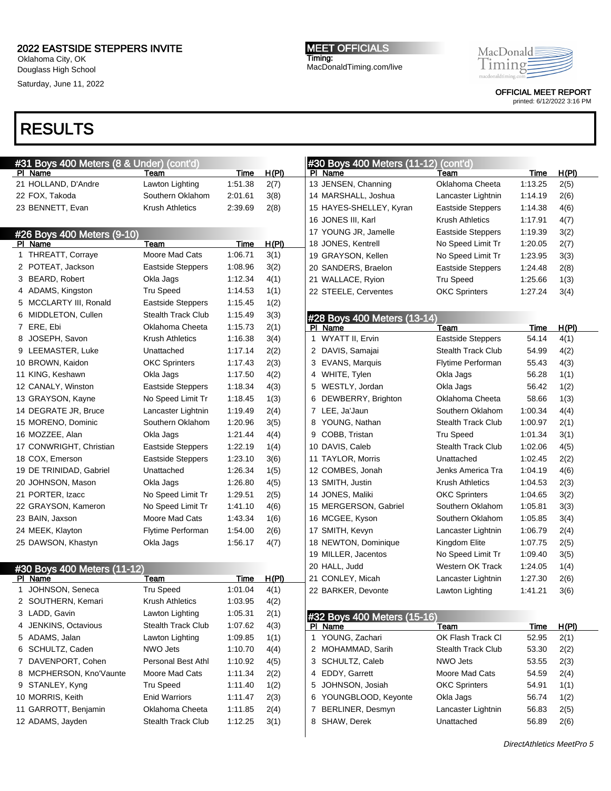Oklahoma City, OK Douglass High School Saturday, June 11, 2022 MEET OFFICIALS Timing: MacDonaldTiming.com/live MacDonald macdonaldtir

#### OFFICIAL MEET REPORT printed: 6/12/2022 3:16 PM

|                                                             | #31 Boys 400 Meters (8 & Under) (cont'd) |             |       | #30 Boys 400 Meters (11-12)            | (cont'd)                     |         |              |
|-------------------------------------------------------------|------------------------------------------|-------------|-------|----------------------------------------|------------------------------|---------|--------------|
| PI Name                                                     | Team                                     | <b>Time</b> | H(PI) | PI Name                                | Team                         | Time    | H(PI)        |
| 21 HOLLAND, D'Andre                                         | Lawton Lighting                          | 1:51.38     | 2(7)  | 13 JENSEN, Channing                    | Oklahoma Cheeta              | 1:13.25 | 2(5)         |
| 22 FOX, Takoda                                              | Southern Oklahom                         | 2:01.61     | 3(8)  | 14 MARSHALL, Joshua                    | Lancaster Lightnin           | 1:14.19 | 2(6)         |
| 23 BENNETT, Evan                                            | <b>Krush Athletics</b>                   | 2:39.69     | 2(8)  | 15 HAYES-SHELLEY, Kyran                | Eastside Steppers            | 1:14.38 | 4(6)         |
|                                                             |                                          |             |       | 16 JONES III, Karl                     | <b>Krush Athletics</b>       | 1:17.91 | 4(7)         |
| #26 Boys 400 Meters (9-10)                                  |                                          |             |       | 17 YOUNG JR, Jamelle                   | Eastside Steppers            | 1:19.39 | 3(2)         |
| PI Name                                                     | Team                                     | Time        | H(PI) | 18 JONES, Kentrell                     | No Speed Limit Tr            | 1:20.05 | 2(7)         |
| 1 THREATT, Corraye                                          | Moore Mad Cats                           | 1:06.71     | 3(1)  | 19 GRAYSON, Kellen                     | No Speed Limit Tr            | 1:23.95 | 3(3)         |
| 2 POTEAT, Jackson                                           | <b>Eastside Steppers</b>                 | 1:08.96     | 3(2)  | 20 SANDERS, Braelon                    | Eastside Steppers            | 1:24.48 | 2(8)         |
| 3 BEARD, Robert                                             | Okla Jags                                | 1:12.34     | 4(1)  | 21 WALLACE, Ryion                      | <b>Tru Speed</b>             | 1:25.66 | 1(3)         |
| 4 ADAMS, Kingston                                           | Tru Speed                                | 1:14.53     | 1(1)  | 22 STEELE, Cerventes                   | <b>OKC Sprinters</b>         | 1:27.24 | 3(4)         |
| 5 MCCLARTY III, Ronald                                      | Eastside Steppers                        | 1:15.45     | 1(2)  |                                        |                              |         |              |
| 6 MIDDLETON, Cullen                                         | <b>Stealth Track Club</b>                | 1:15.49     | 3(3)  |                                        |                              |         |              |
| 7 ERE, Ebi                                                  | Oklahoma Cheeta                          | 1:15.73     | 2(1)  | #28 Boys 400 Meters (13-14)<br>PI Name | Team                         | Time    | H(PI)        |
| 8 JOSEPH, Savon                                             | <b>Krush Athletics</b>                   | 1:16.38     | 3(4)  | WYATT II, Ervin<br>1                   | <b>Eastside Steppers</b>     | 54.14   | 4(1)         |
| 9 LEEMASTER, Luke                                           | Unattached                               | 1:17.14     | 2(2)  | 2 DAVIS, Samajai                       | <b>Stealth Track Club</b>    | 54.99   | 4(2)         |
| 10 BROWN, Kaidon                                            | <b>OKC Sprinters</b>                     | 1:17.43     | 2(3)  | 3 EVANS, Marquis                       | Flytime Performan            | 55.43   | 4(3)         |
| 11 KING, Keshawn                                            | Okla Jags                                | 1:17.50     | 4(2)  | 4 WHITE, Tylen                         | Okla Jags                    | 56.28   | 1(1)         |
|                                                             |                                          |             |       | 5 WESTLY, Jordan                       |                              | 56.42   |              |
| 12 CANALY, Winston<br>13 GRAYSON, Kayne                     | Eastside Steppers                        | 1:18.34     | 4(3)  | 6 DEWBERRY, Brighton                   | Okla Jags<br>Oklahoma Cheeta | 58.66   | 1(2)         |
|                                                             | No Speed Limit Tr                        | 1:18.45     | 1(3)  |                                        |                              |         | 1(3)         |
| 14 DEGRATE JR, Bruce                                        | Lancaster Lightnin                       | 1:19.49     | 2(4)  | 7 LEE, Ja'Jaun                         | Southern Oklahom             | 1:00.34 | 4(4)         |
| 15 MORENO, Dominic                                          | Southern Oklahom                         | 1:20.96     | 3(5)  | 8 YOUNG, Nathan                        | <b>Stealth Track Club</b>    | 1:00.97 | 2(1)         |
| 16 MOZZEE, Alan                                             | Okla Jags                                | 1:21.44     | 4(4)  | 9 COBB, Tristan                        | <b>Tru Speed</b>             | 1:01.34 | 3(1)         |
| 17 CONWRIGHT, Christian                                     | Eastside Steppers                        | 1:22.19     | 1(4)  | 10 DAVIS, Caleb                        | Stealth Track Club           | 1:02.06 | 4(5)         |
| 18 COX, Emerson                                             | <b>Eastside Steppers</b>                 | 1:23.10     | 3(6)  | 11 TAYLOR, Morris                      | Unattached                   | 1:02.45 | 2(2)         |
| 19 DE TRINIDAD, Gabriel                                     | Unattached                               | 1:26.34     | 1(5)  | 12 COMBES, Jonah                       | Jenks America Tra            | 1:04.19 | 4(6)         |
| 20 JOHNSON, Mason                                           | Okla Jags                                | 1:26.80     | 4(5)  | 13 SMITH, Justin                       | <b>Krush Athletics</b>       | 1:04.53 | 2(3)         |
| 21 PORTER, Izacc                                            | No Speed Limit Tr                        | 1:29.51     | 2(5)  | 14 JONES, Maliki                       | <b>OKC Sprinters</b>         | 1:04.65 | 3(2)         |
| 22 GRAYSON, Kameron                                         | No Speed Limit Tr                        | 1:41.10     | 4(6)  | 15 MERGERSON, Gabriel                  | Southern Oklahom             | 1:05.81 | 3(3)         |
| 23 BAIN, Jaxson                                             | Moore Mad Cats                           | 1:43.34     | 1(6)  | 16 MCGEE, Kyson                        | Southern Oklahom             | 1:05.85 | 3(4)         |
| 24 MEEK, Klayton                                            | Flytime Performan                        | 1:54.00     | 2(6)  | 17 SMITH, Kevyn                        | Lancaster Lightnin           | 1:06.79 | 2(4)         |
| 25 DAWSON, Khastyn                                          | Okla Jags                                | 1:56.17     | 4(7)  | 18 NEWTON, Dominique                   | Kingdom Elite                | 1:07.75 | 2(5)         |
|                                                             |                                          |             |       | 19 MILLER, Jacentos                    | No Speed Limit Tr            | 1:09.40 | 3(5)         |
| #30 Boys 400 Meters (11-12)                                 |                                          |             |       | 20 HALL, Judd                          | Western OK Track             | 1:24.05 | 1(4)         |
| PI Name                                                     | Team                                     | Time        | H(PI) | 21 CONLEY, Micah                       | Lancaster Lightnin           | 1:27.30 | 2(6)         |
| 1 JOHNSON, Seneca                                           | <b>Tru Speed</b>                         | 1:01.04     | 4(1)  | 22 BARKER, Devonte                     | Lawton Lighting              | 1:41.21 | 3(6)         |
| 2 SOUTHERN, Kemari                                          | <b>Krush Athletics</b>                   | 1:03.95     | 4(2)  |                                        |                              |         |              |
| 3 LADD, Gavin                                               | Lawton Lighting                          | 1:05.31     | 2(1)  | #32 Boys 400 Meters (15-16)            |                              |         |              |
| 4 JENKINS, Octavious                                        | <b>Stealth Track Club</b>                | 1:07.62     | 4(3)  | PI Name                                | Team                         | Time    | <u>H(PI)</u> |
| 5 ADAMS, Jalan                                              | Lawton Lighting                          | 1:09.85     | 1(1)  | 1 YOUNG, Zachari                       | OK Flash Track CI            | 52.95   | 2(1)         |
| 6 SCHULTZ, Caden                                            | <b>NWO Jets</b>                          | 1:10.70     | 4(4)  | 2 MOHAMMAD, Sarih                      | <b>Stealth Track Club</b>    | 53.30   | 2(2)         |
| 7 DAVENPORT, Cohen                                          | <b>Personal Best Athl</b>                | 1:10.92     | 4(5)  | 3 SCHULTZ, Caleb                       | <b>NWO Jets</b>              | 53.55   | 2(3)         |
| 8 MCPHERSON, Kno'Vaunte                                     | Moore Mad Cats                           | 1:11.34     | 2(2)  | 4 EDDY, Garrett                        | Moore Mad Cats               | 54.59   | 2(4)         |
|                                                             | <b>Tru Speed</b>                         | 1:11.40     | 1(2)  | 5 JOHNSON, Josiah                      | <b>OKC Sprinters</b>         | 54.91   | 1(1)         |
|                                                             |                                          | 1:11.47     | 2(3)  | 6 YOUNGBLOOD, Keyonte                  | Okla Jags                    | 56.74   | 1(2)         |
|                                                             | <b>Enid Warriors</b>                     |             |       |                                        |                              |         |              |
| 9 STANLEY, Kyng<br>10 MORRIS, Keith<br>11 GARROTT, Benjamin | Oklahoma Cheeta                          | 1:11.85     | 2(4)  | 7 BERLINER, Desmyn                     | Lancaster Lightnin           | 56.83   | 2(5)         |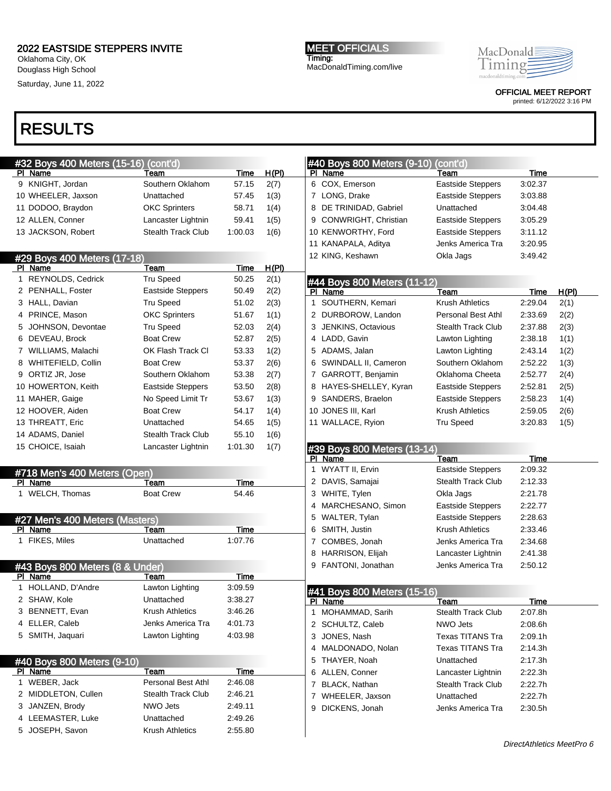Oklahoma City, OK Douglass High School

Saturday, June 11, 2022

MEET OFFICIALS Timing: MacDonaldTiming.com/live MacDonald macdonaldri

> OFFICIAL MEET REPORT printed: 6/12/2022 3:16 PM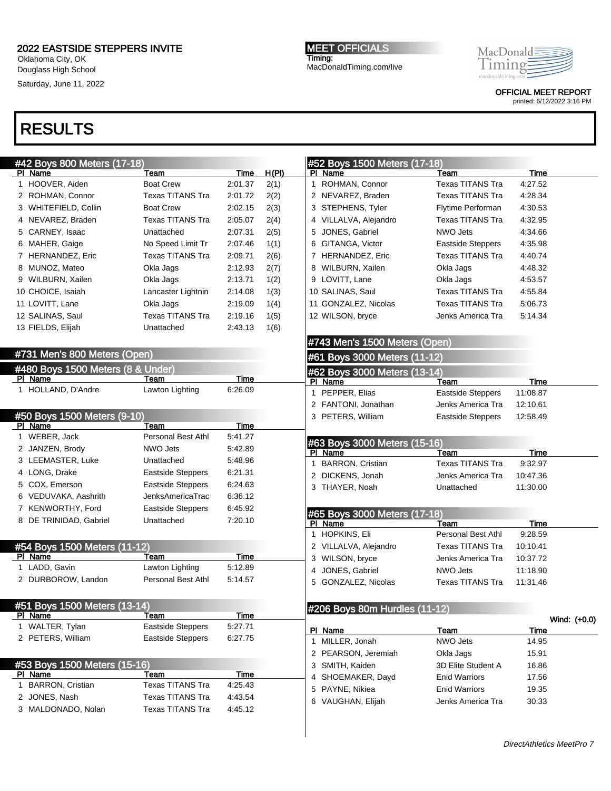Oklahoma City, OK Douglass High School Saturday, June 11, 2022 MEET OFFICIALS Timing: MacDonaldTiming.com/live MacDonald macdonaldri

> OFFICIAL MEET REPORT printed: 6/12/2022 3:16 PM

| #42 Boys 800 Meters (17-18)                  |                                  |                    |              | #52 Boys 1500 Meters (17-18)  |                          |          |              |
|----------------------------------------------|----------------------------------|--------------------|--------------|-------------------------------|--------------------------|----------|--------------|
| PI Name                                      | Team                             | Time               | <u>H(PI)</u> | PI Name                       | Team                     | Time     |              |
| 1 HOOVER, Aiden                              | <b>Boat Crew</b>                 | 2:01.37            | 2(1)         | 1 ROHMAN, Connor              | <b>Texas TITANS Tra</b>  | 4:27.52  |              |
| 2 ROHMAN, Connor                             | <b>Texas TITANS Tra</b>          | 2:01.72            | 2(2)         | 2 NEVAREZ, Braden             | Texas TITANS Tra         | 4:28.34  |              |
| 3 WHITEFIELD, Collin                         | <b>Boat Crew</b>                 | 2:02.15            | 2(3)         | 3 STEPHENS, Tyler             | Flytime Performan        | 4:30.53  |              |
| 4 NEVAREZ, Braden                            | <b>Texas TITANS Tra</b>          | 2:05.07            | 2(4)         | 4 VILLALVA, Alejandro         | Texas TITANS Tra         | 4:32.95  |              |
| 5 CARNEY, Isaac                              | Unattached                       | 2:07.31            | 2(5)         | 5 JONES, Gabriel              | NWO Jets                 | 4:34.66  |              |
| 6 MAHER, Gaige                               | No Speed Limit Tr                | 2:07.46            | 1(1)         | 6 GITANGA, Victor             | <b>Eastside Steppers</b> | 4:35.98  |              |
| 7 HERNANDEZ, Eric                            | <b>Texas TITANS Tra</b>          | 2:09.71            | 2(6)         | 7 HERNANDEZ, Eric             | <b>Texas TITANS Tra</b>  | 4:40.74  |              |
| 8 MUNOZ, Mateo                               | Okla Jags                        | 2:12.93            | 2(7)         | 8 WILBURN, Xailen             | Okla Jags                | 4:48.32  |              |
| 9 WILBURN, Xailen                            | Okla Jags                        | 2:13.71            | 1(2)         | 9 LOVITT, Lane                | Okla Jags                | 4:53.57  |              |
| 10 CHOICE, Isaiah                            | Lancaster Lightnin               | 2:14.08            | 1(3)         | 10 SALINAS, Saul              | Texas TITANS Tra         | 4:55.84  |              |
| 11 LOVITT, Lane                              | Okla Jags                        | 2:19.09            | 1(4)         | 11 GONZALEZ, Nicolas          | Texas TITANS Tra         | 5:06.73  |              |
| 12 SALINAS, Saul                             | <b>Texas TITANS Tra</b>          | 2:19.16            | 1(5)         | 12 WILSON, bryce              | Jenks America Tra        | 5:14.34  |              |
| 13 FIELDS, Elijah                            | Unattached                       | 2:43.13            | 1(6)         |                               |                          |          |              |
|                                              |                                  |                    |              | #743 Men's 1500 Meters (Open) |                          |          |              |
| #731 Men's 800 Meters (Open)                 |                                  |                    |              |                               |                          |          |              |
|                                              |                                  |                    |              | #61 Boys 3000 Meters (11-12)  |                          |          |              |
| #480 Boys 1500 Meters (8 & Under)<br>PI Name | Team                             | <b>Time</b>        |              | #62 Boys 3000 Meters (13-14)  |                          |          |              |
| 1 HOLLAND, D'Andre                           | Lawton Lighting                  | 6:26.09            |              | PI Name                       | Team                     | Time     |              |
|                                              |                                  |                    |              | 1 PEPPER, Elias               | Eastside Steppers        | 11:08.87 |              |
| #50 Boys 1500 Meters (9-10)                  |                                  |                    |              | 2 FANTONI, Jonathan           | Jenks America Tra        | 12:10.61 |              |
| PI Name                                      | Team                             | Time               |              | 3 PETERS, William             | <b>Eastside Steppers</b> | 12:58.49 |              |
| 1 WEBER, Jack                                | <b>Personal Best Athl</b>        | 5:41.27            |              |                               |                          |          |              |
| 2 JANZEN, Brody                              | NWO Jets                         | 5:42.89            |              | #63 Boys 3000 Meters (15-16)  |                          |          |              |
|                                              |                                  |                    |              | PI Name                       | Team                     |          |              |
|                                              |                                  |                    |              |                               |                          | Time     |              |
| 3 LEEMASTER, Luke                            | Unattached                       | 5:48.96            |              | 1 BARRON, Cristian            | <b>Texas TITANS Tra</b>  | 9:32.97  |              |
| 4 LONG, Drake                                | <b>Eastside Steppers</b>         | 6:21.31            |              | 2 DICKENS, Jonah              | Jenks America Tra        | 10:47.36 |              |
| 5 COX, Emerson                               | <b>Eastside Steppers</b>         | 6:24.63            |              | 3 THAYER, Noah                | Unattached               | 11:30.00 |              |
| 6 VEDUVAKA, Aashrith                         | JenksAmericaTrac                 | 6:36.12            |              |                               |                          |          |              |
| 7 KENWORTHY, Ford                            | <b>Eastside Steppers</b>         | 6:45.92            |              | #65 Boys 3000 Meters (17-18)  |                          |          |              |
| 8 DE TRINIDAD, Gabriel                       | Unattached                       | 7:20.10            |              | PI Name                       | Team                     | Time     |              |
|                                              |                                  |                    |              | 1 HOPKINS, Eli                | Personal Best Athl       | 9:28.59  |              |
| #54 Boys 1500 Meters (11-12)                 |                                  |                    |              | 2 VILLALVA, Alejandro         | <b>Texas TITANS Tra</b>  | 10:10.41 |              |
| PI Name                                      | Team                             | Time               |              | 3 WILSON, bryce               | Jenks America Tra        | 10:37.72 |              |
| 1 LADD, Gavin                                | Lawton Lighting                  | 5:12.89            |              | JONES, Gabriel<br>4           | NWO Jets                 | 11:18.90 |              |
| 2 DURBOROW, Landon                           | Personal Best Athl               | 5:14.57            |              | GONZALEZ, Nicolas<br>5        | <b>Texas TITANS Tra</b>  | 11:31.46 |              |
|                                              |                                  |                    |              |                               |                          |          |              |
| #51 Boys 1500 Meters (13-14)                 |                                  |                    |              | #206 Boys 80m Hurdles (11-12) |                          |          |              |
| PI Name<br>1 WALTER, Tylan                   | <u>Team</u><br>Eastside Steppers | <b>Time</b>        |              |                               |                          |          | Wind: (+0.0) |
| 2 PETERS, William                            | Eastside Steppers                | 5:27.71<br>6:27.75 |              | PI Name                       | Team                     | Time     |              |
|                                              |                                  |                    |              | 1 MILLER, Jonah               | NWO Jets                 | 14.95    |              |
|                                              |                                  |                    |              | 2 PEARSON, Jeremiah           | Okla Jags                | 15.91    |              |
| #53 Boys 1500 Meters (15-16)<br>PI Name      | Team                             | Time               |              | 3 SMITH, Kaiden               | 3D Elite Student A       | 16.86    |              |
| 1 BARRON, Cristian                           | Texas TITANS Tra                 | 4:25.43            |              | SHOEMAKER, Dayd<br>4          | <b>Enid Warriors</b>     | 17.56    |              |
| 2 JONES, Nash                                | <b>Texas TITANS Tra</b>          | 4:43.54            |              | 5 PAYNE, Nikiea               | <b>Enid Warriors</b>     | 19.35    |              |
| 3 MALDONADO, Nolan                           | <b>Texas TITANS Tra</b>          | 4:45.12            |              | 6 VAUGHAN, Elijah             | Jenks America Tra        | 30.33    |              |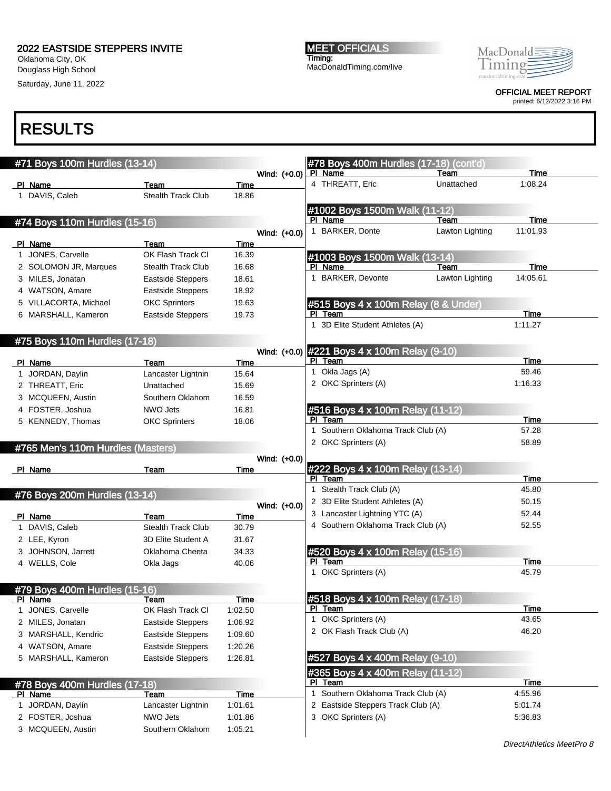Oklahoma City, OK Douglass High School

Saturday, June 11, 2022

MEET OFFICIALS Timing: MacDonaldTiming.com/live MacDonald macdonaldri

OFFICIAL MEET REPORT

printed: 6/12/2022 3:16 PM

| #71 Boys 100m Hurdles (13-14)                   |                                   |               |              | #78 Boys 400m Hurdles (17-18) (cont'd)                  |                 |          |
|-------------------------------------------------|-----------------------------------|---------------|--------------|---------------------------------------------------------|-----------------|----------|
|                                                 |                                   |               | Wind: (+0.0) | PI Name                                                 | Team            | Time     |
| PI Name                                         | Team                              | Time          |              | 4 THREATT, Eric                                         | Unattached      | 1:08.24  |
| 1 DAVIS, Caleb                                  | Stealth Track Club                | 18.86         |              |                                                         |                 |          |
|                                                 |                                   |               |              | #1002 Boys 1500m Walk (11-12)                           |                 |          |
| #74 Boys 110m Hurdles (15-16)                   |                                   |               |              | PI Name                                                 | Team            | Time     |
|                                                 |                                   |               | Wind: (+0.0) | 1 BARKER, Donte                                         | Lawton Lighting | 11:01.93 |
| PI Name                                         | Team                              | Time          |              |                                                         |                 |          |
| 1 JONES, Carvelle                               | OK Flash Track Cl                 | 16.39         |              | #1003 Boys 1500m Walk (13-14)                           |                 |          |
| 2 SOLOMON JR, Marques                           | <b>Stealth Track Club</b>         | 16.68         |              | PI Name                                                 | Team            | Time     |
| 3 MILES, Jonatan                                | <b>Eastside Steppers</b>          | 18.61         |              | 1 BARKER, Devonte                                       | Lawton Lighting | 14:05.61 |
| 4 WATSON, Amare                                 | <b>Eastside Steppers</b>          | 18.92         |              |                                                         |                 |          |
| 5 VILLACORTA, Michael                           | <b>OKC Sprinters</b>              | 19.63         |              | #515 Boys 4 x 100m Relay (8 & Under)                    |                 |          |
| 6 MARSHALL, Kameron                             | <b>Eastside Steppers</b>          | 19.73         |              | PI Team                                                 |                 | Time     |
|                                                 |                                   |               |              | 1 3D Elite Student Athletes (A)                         |                 | 1:11.27  |
| #75 Boys 110m Hurdles (17-18)                   |                                   |               |              |                                                         |                 |          |
|                                                 |                                   |               |              | Wind: (+0.0) #221 Boys 4 x 100m Relay (9-10)<br>PI Team |                 | Time     |
| PI Name                                         | Team                              | Time          |              | 1 Okla Jags (A)                                         |                 | 59.46    |
| 1 JORDAN, Daylin                                | Lancaster Lightnin                | 15.64         |              | 2 OKC Sprinters (A)                                     |                 | 1:16.33  |
| 2 THREATT, Eric                                 | Unattached                        | 15.69         |              |                                                         |                 |          |
| 3 MCQUEEN, Austin                               | Southern Oklahom                  | 16.59         |              |                                                         |                 |          |
| 4 FOSTER, Joshua                                | NWO Jets                          | 16.81         |              | #516 Boys 4 x 100m Relay (11-12)<br>PI Team             |                 | Time     |
| 5 KENNEDY, Thomas                               | <b>OKC Sprinters</b>              | 18.06         |              | 1 Southern Oklahoma Track Club (A)                      |                 | 57.28    |
|                                                 |                                   |               |              | 2 OKC Sprinters (A)                                     |                 | 58.89    |
| #765 Men's 110m Hurdles (Masters)               |                                   |               |              |                                                         |                 |          |
|                                                 |                                   |               |              |                                                         |                 |          |
|                                                 |                                   |               | Wind: (+0.0) |                                                         |                 |          |
| PI Name                                         | Team                              | Time          |              | #222 Boys 4 x 100m Relay (13-14)<br>PI Team             |                 | Time     |
|                                                 |                                   |               |              | 1 Stealth Track Club (A)                                |                 | 45.80    |
| #76 Boys 200m Hurdles (13-14)                   |                                   |               |              | 2 3D Elite Student Athletes (A)                         |                 | 50.15    |
|                                                 |                                   |               | Wind: (+0.0) | 3 Lancaster Lightning YTC (A)                           |                 | 52.44    |
| PI Name<br>1 DAVIS, Caleb                       | Team<br><b>Stealth Track Club</b> | Time<br>30.79 |              | 4 Southern Oklahoma Track Club (A)                      |                 | 52.55    |
| 2 LEE, Kyron                                    | 3D Elite Student A                | 31.67         |              |                                                         |                 |          |
| 3 JOHNSON, Jarrett                              | Oklahoma Cheeta                   | 34.33         |              |                                                         |                 |          |
| 4 WELLS, Cole                                   | Okla Jags                         | 40.06         |              | #520 Boys 4 x 100m Relay (15-16)<br>PI Team             |                 | Time     |
|                                                 |                                   |               |              | 1 OKC Sprinters (A)                                     |                 | 45.79    |
|                                                 |                                   |               |              |                                                         |                 |          |
| #79 Boys 400m Hurdles (15-16)<br>PI Name        | Team                              | Time          |              | #518 Boys 4 x 100m Relay (17-18)                        |                 |          |
| 1 JONES, Carvelle                               | OK Flash Track Cl                 | 1:02.50       |              | PI Team                                                 |                 | Time     |
| 2 MILES, Jonatan                                | <b>Eastside Steppers</b>          | 1:06.92       |              | 1 OKC Sprinters (A)                                     |                 | 43.65    |
| 3 MARSHALL, Kendric                             | <b>Eastside Steppers</b>          | 1:09.60       |              | 2 OK Flash Track Club (A)                               |                 | 46.20    |
| 4 WATSON, Amare                                 | <b>Eastside Steppers</b>          | 1:20.26       |              |                                                         |                 |          |
| 5 MARSHALL, Kameron                             | <b>Eastside Steppers</b>          | 1:26.81       |              | #527 Boys 4 x 400m Relay (9-10)                         |                 |          |
|                                                 |                                   |               |              |                                                         |                 |          |
|                                                 |                                   |               |              | #365 Boys 4 x 400m Relay (11-12)<br>PI Team             |                 | Time     |
| #78 Boys 400m Hurdles (17-18)<br><u>PI Name</u> | Team                              | <u>Time</u>   |              | 1 Southern Oklahoma Track Club (A)                      |                 | 4:55.96  |
| 1 JORDAN, Daylin                                | Lancaster Lightnin                | 1:01.61       |              | 2 Eastside Steppers Track Club (A)                      |                 | 5:01.74  |
| 2 FOSTER, Joshua                                | NWO Jets                          | 1:01.86       |              | 3 OKC Sprinters (A)                                     |                 | 5:36.83  |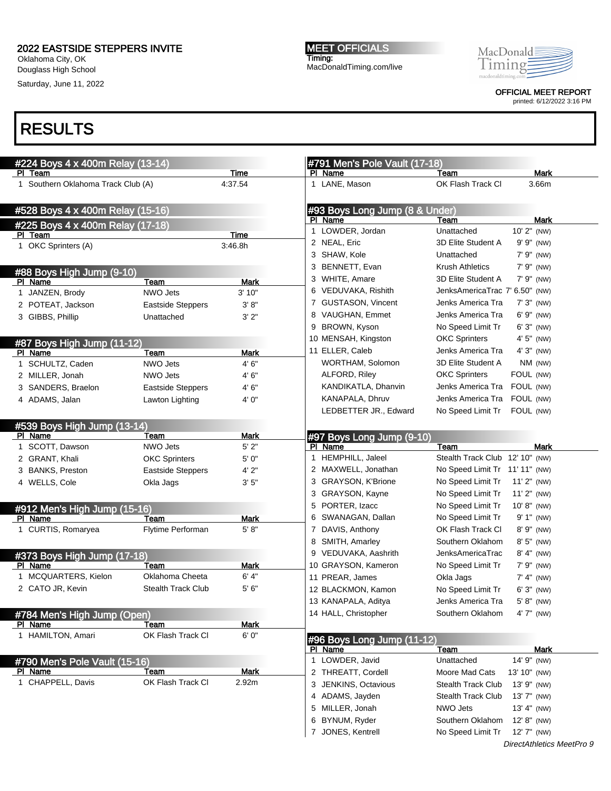Oklahoma City, OK Douglass High School

Saturday, June 11, 2022

MEET OFFICIALS Timing: MacDonaldTiming.com/live MacDonald macdonaldtim

OFFICIAL MEET REPORT printed: 6/12/2022 3:16 PM

| #224 Boys 4 x 400m Relay (13-14)              |                           |                 | #791 Men's Pole Vault (17-18)         |                                 |                           |
|-----------------------------------------------|---------------------------|-----------------|---------------------------------------|---------------------------------|---------------------------|
| PI Team<br>1 Southern Oklahoma Track Club (A) |                           | Time<br>4:37.54 | PI Name<br>1 LANE, Mason              | Team<br>OK Flash Track CI       | Mark<br>3.66m             |
|                                               |                           |                 |                                       |                                 |                           |
| #528 Boys 4 x 400m Relay (15-16)              |                           |                 | #93 Boys Long Jump (8 & Under)        |                                 |                           |
| #225 Boys 4 x 400m Relay (17-18)              |                           |                 | PI Name<br>1 LOWDER, Jordan           | Team<br>Unattached              | Mark<br>10' 2" (NW)       |
| PI Team                                       |                           | Time            | 2 NEAL, Eric                          | 3D Elite Student A              | 9' 9" (NW)                |
| 1 OKC Sprinters (A)                           |                           | 3:46.8h         | 3 SHAW, Kole                          | Unattached                      | $7' 9''$ (NW)             |
|                                               |                           |                 | 3 BENNETT, Evan                       | <b>Krush Athletics</b>          | 7' 9" (NW)                |
| #88 Boys High Jump (9-10)<br>PI Name          |                           | <b>Mark</b>     | 3 WHITE, Amare                        | 3D Elite Student A              | 7' 9" (NW)                |
| 1 JANZEN, Brody                               | Team<br>NWO Jets          | 3' 10"          | 6 VEDUVAKA, Rishith                   | JenksAmericaTrac 7' 6.50" (NW)  |                           |
| 2 POTEAT, Jackson                             | Eastside Steppers         | 3' 8''          | 7 GUSTASON, Vincent                   | Jenks America Tra               | $7'3''$ (NW)              |
| 3 GIBBS, Phillip                              | Unattached                | 3'2"            | 8 VAUGHAN, Emmet                      | Jenks America Tra               | 6' 9" (NW)                |
|                                               |                           |                 | 9 BROWN, Kyson                        | No Speed Limit Tr               | $6'3''$ (NW)              |
|                                               |                           |                 | 10 MENSAH, Kingston                   | <b>OKC Sprinters</b>            | 4' 5" (NW)                |
| #87 Boys High Jump (11-12)<br>PI Name         | Team                      | <b>Mark</b>     | 11 ELLER, Caleb                       | Jenks America Tra               | $4'3''$ (NW)              |
| 1 SCHULTZ, Caden                              | NWO Jets                  | 4' 6"           | <b>WORTHAM, Solomon</b>               | 3D Elite Student A              | NM (NW)                   |
| 2 MILLER, Jonah                               | NWO Jets                  | 4' 6"           | ALFORD, Riley                         | <b>OKC Sprinters</b>            | FOUL (NW)                 |
| 3 SANDERS, Braelon                            | <b>Eastside Steppers</b>  | 4' 6"           | KANDIKATLA, Dhanvin                   | Jenks America Tra               | FOUL (NW)                 |
| 4 ADAMS, Jalan                                | Lawton Lighting           | 4' 0"           | KANAPALA, Dhruv                       | Jenks America Tra               | FOUL (NW)                 |
|                                               |                           |                 | LEDBETTER JR., Edward                 | No Speed Limit Tr               | FOUL (NW)                 |
| #539 Boys High Jump (13-14)                   |                           |                 |                                       |                                 |                           |
| PI Name                                       | Team                      | Mark            | #97 Boys Long Jump (9-10)             |                                 |                           |
| 1 SCOTT, Dawson                               | NWO Jets                  | 5'2"            | PI Name                               | Team                            | Mark                      |
| 2 GRANT, Khali                                | <b>OKC Sprinters</b>      | 5' 0"           | 1 HEMPHILL, Jaleel                    | Stealth Track Club 12' 10" (NW) |                           |
| 3 BANKS, Preston                              | <b>Eastside Steppers</b>  | 4' 2"           | 2 MAXWELL, Jonathan                   | No Speed Limit Tr 11' 11" (NW)  |                           |
| 4 WELLS, Cole                                 | Okla Jags                 | 3'5''           | 3 GRAYSON, K'Brione                   | No Speed Limit Tr               | $11'2''$ (NW)             |
|                                               |                           |                 | 3 GRAYSON, Kayne                      | No Speed Limit Tr               | $11'2''$ (NW)             |
| #912 Men's High Jump (15-16)                  |                           |                 | 5 PORTER, Izacc                       | No Speed Limit Tr               | 10' 8" (NW)               |
| PI Name                                       | Team                      | Mark            | 6 SWANAGAN, Dallan                    | No Speed Limit Tr               | 9' 1" (NW)                |
| 1 CURTIS, Romaryea                            | Flytime Performan         | 5' 8''          | 7 DAVIS, Anthony                      | OK Flash Track CI               | 8' 9" (NW)                |
|                                               |                           |                 | 8 SMITH, Amarley                      | Southern Oklahom                | $8'5''$ (NW)              |
| #373 Boys High Jump (17-18)                   |                           |                 | 9 VEDUVAKA, Aashrith                  | <b>JenksAmericaTrac</b>         | $8' 4''$ (NW)             |
| PI Name                                       | Team                      | <b>Mark</b>     | 10 GRAYSON, Kameron                   | No Speed Limit Tr               | $7' 9''$ (NW)             |
| 1 MCQUARTERS, Kielon                          | Oklahoma Cheeta           | 6' 4''          | 11 PREAR, James                       | Okla Jags                       | $7' 4''$ (NW)             |
| 2 CATO JR, Kevin                              | <b>Stealth Track Club</b> | 5'6''           | 12 BLACKMON, Kamon                    | No Speed Limit Tr               | $6'3''$ (NW)              |
|                                               |                           |                 | 13 KANAPALA, Aditya                   | Jenks America Tra               | 5' 8" (NW)                |
| #784 Men's High Jump (Open)                   | Team                      | <b>Mark</b>     | 14 HALL, Christopher                  | Southern Oklahom                | 4' 7" (NW)                |
| PI Name<br>1 HAMILTON, Amari                  | OK Flash Track CI         | 6'0''           |                                       |                                 |                           |
|                                               |                           |                 | #96 Boys Long Jump (11-12)<br>PI Name | Team                            | Mark                      |
| #790 Men's Pole Vault (15-16)                 |                           |                 | 1 LOWDER, Javid                       | Unattached                      | 14' 9" (NW)               |
| PI Name                                       | Team                      | Mark            | 2 THREATT, Cordell                    | Moore Mad Cats                  | 13' 10" (NW)              |
| 1 CHAPPELL, Davis                             | OK Flash Track CI         | 2.92m           | 3 JENKINS, Octavious                  | Stealth Track Club              | 13' 9" (NW)               |
|                                               |                           |                 | 4 ADAMS, Jayden                       | <b>Stealth Track Club</b>       | 13' 7" (NW)               |
|                                               |                           |                 | 5 MILLER, Jonah                       | NWO Jets                        | 13' 4" (NW)               |
|                                               |                           |                 | 6 BYNUM, Ryder                        | Southern Oklahom                | 12' 8" (NW)               |
|                                               |                           |                 | 7 JONES, Kentrell                     | No Speed Limit Tr               | 12' 7" (NW)               |
|                                               |                           |                 |                                       |                                 | DirectAthletics MeetPro 9 |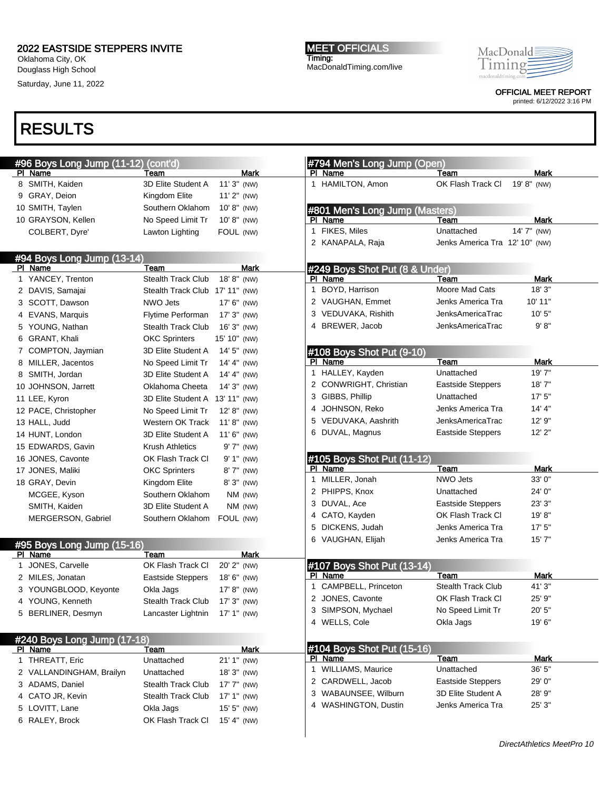Oklahoma City, OK Douglass High School

Saturday, June 11, 2022

MEET OFFICIALS Timing: MacDonaldTiming.com/live MacDonald macdonaldri

> OFFICIAL MEET REPORT printed: 6/12/2022 3:16 PM

| #96 Boys Long Jump (11-12) (cont'd) |                                 |                            |   | #794 Men's Long Jump (Open)                  |                                |             |
|-------------------------------------|---------------------------------|----------------------------|---|----------------------------------------------|--------------------------------|-------------|
| PI Name                             | Team                            | Mark                       |   | PI Name                                      | Team                           | Mark        |
| 8 SMITH, Kaiden                     | 3D Elite Student A              | $11'3''$ (NW)              |   | 1 HAMILTON, Amon                             | OK Flash Track Cl              | 19' 8" (NW) |
| 9 GRAY, Deion                       | Kingdom Elite                   | 11' 2" (NW)                |   |                                              |                                |             |
| 10 SMITH, Taylen                    | Southern Oklahom                | 10'8" (NW)                 |   | #801 Men's Long Jump (Masters)               |                                |             |
| 10 GRAYSON, Kellen                  | No Speed Limit Tr               | 10'8" (NW)                 |   | PI Name                                      | Team                           | Mark        |
| COLBERT, Dyre'                      | Lawton Lighting                 | FOUL (NW)                  |   | 1 FIKES, Miles                               | Unattached                     | 14' 7" (NW) |
|                                     |                                 |                            |   | 2 KANAPALA, Raja                             | Jenks America Tra 12' 10" (NW) |             |
| #94 Boys Long Jump (13-14)          |                                 |                            |   |                                              |                                |             |
| PI Name                             | Team                            | <b>Mark</b>                |   | #249 Boys Shot Put (8 & Under)               |                                |             |
| 1 YANCEY, Trenton                   | <b>Stealth Track Club</b>       | 18' 8" (NW)                |   | PI Name                                      | Team                           | Mark        |
| 2 DAVIS, Samajai                    | Stealth Track Club 17' 11" (NW) |                            |   | 1 BOYD, Harrison                             | Moore Mad Cats                 | 18'3"       |
| 3 SCOTT, Dawson                     | NWO Jets                        | $17'$ 6" (NW)              |   | 2 VAUGHAN, Emmet                             | Jenks America Tra              | 10' 11"     |
| 4 EVANS, Marquis                    | Flytime Performan               | 17' 3" (NW)                |   | 3 VEDUVAKA, Rishith                          | <b>JenksAmericaTrac</b>        | 10'5"       |
| 5 YOUNG, Nathan                     | <b>Stealth Track Club</b>       | 16' 3" (NW)                |   | 4 BREWER, Jacob                              | <b>JenksAmericaTrac</b>        | 9' 8''      |
| 6 GRANT, Khali                      | <b>OKC Sprinters</b>            | 15' 10" (NW)               |   |                                              |                                |             |
| 7 COMPTON, Jaymian                  | 3D Elite Student A              | 14' 5" (NW)                |   | #108 Boys Shot Put (9-10)                    |                                |             |
| 8 MILLER, Jacentos                  | No Speed Limit Tr               | $14' 4''$ (NW)             |   | PI Name                                      | Team                           | Mark        |
| 8 SMITH, Jordan                     | 3D Elite Student A              | $14' 4''$ (NW)             |   | 1 HALLEY, Kayden                             | Unattached                     | 19'7"       |
| 10 JOHNSON, Jarrett                 | Oklahoma Cheeta                 | 14' 3" (NW)                |   | 2 CONWRIGHT, Christian                       | <b>Eastside Steppers</b>       | 18'7"       |
| 11 LEE, Kyron                       | 3D Elite Student A              | 13' 11" (NW)               |   | 3 GIBBS, Phillip                             | Unattached                     | 17'5''      |
| 12 PACE, Christopher                | No Speed Limit Tr               | 12' 8" (NW)                | 4 | JOHNSON, Reko                                | Jenks America Tra              | 14' 4"      |
| 13 HALL, Judd                       | Western OK Track                | $11' 8''$ (NW)             |   | 5 VEDUVAKA, Aashrith                         | JenksAmericaTrac               | 12' 9"      |
| 14 HUNT, London                     | 3D Elite Student A              | $11'6''$ (NW)              |   | 6 DUVAL, Magnus                              | <b>Eastside Steppers</b>       | 12'2''      |
| 15 EDWARDS, Gavin                   | <b>Krush Athletics</b>          | 9' 7" (NW)                 |   |                                              |                                |             |
| 16 JONES, Cavonte                   | OK Flash Track CI               | 9' 1" (NW)                 |   | #105 Boys Shot Put (11-12)                   |                                |             |
| 17 JONES, Maliki                    | <b>OKC Sprinters</b>            | 8' 7" (NW)                 |   | PI Name                                      | Team                           | Mark        |
| 18 GRAY, Devin                      | Kingdom Elite                   | 8' 3" (NW)                 |   | 1 MILLER, Jonah                              | NWO Jets                       | 33' 0"      |
| MCGEE, Kyson                        | Southern Oklahom                | NM (NW)                    |   | 2 PHIPPS, Knox                               | Unattached                     | 24' 0"      |
| SMITH, Kaiden                       | 3D Elite Student A              | NM (NW)                    |   | 3 DUVAL, Ace                                 | <b>Eastside Steppers</b>       | 23' 3"      |
| MERGERSON, Gabriel                  | Southern Oklahom                | FOUL (NW)                  |   | 4 CATO, Kayden                               | OK Flash Track Cl              | 19'8"       |
|                                     |                                 |                            | 5 | DICKENS, Judah                               | Jenks America Tra              | 17' 5"      |
|                                     |                                 |                            |   | 6 VAUGHAN, Elijah                            | Jenks America Tra              | 15'7"       |
| #95 Boys Long Jump (15-16)          |                                 |                            |   |                                              |                                |             |
| PI Name<br>1 JONES, Carvelle        | Team<br>OK Flash Track Cl       | <b>Mark</b><br>20' 2" (NW) |   |                                              |                                |             |
|                                     |                                 |                            |   | #107 Boys Shot Put (13-14)<br>PI Name        | Team                           | <b>Mark</b> |
| 2 MILES, Jonatan                    | <b>Eastside Steppers</b>        | 18'6" (NW)<br>17' 8" (NW)  |   | 1 CAMPBELL, Princeton                        | <b>Stealth Track Club</b>      | 41'3"       |
| 3 YOUNGBLOOD, Keyonte               | Okla Jags                       |                            |   | 2 JONES, Cavonte                             | OK Flash Track CI              | 25' 9"      |
| 4 YOUNG, Kenneth                    | <b>Stealth Track Club</b>       | 17' 3" (NW)                |   | 3 SIMPSON, Mychael                           | No Speed Limit Tr              | 20'5"       |
| 5 BERLINER, Desmyn                  | Lancaster Lightnin              | 17' 1" (NW)                |   | 4 WELLS, Cole                                | Okla Jags                      | 19' 6"      |
|                                     |                                 |                            |   |                                              |                                |             |
| #240 Boys Long Jump (17-18)         |                                 |                            |   |                                              |                                |             |
| PI Name                             | Team                            | <b>Mark</b>                |   | #104 Boys Shot Put (15-16)<br>PI Name        | Team                           | Mark        |
| 1 THREATT, Eric                     | Unattached                      | 21' 1" (NW)                |   | 1 WILLIAMS, Maurice                          | Unattached                     | 36' 5"      |
| 2 VALLANDINGHAM, Brailyn            | Unattached                      | 18' 3" (NW)                |   | 2 CARDWELL, Jacob                            | <b>Eastside Steppers</b>       | 29' 0"      |
| 3 ADAMS, Daniel                     | <b>Stealth Track Club</b>       | 17' 7" (NW)                |   |                                              | 3D Elite Student A             | 28' 9"      |
| 4 CATO JR, Kevin                    | Stealth Track Club              | 17' 1" (NW)                |   | 3 WABAUNSEE, Wilburn<br>4 WASHINGTON, Dustin |                                |             |
| 5 LOVITT, Lane                      | Okla Jags                       | $15' 5''$ (NW)             |   |                                              | Jenks America Tra              | 25' 3"      |
| 6 RALEY, Brock                      | OK Flash Track Cl               | 15' 4" (NW)                |   |                                              |                                |             |
|                                     |                                 |                            |   |                                              |                                |             |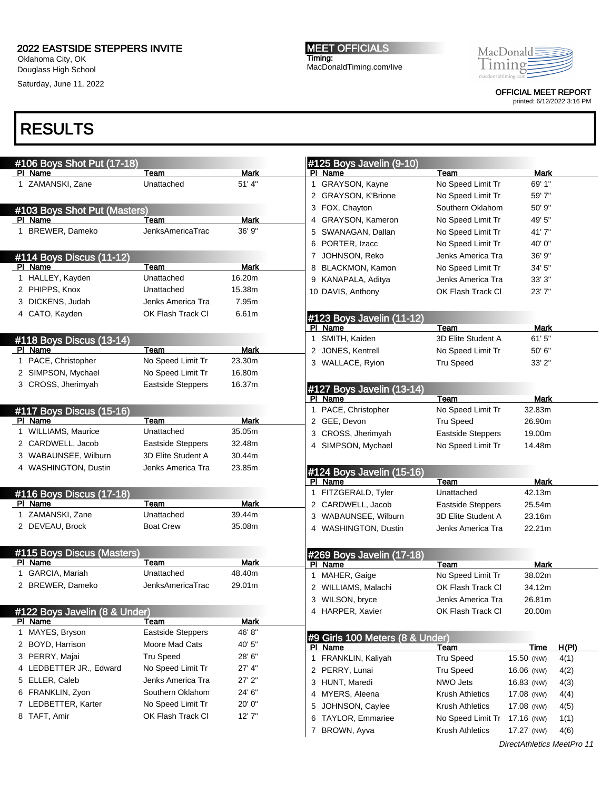Oklahoma City, OK Douglass High School

Saturday, June 11, 2022

MEET OFFICIALS Timing: MacDonaldTiming.com/live

OFFICIAL MEET REPORT

printed: 6/12/2022 3:16 PM

|    | #106 Boys Shot Put (17-18)               |                           |             |    | #125 Boys Javelin (9-10)             |                              |             |       |
|----|------------------------------------------|---------------------------|-------------|----|--------------------------------------|------------------------------|-------------|-------|
|    | PI Name                                  | Team                      | <b>Mark</b> |    | PI Name                              | Team                         | <b>Mark</b> |       |
|    | 1 ZAMANSKI, Zane                         | Unattached                | 51' 4"      |    | 1 GRAYSON, Kayne                     | No Speed Limit Tr            | 69' 1"      |       |
|    |                                          |                           |             |    | 2 GRAYSON, K'Brione                  | No Speed Limit Tr            | 59' 7"      |       |
|    | #103 Boys Shot Put (Masters)             |                           |             |    | 3 FOX, Chayton                       | Southern Oklahom             | 50' 9"      |       |
|    | PI Name                                  | Team                      | Mark        |    | 4 GRAYSON, Kameron                   | No Speed Limit Tr            | 49' 5"      |       |
|    | 1 BREWER, Dameko                         | <b>JenksAmericaTrac</b>   | 36' 9"      |    | 5 SWANAGAN, Dallan                   | No Speed Limit Tr            | 41'7"       |       |
|    |                                          |                           |             |    | 6 PORTER, Izacc                      | No Speed Limit Tr            | 40' 0"      |       |
|    | #114 Boys Discus (11-12)                 |                           |             |    | 7 JOHNSON, Reko                      | Jenks America Tra            | 36' 9"      |       |
|    | PI Name                                  | Team                      | Mark        |    | 8 BLACKMON, Kamon                    | No Speed Limit Tr            | 34' 5"      |       |
|    | 1 HALLEY, Kayden                         | Unattached                | 16.20m      |    | 9 KANAPALA, Aditya                   | Jenks America Tra            | 33' 3"      |       |
|    | 2 PHIPPS, Knox                           | Unattached                | 15.38m      |    | 10 DAVIS, Anthony                    | OK Flash Track CI            | 23'7"       |       |
|    | 3 DICKENS, Judah                         | Jenks America Tra         | 7.95m       |    |                                      |                              |             |       |
|    | 4 CATO, Kayden                           | OK Flash Track Cl         | 6.61m       |    | #123 Boys Javelin (11-12)            |                              |             |       |
|    |                                          |                           |             |    | PI Name                              | Team                         | <b>Mark</b> |       |
|    | #118 Boys Discus (13-14)                 |                           | <b>Mark</b> |    | 1 SMITH, Kaiden                      | 3D Elite Student A           | 61'5''      |       |
|    | PI Name<br>1 PACE, Christopher           | Team<br>No Speed Limit Tr | 23.30m      |    | 2 JONES, Kentrell                    | No Speed Limit Tr            | 50' 6"      |       |
|    | 2 SIMPSON, Mychael                       | No Speed Limit Tr         | 16.80m      |    | 3 WALLACE, Ryion                     | <b>Tru Speed</b>             | 33' 2"      |       |
|    | 3 CROSS, Jherimyah                       | <b>Eastside Steppers</b>  | 16.37m      |    |                                      |                              |             |       |
|    |                                          |                           |             |    | #127 Boys Javelin (13-14)<br>PI Name | Team                         | Mark        |       |
|    | #117 Boys Discus (15-16)                 |                           |             |    | 1 PACE, Christopher                  | No Speed Limit Tr            | 32.83m      |       |
|    | PI Name                                  | Team                      | <b>Mark</b> |    | 2 GEE, Devon                         | <b>Tru Speed</b>             | 26.90m      |       |
|    | 1 WILLIAMS, Maurice                      | Unattached                | 35.05m      |    | 3 CROSS, Jherimyah                   | <b>Eastside Steppers</b>     | 19.00m      |       |
|    | 2 CARDWELL, Jacob                        | <b>Eastside Steppers</b>  | 32.48m      |    | 4 SIMPSON, Mychael                   | No Speed Limit Tr            | 14.48m      |       |
|    | 3 WABAUNSEE, Wilburn                     | 3D Elite Student A        | 30.44m      |    |                                      |                              |             |       |
|    | 4 WASHINGTON, Dustin                     | Jenks America Tra         | 23.85m      |    |                                      |                              |             |       |
|    |                                          |                           |             |    | #124 Boys Javelin (15-16)<br>PI Name | Team                         | Mark        |       |
|    | #116 Boys Discus (17-18)                 |                           |             |    | 1 FITZGERALD, Tyler                  | Unattached                   | 42.13m      |       |
|    | PI Name                                  | Team                      | Mark        |    | 2 CARDWELL, Jacob                    | <b>Eastside Steppers</b>     | 25.54m      |       |
| 1  | ZAMANSKI, Zane                           | Unattached                | 39.44m      |    | 3 WABAUNSEE, Wilburn                 | 3D Elite Student A           | 23.16m      |       |
|    | 2 DEVEAU, Brock                          | <b>Boat Crew</b>          | 35.08m      |    | 4 WASHINGTON, Dustin                 | Jenks America Tra            | 22.21m      |       |
|    |                                          |                           |             |    |                                      |                              |             |       |
|    | #115 Boys Discus (Masters)               |                           |             |    | #269 Boys Javelin (17-18)            |                              |             |       |
|    | PI Name                                  | Team                      | <b>Mark</b> |    | PI Name                              | Team                         | <b>Mark</b> |       |
| 1. | GARCIA, Mariah                           | Unattached                | 48.40m      |    | 1 MAHER, Gaige                       | No Speed Limit Tr            | 38.02m      |       |
|    | 2 BREWER, Dameko                         | JenksAmericaTrac          | 29.01m      |    | 2 WILLIAMS, Malachi                  | OK Flash Track Cl            | 34.12m      |       |
|    |                                          |                           |             |    | 3 WILSON, bryce                      | Jenks America Tra            | 26.81m      |       |
|    | #122 Boys Javelin (8 & Under)<br>PI Name | Team                      | <b>Mark</b> |    | 4 HARPER, Xavier                     | OK Flash Track CI            | 20.00m      |       |
|    | 1 MAYES, Bryson                          | Eastside Steppers         | 46' 8"      |    |                                      |                              |             |       |
|    | 2 BOYD, Harrison                         | Moore Mad Cats            | 40' 5"      |    | #9 Girls 100 Meters (8 & Under)      |                              |             |       |
|    | 3 PERRY, Majai                           | <b>Tru Speed</b>          | 28' 6"      |    | PI Name                              | Team                         | Time        | H(PI) |
|    | 4 LEDBETTER JR., Edward                  | No Speed Limit Tr         | 27' 4"      |    | 1 FRANKLIN, Kaliyah                  | <b>Tru Speed</b>             | 15.50 (NW)  | 4(1)  |
|    | 5 ELLER, Caleb                           | Jenks America Tra         | 27' 2"      |    | 2 PERRY, Lunai                       | <b>Tru Speed</b>             | 16.06 (NW)  | 4(2)  |
|    | 6 FRANKLIN, Zyon                         | Southern Oklahom          | 24' 6"      |    | 3 HUNT, Maredi                       | NWO Jets                     | 16.83 (NW)  | 4(3)  |
|    | 7 LEDBETTER, Karter                      | No Speed Limit Tr         | 20' 0"      |    | 4 MYERS, Aleena                      | <b>Krush Athletics</b>       | 17.08 (NW)  | 4(4)  |
|    | 8 TAFT, Amir                             | OK Flash Track CI         | 12'7"       | 5. | JOHNSON, Caylee                      | <b>Krush Athletics</b>       | 17.08 (NW)  | 4(5)  |
|    |                                          |                           |             | 6  | TAYLOR, Emmariee                     | No Speed Limit Tr 17.16 (NW) |             | 1(1)  |
|    |                                          |                           |             |    | 7 BROWN, Ayva                        | Krush Athletics              | 17.27 (NW)  | 4(6)  |

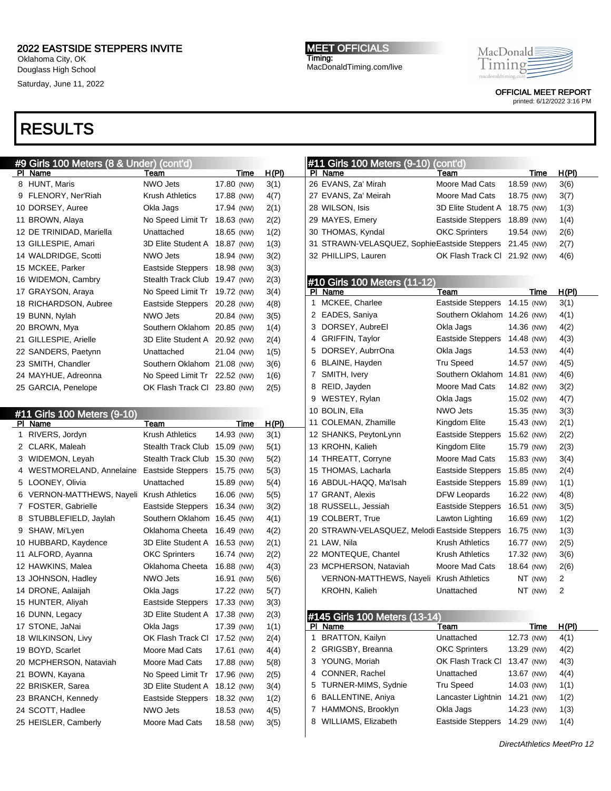Oklahoma City, OK Douglass High School

Saturday, June 11, 2022

MEET OFFICIALS Timing: MacDonaldTiming.com/live MacDonald Timing!

> OFFICIAL MEET REPORT printed: 6/12/2022 3:16 PM

### RESULTS

| #9 Girls 100 Meters (8 & Under) (cont'd) |                          |                           |            |              |  |  |  |  |
|------------------------------------------|--------------------------|---------------------------|------------|--------------|--|--|--|--|
| ΡI                                       | Name                     | Team                      | Time       | <u>H(PI)</u> |  |  |  |  |
| 8                                        | HUNT, Maris              | NWO Jets                  | 17.80 (NW) | 3(1)         |  |  |  |  |
| 9                                        | FLENORY, Ner'Riah        | Krush Athletics           | 17.88 (NW) | 4(7)         |  |  |  |  |
|                                          | 10 DORSEY, Auree         | Okla Jags                 | 17.94 (NW) | 2(1)         |  |  |  |  |
|                                          | 11 BROWN, Alaya          | No Speed Limit Tr         | 18.63 (NW) | 2(2)         |  |  |  |  |
|                                          | 12 DE TRINIDAD, Mariella | Unattached                | 18.65 (NW) | 1(2)         |  |  |  |  |
|                                          | 13 GILLESPIE, Amari      | 3D Elite Student A        | 18.87 (NW) | 1(3)         |  |  |  |  |
|                                          | 14 WALDRIDGE, Scotti     | NWO Jets                  | 18.94 (NW) | 3(2)         |  |  |  |  |
|                                          | 15 MCKEE, Parker         | Eastside Steppers         | 18.98 (NW) | 3(3)         |  |  |  |  |
|                                          | 16 WIDEMON, Cambry       | <b>Stealth Track Club</b> | 19.47 (NW) | 2(3)         |  |  |  |  |
|                                          | 17 GRAYSON, Araya        | No Speed Limit Tr         | 19.72 (NW) | 3(4)         |  |  |  |  |
|                                          | 18 RICHARDSON, Aubree    | Eastside Steppers         | 20.28 (NW) | 4(8)         |  |  |  |  |
|                                          | 19 BUNN, Nylah           | <b>NWO Jets</b>           | 20.84 (NW) | 3(5)         |  |  |  |  |
|                                          | 20 BROWN, Mya            | Southern Oklahom          | 20.85 (NW) | 1(4)         |  |  |  |  |
|                                          | 21 GILLESPIE, Arielle    | 3D Elite Student A        | 20.92 (NW) | 2(4)         |  |  |  |  |
|                                          | 22 SANDERS, Paetynn      | Unattached                | 21.04 (NW) | 1(5)         |  |  |  |  |
|                                          | 23 SMITH, Chandler       | Southern Oklahom          | 21.08 (NW) | 3(6)         |  |  |  |  |
|                                          | 24 MAYHUE, Adreonna      | No Speed Limit Tr         | 22.52 (NW) | 1(6)         |  |  |  |  |
|                                          | 25 GARCIA, Penelope      | OK Flash Track Cl         | 23.80 (NW) | 2(5)         |  |  |  |  |
|                                          |                          |                           |            |              |  |  |  |  |

### #11 Girls 100 Meters (9-10)

| PI | Name                    | Team                      | Time       | H(PI) |
|----|-------------------------|---------------------------|------------|-------|
| 1  | RIVERS, Jordyn          | Krush Athletics           | 14.93 (NW) | 3(1)  |
| 2  | CLARK, Maleah           | Stealth Track Club        | 15.09 (NW) | 5(1)  |
| 3  | WIDEMON, Leyah          | <b>Stealth Track Club</b> | 15.30 (NW) | 5(2)  |
| 4  | WESTMORELAND, Annelaine | Eastside Steppers         | 15.75 (NW) | 5(3)  |
| 5  | LOONEY, Olivia          | Unattached                | 15.89 (NW) | 5(4)  |
| 6  | VERNON-MATTHEWS, Nayeli | Krush Athletics           | 16.06 (NW) | 5(5)  |
| 7  | FOSTER, Gabrielle       | Eastside Steppers         | 16.34 (NW) | 3(2)  |
| 8  | STUBBLEFIELD, Jaylah    | Southern Oklahom          | 16.45 (NW) | 4(1)  |
| 9  | SHAW, Mi'Lyen           | Oklahoma Cheeta           | 16.49 (NW) | 4(2)  |
|    | 10 HUBBARD, Kaydence    | 3D Elite Student A        | 16.53 (NW) | 2(1)  |
|    | 11 ALFORD, Ayanna       | <b>OKC Sprinters</b>      | 16.74 (NW) | 2(2)  |
|    | 12 HAWKINS, Malea       | Oklahoma Cheeta           | 16.88 (NW) | 4(3)  |
|    | 13 JOHNSON, Hadley      | NWO Jets                  | 16.91 (NW) | 5(6)  |
|    | 14 DRONE, Aalaijah      | Okla Jags                 | 17.22 (NW) | 5(7)  |
|    | 15 HUNTER, Aliyah       | Eastside Steppers         | 17.33 (NW) | 3(3)  |
|    | 16 DUNN, Legacy         | 3D Elite Student A        | 17.38 (NW) | 2(3)  |
|    | 17 STONE, JaNai         | Okla Jags                 | 17.39 (NW) | 1(1)  |
|    | 18 WILKINSON, Livy      | OK Flash Track CI         | 17.52 (NW) | 2(4)  |
|    | 19 BOYD, Scarlet        | Moore Mad Cats            | 17.61 (NW) | 4(4)  |
|    | 20 MCPHERSON, Nataviah  | Moore Mad Cats            | 17.88 (NW) | 5(8)  |
|    | 21 BOWN, Kayana         | No Speed Limit Tr         | 17.96 (NW) | 2(5)  |
|    | 22 BRISKER, Sarea       | 3D Elite Student A        | 18.12 (NW) | 3(4)  |
|    | 23 BRANCH, Kennedy      | Eastside Steppers         | 18.32 (NW) | 1(2)  |
|    | 24 SCOTT, Hadlee        | NWO Jets                  | 18.53 (NW) | 4(5)  |
|    | 25 HEISLER, Camberly    | Moore Mad Cats            | 18.58 (NW) | 3(5)  |
|    |                         |                           |            |       |

|   | #11 Girls 100 Meters (9-10) (cont'd)          |                             |            |         |                |
|---|-----------------------------------------------|-----------------------------|------------|---------|----------------|
|   | PI Name                                       | Team                        |            | Time    | H(PI)          |
|   | 26 EVANS, Za' Mirah                           | Moore Mad Cats              | 18.59 (NW) |         | 3(6)           |
|   | 27 EVANS, Za' Meirah                          | Moore Mad Cats              | 18.75 (NW) |         | 3(7)           |
|   | 28 WILSON, Isis                               | 3D Elite Student A          | 18.75 (NW) |         | 1(3)           |
|   | 29 MAYES, Emery                               | Eastside Steppers           | 18.89 (NW) |         | 1(4)           |
|   | 30 THOMAS, Kyndal                             | <b>OKC Sprinters</b>        | 19.54 (NW) |         | 2(6)           |
|   | 31 STRAWN-VELASQUEZ, SophieEastside Steppers  |                             | 21.45 (NW) |         | 2(7)           |
|   | 32 PHILLIPS, Lauren                           | OK Flash Track CI           | 21.92 (NW) |         | 4(6)           |
|   |                                               |                             |            |         |                |
|   | #10 Girls 100 Meters (11-12)                  |                             |            |         |                |
|   | PI Name                                       | Team                        |            | Time    | H(PI)          |
| 1 | MCKEE, Charlee                                | Eastside Steppers           | 14.15 (NW) |         | 3(1)           |
| 2 | EADES, Saniya                                 | Southern Oklahom 14.26 (NW) |            |         | 4(1)           |
| 3 | DORSEY, AubreEl                               | Okla Jags                   | 14.36 (NW) |         | 4(2)           |
| 4 | <b>GRIFFIN, Taylor</b>                        | Eastside Steppers           | 14.48 (NW) |         | 4(3)           |
| 5 | DORSEY, AubrrOna                              | Okla Jags                   | 14.53 (NW) |         | 4(4)           |
| 6 | BLAINE, Hayden                                | Tru Speed                   | 14.57 (NW) |         | 4(5)           |
| 7 | SMITH, Ivery                                  | Southern Oklahom            | 14.81 (NW) |         | 4(6)           |
| 8 | REID, Jayden                                  | Moore Mad Cats              | 14.82 (NW) |         | 3(2)           |
| 9 | WESTEY, Rylan                                 | Okla Jags                   | 15.02 (NW) |         | 4(7)           |
|   | 10 BOLIN, Ella                                | NWO Jets                    | 15.35 (NW) |         | 3(3)           |
|   | 11 COLEMAN, Zhamille                          | Kingdom Elite               | 15.43 (NW) |         | 2(1)           |
|   | 12 SHANKS, PeytonLynn                         | Eastside Steppers           | 15.62 (NW) |         | 2(2)           |
|   | 13 KROHN, Kalieh                              | Kingdom Elite               | 15.79 (NW) |         | 2(3)           |
|   | 14 THREATT, Corryne                           | Moore Mad Cats              | 15.83 (NW) |         | 3(4)           |
|   | 15 THOMAS, Lacharla                           | Eastside Steppers           | 15.85 (NW) |         | 2(4)           |
|   | 16 ABDUL-HAQQ, Ma'lsah                        | <b>Eastside Steppers</b>    | 15.89 (NW) |         | 1(1)           |
|   | 17 GRANT, Alexis                              | <b>DFW Leopards</b>         | 16.22 (NW) |         | 4(8)           |
|   | 18 RUSSELL, Jessiah                           | <b>Eastside Steppers</b>    | 16.51 (NW) |         | 3(5)           |
|   | 19 COLBERT, True                              | Lawton Lighting             | 16.69 (NW) |         | 1(2)           |
|   | 20 STRAWN-VELASQUEZ, Melodi Eastside Steppers |                             | 16.75 (NW) |         | 1(3)           |
|   | 21 LAW, Nila                                  | Krush Athletics             | 16.77 (NW) |         | 2(5)           |
|   | 22 MONTEQUE, Chantel                          | <b>Krush Athletics</b>      | 17.32 (NW) |         | 3(6)           |
|   | 23 MCPHERSON, Nataviah                        | Moore Mad Cats              | 18.64 (NW) |         | 2(6)           |
|   | VERNON-MATTHEWS, Nayeli                       | <b>Krush Athletics</b>      |            | NT (NW) | 2              |
|   | KROHN, Kalieh                                 | Unattached                  |            | NT (NW) | $\overline{2}$ |

### #145 Girls 100 Meters (13-14)

|              | PI Name                | Team                     | Time       | H(PI) |
|--------------|------------------------|--------------------------|------------|-------|
| $\mathbf{1}$ | <b>BRATTON, Kailyn</b> | Unattached               | 12.73 (NW) | 4(1)  |
|              | 2 GRIGSBY, Breanna     | <b>OKC Sprinters</b>     | 13.29 (NW) | 4(2)  |
|              | 3 YOUNG, Moriah        | OK Flash Track CI        | 13.47 (NW) | 4(3)  |
|              | 4 CONNER, Rachel       | Unattached               | 13.67 (NW) | 4(4)  |
|              | 5 TURNER-MIMS, Sydnie  | <b>Tru Speed</b>         | 14.03 (NW) | 1(1)  |
|              | 6 BALLENTINE, Aniya    | Lancaster Lightnin       | 14.21 (NW) | 1(2)  |
|              | 7 HAMMONS, Brooklyn    | Okla Jags                | 14.23 (NW) | 1(3)  |
| 8            | WILLIAMS, Elizabeth    | <b>Eastside Steppers</b> | 14.29 (NW) | 1(4)  |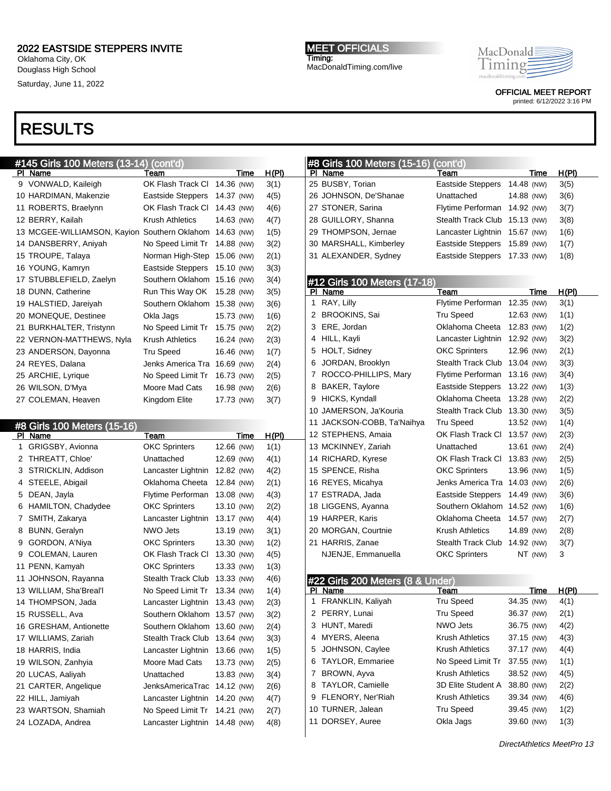Oklahoma City, OK Douglass High School Saturday, June 11, 2022

### RESULTS

#145 Girls 100 Meters (13-14) (cont'd) PI Name Team Team Time H(PI) VONWALD, Kaileigh OK Flash Track Cl 14.36 (NW) 3(1) HARDIMAN, Makenzie Eastside Steppers 14.37 (NW) 4(5) ROBERTS, Braelynn OK Flash Track Cl 14.43 (NW) 4(6) BERRY, Kailah Krush Athletics 14.63 (NW) 4(7) MCGEE-WILLIAMSON, Kayion Southern Oklahom 14.63 (NW) 1(5) DANSBERRY, Aniyah No Speed Limit Tr 14.88 (NW) 3(2) TROUPE, Talaya Norman High-Step 15.06 (NW) 2(1) YOUNG, Kamryn Eastside Steppers 15.10 (NW) 3(3) STUBBLEFIELD, Zaelyn Southern Oklahom 15.16 (NW) 3(4) 18 DUNN, Catherine Run This Way OK 15.28 (NW) 3(5) HALSTIED, Jareiyah Southern Oklahom 15.38 (NW) 3(6) MONEQUE, Destinee Okla Jags 15.73 (NW) 1(6) BURKHALTER, Tristynn No Speed Limit Tr 15.75 (NW) 2(2) VERNON-MATTHEWS, Nyla Krush Athletics 16.24 (NW) 2(3) 23 ANDERSON, Dayonna Tru Speed 16.46 (NW) 1(7) REYES, Dalana Jenks America Tra 16.69 (NW) 2(4) ARCHIE, Lyrique No Speed Limit Tr 16.73 (NW) 2(5) WILSON, D'Mya Moore Mad Cats 16.98 (NW) 2(6) 27 COLEMAN, Heaven Kingdom Elite 17.73 (NW) 3(7)

#### #8 Girls 100 Meters (15-16)

| PI | Name                    | Team                      | Time       | H(PI) |
|----|-------------------------|---------------------------|------------|-------|
| 1  | GRIGSBY, Avionna        | OKC Sprinters             | 12.66 (NW) | 1(1)  |
| 2  | THREATT, Chloe'         | Unattached                | 12.69 (NW) | 4(1)  |
| 3  | STRICKLIN, Addison      | Lancaster Lightnin        | 12.82 (NW) | 4(2)  |
| 4  | STEELE, Abigail         | Oklahoma Cheeta           | 12.84 (NW) | 2(1)  |
| 5  | DEAN, Jayla             | Flytime Performan         | 13.08 (NW) | 4(3)  |
| 6  | HAMILTON, Chadydee      | <b>OKC Sprinters</b>      | 13.10 (NW) | 2(2)  |
| 7  | SMITH, Zakarya          | Lancaster Lightnin        | 13.17 (NW) | 4(4)  |
| 8  | <b>BUNN, Geralyn</b>    | NWO Jets                  | 13.19 (NW) | 3(1)  |
| 9  | GORDON, A'Niya          | <b>OKC Sprinters</b>      | 13.30 (NW) | 1(2)  |
| 9  | COLEMAN, Lauren         | OK Flash Track Cl         | 13.30 (NW) | 4(5)  |
|    | 11 PENN, Kamyah         | <b>OKC Sprinters</b>      | 13.33 (NW) | 1(3)  |
|    | 11 JOHNSON, Rayanna     | <b>Stealth Track Club</b> | 13.33 (NW) | 4(6)  |
|    | 13 WILLIAM, Sha'Breal'l | No Speed Limit Tr         | 13.34 (NW) | 1(4)  |
|    | 14 THOMPSON, Jada       | Lancaster Lightnin        | 13.43 (NW) | 2(3)  |
|    | 15 RUSSELL, Ava         | Southern Oklahom          | 13.57 (NW) | 3(2)  |
|    | 16 GRESHAM, Antionette  | Southern Oklahom          | 13.60 (NW) | 2(4)  |
|    | 17 WILLIAMS, Zariah     | <b>Stealth Track Club</b> | 13.64 (NW) | 3(3)  |
|    | 18 HARRIS, India        | Lancaster Lightnin        | 13.66 (NW) | 1(5)  |
|    | 19 WILSON, Zanhyia      | Moore Mad Cats            | 13.73 (NW) | 2(5)  |
|    | 20 LUCAS, Aaliyah       | Unattached                | 13.83 (NW) | 3(4)  |
|    | 21 CARTER, Angelique    | JenksAmericaTrac          | 14.12 (NW) | 2(6)  |
|    | 22 HILL, Jamiyah        | Lancaster Lightnin        | 14.20 (NW) | 4(7)  |
|    | 23 WARTSON, Shamiah     | No Speed Limit Tr         | 14.21 (NW) | 2(7)  |
|    | 24 LOZADA, Andrea       | Lancaster Lightnin        | 14.48 (NW) | 4(8)  |

**MEET OFFICIALS** Timing: MacDonaldTiming.com/live

OFFICIAL MEET REPORT

printed: 6/12/2022 3:16 PM

#### #8 Girls 100 Meters (15-16) (cont'd) PI Name Time H(PI) BUSBY, Torian Eastside Steppers 14.48 (NW) 3(5) JOHNSON, De'Shanae Unattached 14.88 (NW) 3(6) 27 STONER, Sarina Flytime Performan 14.92 (NW) 3(7) 28 GUILLORY, Shanna Stealth Track Club 15.13 (NW) 3(8)

 THOMPSON, Jernae Lancaster Lightnin 15.67 (NW) 1(6) MARSHALL, Kimberley Eastside Steppers 15.89 (NW) 1(7) ALEXANDER, Sydney Eastside Steppers 17.33 (NW) 1(8)

#### #12 Girls 100 Meters (17-18)

| PI | Name                       | Team                      | Time       | H(PI) |
|----|----------------------------|---------------------------|------------|-------|
| 1  | RAY, Lilly                 | Flytime Performan         | 12.35 (NW) | 3(1)  |
| 2  | BROOKINS, Sai              | Tru Speed                 | 12.63 (NW) | 1(1)  |
| 3  | ERE, Jordan                | Oklahoma Cheeta           | 12.83 (NW) | 1(2)  |
| 4  | HILL, Kayli                | Lancaster Lightnin        | 12.92 (NW) | 3(2)  |
| 5  | HOLT, Sidney               | <b>OKC Sprinters</b>      | 12.96 (NW) | 2(1)  |
| 6  | JORDAN, Brooklyn           | <b>Stealth Track Club</b> | 13.04 (NW) | 3(3)  |
| 7  | ROCCO-PHILLIPS, Mary       | Flytime Performan         | 13.16 (NW) | 3(4)  |
| 8  | BAKER, Taylore             | Eastside Steppers         | 13.22 (NW) | 1(3)  |
| 9  | HICKS, Kyndall             | Oklahoma Cheeta           | 13.28 (NW) | 2(2)  |
|    | 10 JAMERSON, Ja'Kouria     | <b>Stealth Track Club</b> | 13.30 (NW) | 3(5)  |
|    | 11 JACKSON-COBB, Ta'Naihya | Tru Speed                 | 13.52 (NW) | 1(4)  |
|    | 12 STEPHENS, Amaia         | OK Flash Track Cl         | 13.57 (NW) | 2(3)  |
|    | 13 MCKINNEY, Zariah        | Unattached                | 13.61 (NW) | 2(4)  |
|    | 14 RICHARD, Kyrese         | OK Flash Track Cl         | 13.83 (NW) | 2(5)  |
|    | 15 SPENCE, Risha           | <b>OKC Sprinters</b>      | 13.96 (NW) | 1(5)  |
|    | 16 REYES, Micahya          | Jenks America Tra         | 14.03 (NW) | 2(6)  |
|    | 17 ESTRADA, Jada           | Eastside Steppers         | 14.49 (NW) | 3(6)  |
|    | 18 LIGGENS, Ayanna         | Southern Oklahom          | 14.52 (NW) | 1(6)  |
|    | 19 HARPER, Karis           | Oklahoma Cheeta           | 14.57 (NW) | 2(7)  |
|    | 20 MORGAN, Courtnie        | <b>Krush Athletics</b>    | 14.89 (NW) | 2(8)  |
|    | 21 HARRIS, Zanae           | <b>Stealth Track Club</b> | 14.92 (NW) | 3(7)  |
|    | NJENJE, Emmanuella         | <b>OKC Sprinters</b>      | NT (NW)    | 3     |

#### #22 Girls 200 Meters (8 & Under)

| PI | Name                    | Team                   | Time       | H(PI) |
|----|-------------------------|------------------------|------------|-------|
|    | FRANKLIN, Kaliyah       | Tru Speed              | 34.35 (NW) | 4(1)  |
|    | 2 PERRY, Lunai          | Tru Speed              | 36.37 (NW) | 2(1)  |
|    | 3 HUNT, Maredi          | NWO Jets               | 36.75 (NW) | 4(2)  |
| 4  | MYERS, Aleena           | <b>Krush Athletics</b> | 37.15 (NW) | 4(3)  |
|    | 5 JOHNSON, Caylee       | Krush Athletics        | 37.17 (NW) | 4(4)  |
| 6  | <b>TAYLOR, Emmariee</b> | No Speed Limit Tr      | 37.55 (NW) | 1(1)  |
| 7  | BROWN, Ayva             | <b>Krush Athletics</b> | 38.52 (NW) | 4(5)  |
| 8  | <b>TAYLOR, Camielle</b> | 3D Elite Student A     | 38.80 (NW) | 2(2)  |
|    | 9 FLENORY, Ner'Riah     | <b>Krush Athletics</b> | 39.34 (NW) | 4(6)  |
|    | 10 TURNER, Jalean       | Tru Speed              | 39.45 (NW) | 1(2)  |
|    | 11 DORSEY, Auree        | Okla Jags              | 39.60 (NW) | 1(3)  |
|    |                         |                        |            |       |

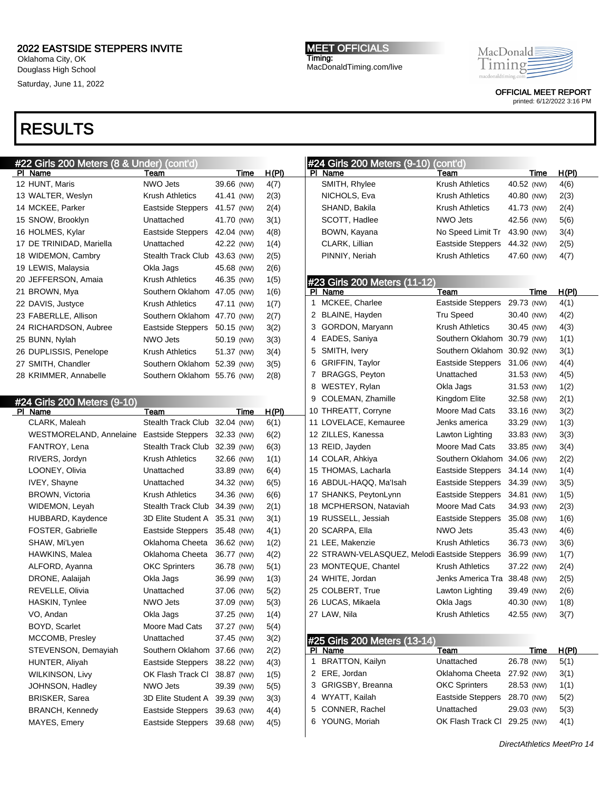#22 Girls 200 Meters (8 & Under) (cont'd)

Oklahoma City, OK Douglass High School Saturday, June 11, 2022

### RESULTS

**MEET OFFICIALS** Timing: MacDonaldTiming.com/live

Timing OFFICIAL MEET REPORT

MacDonald

printed: 6/12/2022 3:16 PM

#### PI Name Team Team Time H(PI) 12 HUNT, Maris NWO Jets 39.66 (NW) 4(7) 13 WALTER, Weslyn Krush Athletics 41.41 (NW) 2(3) 14 MCKEE, Parker Eastside Steppers 41.57 (NW) 2(4) 15 SNOW, Brooklyn Unattached 41.70 (NW) 3(1) 16 HOLMES, Kylar Eastside Steppers 42.04 (NW) 4(8) 17 DE TRINIDAD, Mariella Unattached 42.22 (NW) 1(4) 18 WIDEMON, Cambry Stealth Track Club 43.63 (NW) 2(5) 19 LEWIS, Malaysia Okla Jags 45.68 (NW) 2(6) 20 JEFFERSON, Amaia Krush Athletics 46.35 (NW) 1(5) #24 Girls 200 Meters (9-10) (cont'd) PI Name Team Team Team Time H(PI) SMITH, Rhylee Krush Athletics 40.52 (NW) 4(6) NICHOLS, Eva **Krush Athletics** 40.80 (NW) 2(3) SHAND, Bakila Krush Athletics 41.73 (NW) 2(4) SCOTT, Hadlee NWO Jets 42.56 (NW) 5(6) BOWN, Kayana No Speed Limit Tr 43.90 (NW) 3(4) CLARK, Lillian Eastside Steppers 44.32 (NW) 2(5) PINNIY, Neriah Krush Athletics 47.60 (NW) 4(7) #23 Girls 200 Meters (11-12) PI Name Team Team Team Time H(PI) E, Charlee **Eastside Steppers** 29.73 (NW) 4(1)  $E$ , Hayden Tru Speed  $30.40$  (NW)  $4(2)$ ON, Maryann Krush Athletics 30.45 (NW) 4(3) 5 April 20.79 (NW) Southern Oklahom 30.79 (NW) (1) Ivery Southern Oklahom 30.92 (NW) 3(1) N, Taylor **Eastside Steppers** 31.06 (NW) 4(4)  $-$  BS, Peyton Unattached 31.53 (NW)  $4(5)$  $(Y, R$ ylan Okla Jags  $31.53$  (NW)  $1(2)$ AN, Zhamille Kingdom Elite 32.58 (NW) 2(1) TT, Corryne Moore Mad Cats 33.16 (NW) 3(2) ACE, Kemauree Jenks america 33.29 (NW) 1(3) 1, Kanessa Lawton Lighting 33.83 (NW) 3(3) layden Moore Mad Cats 33.85 (NW) 3(4)  $1,$  Ahkiya Southern Oklahom 34.06 (NW)  $2(2)$ 14 AS, Lacharla **Eastside Steppers** 34.14 (NW) 1(4) -HAQQ, Ma'Isah Eastside Steppers 34.39 (NW) 3(5) S, PeytonLynn Eastside Steppers 34.81 (NW) 1(5) ERSON, Nataviah Moore Mad Cats 34.93 (NW) 2(3) ELL, Jessiah Eastside Steppers 35.08 (NW) 1(6) 20 SCARPA, Ella NWO Jets 35.43 (NW) 4(6) akenzie **Krush Athletics** 36.73 (NW) 3(6) VN-VELASQUEZ, Melodi Eastside Steppers 36.99 (NW) 1(7) EQUE, Chantel Krush Athletics 37.22 (NW) 2(4) Jordan Jenks America Tra 38.48 (NW) 2(5)  $26$  CRT, True Lawton Lighting  $39.49$  (NW)  $2(6)$ , Mikaela Ckla Jags 40.30 (NW) 1(8) lila Krush Athletics 42.55 (NW) 3(7) #25 Girls 200 Meters (13-14)

|   | #25 Girls 200 Meters (13-14) |                              |            |       |
|---|------------------------------|------------------------------|------------|-------|
|   | Name                         | Team                         | Time       | H(PI) |
|   | <b>BRATTON, Kailyn</b>       | Unattached                   | 26.78 (NW) | 5(1)  |
|   | 2 ERE, Jordan                | Oklahoma Cheeta 27.92 (NW)   |            | 3(1)  |
|   | 3 GRIGSBY, Breanna           | <b>OKC Sprinters</b>         | 28.53 (NW) | 1(1)  |
|   | 4 WYATT, Kailah              | Eastside Steppers 28.70 (NW) |            | 5(2)  |
|   | 5 CONNER, Rachel             | Unattached                   | 29.03 (NW) | 5(3)  |
| 6 | YOUNG, Moriah                | OK Flash Track CI 29.25 (NW) |            | 4(1)  |

|     | 21 BROWN, Mya                             | Southern Oklahom 47.05 (NW)   |            |      | 1(6)         | ΡI           | <b>Name</b>   |
|-----|-------------------------------------------|-------------------------------|------------|------|--------------|--------------|---------------|
|     | 22 DAVIS, Justyce                         | <b>Krush Athletics</b>        | 47.11 (NW) |      | 1(7)         | $\mathbf{1}$ | <b>MCKEE</b>  |
|     | 23 FABERLLE, Allison                      | Southern Oklahom 47.70 (NW)   |            |      | 2(7)         | $\mathbf{2}$ | <b>BLAINE</b> |
|     | 24 RICHARDSON, Aubree                     | Eastside Steppers 50.15 (NW)  |            |      | 3(2)         | 3            | <b>GORD</b>   |
|     | 25 BUNN, Nylah                            | NWO Jets                      | 50.19 (NW) |      | 3(3)         | 4            | <b>EADES</b>  |
|     | 26 DUPLISSIS, Penelope                    | Krush Athletics               | 51.37 (NW) |      | 3(4)         | 5            | SMITH,        |
|     | 27 SMITH, Chandler                        | Southern Oklahom 52.39 (NW)   |            |      | 3(5)         | 6            | <b>GRIFFI</b> |
|     | 28 KRIMMER, Annabelle                     | Southern Oklahom 55.76 (NW)   |            |      | 2(8)         | 7            | <b>BRAGG</b>  |
|     |                                           |                               |            |      |              | 8            | <b>WESTE</b>  |
|     | #24 Girls 200 Meters (9-10)               |                               |            |      |              | 9            | <b>COLEM</b>  |
| PI. | Name                                      | Team                          |            | Time | <u>H(PI)</u> |              | 10 THREA      |
|     | CLARK, Maleah                             | <b>Stealth Track Club</b>     | 32.04 (NW) |      | 6(1)         |              | 11 LOVEL      |
|     | WESTMORELAND, Annelaine Eastside Steppers |                               | 32.33 (NW) |      | 6(2)         |              | 12 ZILLES     |
|     | FANTROY, Lena                             | Stealth Track Club            | 32.39 (NW) |      | 6(3)         |              | 13 REID, J    |
|     | RIVERS, Jordyn                            | <b>Krush Athletics</b>        | 32.66 (NW) |      | 1(1)         |              | 14 COLAR      |
|     | LOONEY, Olivia                            | Unattached                    | 33.89 (NW) |      | 6(4)         |              | 15 THOMA      |
|     | <b>IVEY, Shayne</b>                       | Unattached                    | 34.32 (NW) |      | 6(5)         |              | 16 ABDUL      |
|     | <b>BROWN, Victoria</b>                    | <b>Krush Athletics</b>        | 34.36 (NW) |      | 6(6)         |              | 17 SHANK      |
|     | WIDEMON, Leyah                            | <b>Stealth Track Club</b>     | 34.39 (NW) |      | 2(1)         |              | 18 MCPHE      |
|     | HUBBARD, Kaydence                         | 3D Elite Student A            | 35.31 (NW) |      | 3(1)         |              | 19 RUSSE      |
|     | FOSTER, Gabrielle                         | <b>Eastside Steppers</b>      | 35.48 (NW) |      | 4(1)         |              | 20 SCARP      |
|     | SHAW, Mi'Lyen                             | Oklahoma Cheeta               | 36.62 (NW) |      | 1(2)         |              | 21 LEE, M     |
|     | HAWKINS, Malea                            | Oklahoma Cheeta               | 36.77 (NW) |      | 4(2)         |              | 22 STRAW      |
|     | ALFORD, Ayanna                            | <b>OKC Sprinters</b>          | 36.78 (NW) |      | 5(1)         |              | 23 MONTE      |
|     | DRONE, Aalaijah                           | Okla Jags                     | 36.99 (NW) |      | 1(3)         |              | 24 WHITE.     |
|     | REVELLE, Olivia                           | Unattached                    | 37.06 (NW) |      | 5(2)         |              | 25 COLBE      |
|     | HASKIN, Tynlee                            | <b>NWO Jets</b>               | 37.09 (NW) |      | 5(3)         |              | 26 LUCAS      |
|     | VO, Andan                                 | Okla Jags                     | 37.25 (NW) |      | 1(4)         |              | 27 LAW, N     |
|     | BOYD, Scarlet                             | Moore Mad Cats                | 37.27 (NW) |      | 5(4)         |              |               |
|     | MCCOMB, Presley                           | Unattached                    | 37.45 (NW) |      | 3(2)         |              | #25 Girls     |
|     | STEVENSON, Demayiah                       | Southern Oklahom 37.66 (NW)   |            |      | 2(2)         | PI.          | <u>Name</u>   |
|     | HUNTER, Aliyah                            | Eastside Steppers             | 38.22 (NW) |      | 4(3)         | $\mathbf{1}$ | <b>BRATT</b>  |
|     | <b>WILKINSON, Livy</b>                    | OK Flash Track Cl             | 38.87 (NW) |      | 1(5)         |              | 2 ERE, Jo     |
|     | JOHNSON, Hadley                           | <b>NWO Jets</b>               | 39.39 (NW) |      | 5(5)         | 3            | <b>GRIGS</b>  |
|     | <b>BRISKER, Sarea</b>                     | 3D Elite Student A 39.39 (NW) |            |      | 3(3)         |              | 4 WYATT       |
|     | <b>BRANCH, Kennedy</b>                    | Eastside Steppers             | 39.63 (NW) |      | 4(4)         | 5.           | <b>CONNE</b>  |
|     | MAYES, Emery                              | Eastside Steppers             | 39.68 (NW) |      | 4(5)         | 6            | <b>YOUNG</b>  |
|     |                                           |                               |            |      |              |              |               |
|     |                                           |                               |            |      |              |              |               |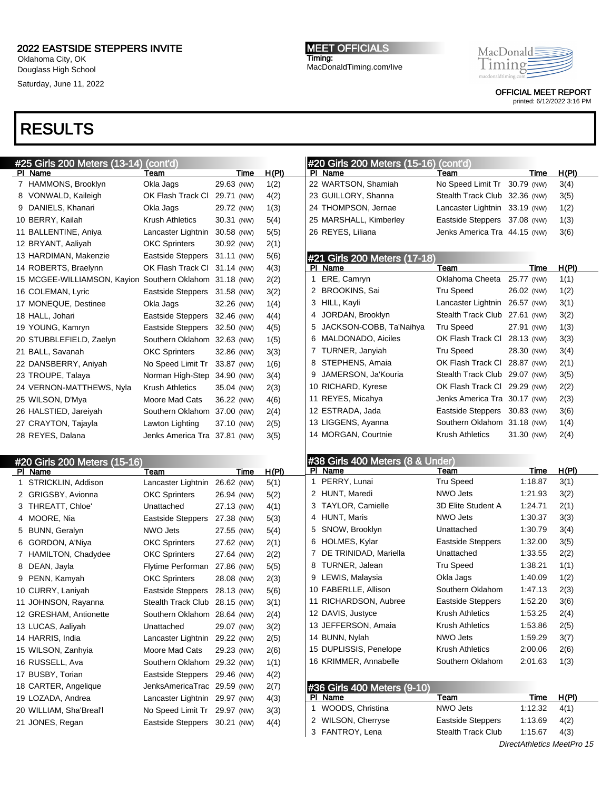Oklahoma City, OK Douglass High School Saturday, June 11, 2022

### RESULTS

#25 Girls 200 Meters (13-14) (cont'd) PI Name Team Team Time H(PI) HAMMONS, Brooklyn Okla Jags 29.63 (NW) 1(2) VONWALD, Kaileigh OK Flash Track Cl 29.71 (NW) 4(2) DANIELS, Khanari Okla Jags 29.72 (NW) 1(3) BERRY, Kailah Krush Athletics 30.31 (NW) 5(4) BALLENTINE, Aniya Lancaster Lightnin 30.58 (NW) 5(5) BRYANT, Aaliyah OKC Sprinters 30.92 (NW) 2(1) HARDIMAN, Makenzie Eastside Steppers 31.11 (NW) 5(6) ROBERTS, Braelynn OK Flash Track Cl 31.14 (NW) 4(3) MCGEE-WILLIAMSON, Kayion Southern Oklahom 31.18 (NW) 2(2) COLEMAN, Lyric Eastside Steppers 31.58 (NW) 3(2) MONEQUE, Destinee Okla Jags 32.26 (NW) 1(4) HALL, Johari Eastside Steppers 32.46 (NW) 4(4) YOUNG, Kamryn Eastside Steppers 32.50 (NW) 4(5) STUBBLEFIELD, Zaelyn Southern Oklahom 32.63 (NW) 1(5) BALL, Savanah OKC Sprinters 32.86 (NW) 3(3) DANSBERRY, Aniyah No Speed Limit Tr 33.87 (NW) 1(6) 23 TROUPE, Talaya Norman High-Step 34.90 (NW) 3(4) VERNON-MATTHEWS, Nyla Krush Athletics 35.04 (NW) 2(3) 25 WILSON, D'Mya Moore Mad Cats 36.22 (NW) 4(6) HALSTIED, Jareiyah Southern Oklahom 37.00 (NW) 2(4) CRAYTON, Tajayla Lawton Lighting 37.10 (NW) 2(5) REYES, Dalana Jenks America Tra 37.81 (NW) 3(5) #20 Girls 200 Meters (15-16) PI Name Team Time H(PI) STRICKLIN, Addison Lancaster Lightnin 26.62 (NW) 5(1) GRIGSBY, Avionna OKC Sprinters 26.94 (NW) 5(2) THREATT, Chloe' Unattached 27.13 (NW) 4(1) MOORE, Nia Eastside Steppers 27.38 (NW) 5(3) BUNN, Geralyn NWO Jets 27.55 (NW) 5(4) GORDON, A'Niya OKC Sprinters 27.62 (NW) 2(1) HAMILTON, Chadydee OKC Sprinters 27.64 (NW) 2(2) 8 DEAN, Jayla **Flytime Performan 27.86 (NW)** 5(5) PENN, Kamyah OKC Sprinters 28.08 (NW) 2(3) CURRY, Laniyah Eastside Steppers 28.13 (NW) 5(6) JOHNSON, Rayanna Stealth Track Club 28.15 (NW) 3(1) GRESHAM, Antionette Southern Oklahom 28.64 (NW) 2(4) LUCAS, Aaliyah Unattached 29.07 (NW) 3(2) HARRIS, India Lancaster Lightnin 29.22 (NW) 2(5) WILSON, Zanhyia Moore Mad Cats 29.23 (NW) 2(6) 16 RUSSELL, Ava Southern Oklahom 29.32 (NW) 1(1) BUSBY, Torian Eastside Steppers 29.46 (NW) 4(2) CARTER, Angelique JenksAmericaTrac 29.59 (NW) 2(7) LOZADA, Andrea Lancaster Lightnin 29.97 (NW) 4(3) WILLIAM, Sha'Breal'l No Speed Limit Tr 29.97 (NW) 3(3) JONES, Regan Eastside Steppers 30.21 (NW) 4(4) #20 Girls 200 Meters (15-16) (cont'd) PI Name Team Team Time H(PI) 22 WARTSON, Shamiah No Speed Limit Tr 30.79 (NW) 3(4) 23 GUILLORY, Shanna Stealth Track Club 32.36 (NW) 3(5) THOMPSON, Jernae Lancaster Lightnin 33.19 (NW) 1(2) MARSHALL, Kimberley Eastside Steppers 37.08 (NW) 1(3) REYES, Liliana Jenks America Tra 44.15 (NW) 3(6) #21 Girls 200 Meters (17-18) PI Name Team Team Time H(PI) ERE, Camryn Oklahoma Cheeta 25.77 (NW) 1(1) BROOKINS, Sai Tru Speed 26.02 (NW) 1(2) HILL, Kayli Lancaster Lightnin 26.57 (NW) 3(1) JORDAN, Brooklyn Stealth Track Club 27.61 (NW) 3(2) JACKSON-COBB, Ta'Naihya Tru Speed 27.91 (NW) 1(3) MALDONADO, Aiciles OK Flash Track Cl 28.13 (NW) 3(3) TURNER, Janyiah Tru Speed 28.30 (NW) 3(4) STEPHENS, Amaia OK Flash Track Cl 28.87 (NW) 2(1) 9 JAMERSON, Ja'Kouria Stealth Track Club 29.07 (NW) 3(5) RICHARD, Kyrese OK Flash Track Cl 29.29 (NW) 2(2) REYES, Micahya Jenks America Tra 30.17 (NW) 2(3) ESTRADA, Jada Eastside Steppers 30.83 (NW) 3(6) LIGGENS, Ayanna Southern Oklahom 31.18 (NW) 1(4) MORGAN, Courtnie Krush Athletics 31.30 (NW) 2(4) #38 Girls 400 Meters (8 & Under) PI Name Team Team Time H(PI) PERRY, Lunai Tru Speed 1:18.87 3(1) HUNT, Maredi NWO Jets 1:21.93 3(2) TAYLOR, Camielle 3D Elite Student A 1:24.71 2(1) HUNT, Maris NWO Jets 1:30.37 3(3) SNOW, Brooklyn Unattached 1:30.79 3(4) HOLMES, Kylar Eastside Steppers 1:32.00 3(5) DE TRINIDAD, Mariella Unattached 1:33.55 2(2) 8 TURNER, Jalean Tru Speed 1:38.21 1(1) LEWIS, Malaysia Okla Jags 1:40.09 1(2) FABERLLE, Allison Southern Oklahom 1:47.13 2(3) RICHARDSON, Aubree Eastside Steppers 1:52.20 3(6) DAVIS, Justyce Krush Athletics 1:53.25 2(4) JEFFERSON, Amaia Krush Athletics 1:53.86 2(5) BUNN, Nylah NWO Jets 1:59.29 3(7) DUPLISSIS, Penelope Krush Athletics 2:00.06 2(6) KRIMMER, Annabelle Southern Oklahom 2:01.63 1(3) #36 Girls 400 Meters (9-10) PI Name Team Team Time H(PI) WOODS, Christina NWO Jets 1:12.32 4(1) WILSON, Cherryse Eastside Steppers 1:13.69 4(2) FANTROY, Lena Stealth Track Club 1:15.67 4(3)

MacDonald Timing:

> OFFICIAL MEET REPORT printed: 6/12/2022 3:16 PM

### DirectAthletics MeetPro 15

MEET OFFICIALS Timing: MacDonaldTiming.com/live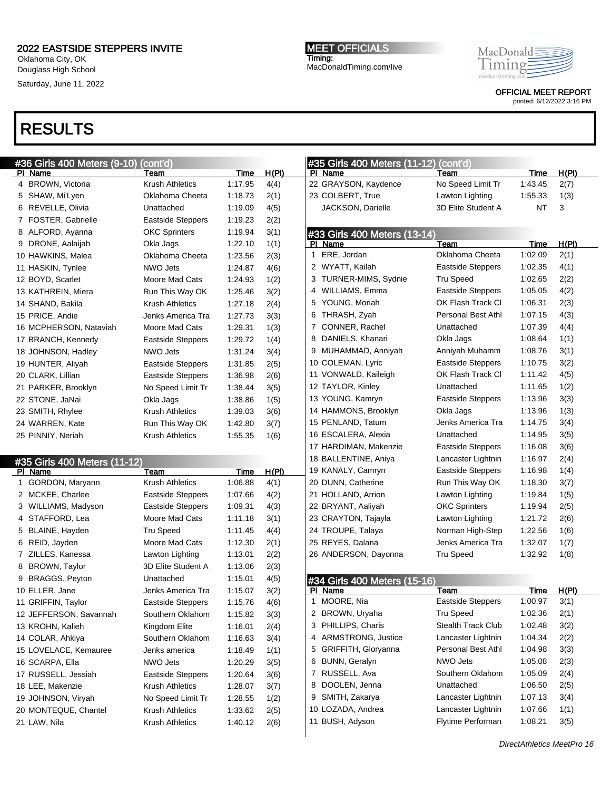Oklahoma City, OK Douglass High School

Saturday, June 11, 2022

# RESULTS

### #36 Girls 400 Meters (9-10) (cont'd)

| PI | Name                         | Team                     | Time        | H(PI) |
|----|------------------------------|--------------------------|-------------|-------|
| 4  | BROWN, Victoria              | <b>Krush Athletics</b>   | 1:17.95     | 4(4)  |
| 5  | SHAW, Mi'Lyen                | Oklahoma Cheeta          | 1:18.73     | 2(1)  |
| 6  | REVELLE, Olivia              | Unattached               | 1:19.09     | 4(5)  |
| 7  | <b>FOSTER, Gabrielle</b>     | Eastside Steppers        | 1:19.23     | 2(2)  |
| 8  | ALFORD, Ayanna               | <b>OKC Sprinters</b>     | 1:19.94     | 3(1)  |
| 9  | DRONE, Aalaijah              | Okla Jags                | 1:22.10     | 1(1)  |
|    | 10 HAWKINS, Malea            | Oklahoma Cheeta          | 1:23.56     | 2(3)  |
|    | 11 HASKIN, Tynlee            | <b>NWO Jets</b>          | 1:24.87     | 4(6)  |
|    | 12 BOYD, Scarlet             | Moore Mad Cats           | 1:24.93     | 1(2)  |
|    | 13 KATHREIN, Miera           | Run This Way OK          | 1:25.46     | 3(2)  |
|    | 14 SHAND, Bakila             | <b>Krush Athletics</b>   | 1:27.18     | 2(4)  |
|    | 15 PRICE, Andie              | Jenks America Tra        | 1:27.73     | 3(3)  |
|    | 16 MCPHERSON, Nataviah       | Moore Mad Cats           | 1:29.31     | 1(3)  |
|    | 17 BRANCH, Kennedy           | <b>Eastside Steppers</b> | 1:29.72     | 1(4)  |
|    | 18 JOHNSON, Hadley           | <b>NWO Jets</b>          | 1:31.24     | 3(4)  |
|    | 19 HUNTER, Aliyah            | <b>Eastside Steppers</b> | 1:31.85     | 2(5)  |
|    | 20 CLARK, Lillian            | <b>Eastside Steppers</b> | 1:36.98     | 2(6)  |
|    | 21 PARKER, Brooklyn          | No Speed Limit Tr        | 1:38.44     | 3(5)  |
|    | 22 STONE, JaNai              | Okla Jags                | 1:38.86     | 1(5)  |
|    | 23 SMITH, Rhylee             | <b>Krush Athletics</b>   | 1:39.03     | 3(6)  |
|    | 24 WARREN, Kate              | Run This Way OK          | 1:42.80     | 3(7)  |
|    | 25 PINNIY, Neriah            | <b>Krush Athletics</b>   | 1:55.35     | 1(6)  |
|    |                              |                          |             |       |
|    | #35 Girls 400 Meters (11-12) |                          |             |       |
| ΡI | Name                         | Team                     | <b>Time</b> | H(PI) |

| гι | nane                   | ream                     | ппе     | <u>n (ri)</u> |  |
|----|------------------------|--------------------------|---------|---------------|--|
| 1  | GORDON, Maryann        | <b>Krush Athletics</b>   | 1:06.88 | 4(1)          |  |
| 2  | MCKEE, Charlee         | <b>Eastside Steppers</b> | 1:07.66 | 4(2)          |  |
| 3  | WILLIAMS, Madyson      | <b>Eastside Steppers</b> | 1:09.31 | 4(3)          |  |
| 4  | STAFFORD, Lea          | Moore Mad Cats           | 1:11.18 | 3(1)          |  |
| 5  | BLAINE, Hayden         | <b>Tru Speed</b>         | 1:11.45 | 4(4)          |  |
| 6  | REID, Jayden           | Moore Mad Cats           | 1:12.30 | 2(1)          |  |
| 7  | ZILLES, Kanessa        | Lawton Lighting          | 1:13.01 | 2(2)          |  |
| 8  | <b>BROWN, Taylor</b>   | 3D Elite Student A       | 1:13.06 | 2(3)          |  |
| 9  | <b>BRAGGS, Peyton</b>  | Unattached               | 1:15.01 | 4(5)          |  |
|    | 10 ELLER, Jane         | Jenks America Tra        | 1:15.07 | 3(2)          |  |
|    | 11 GRIFFIN, Taylor     | Eastside Steppers        | 1:15.76 | 4(6)          |  |
|    | 12 JEFFERSON, Savannah | Southern Oklahom         | 1:15.82 | 3(3)          |  |
|    | 13 KROHN, Kalieh       | Kingdom Elite            | 1:16.01 | 2(4)          |  |
|    | 14 COLAR, Ahkiya       | Southern Oklahom         | 1:16.63 | 3(4)          |  |
|    | 15 LOVELACE, Kemauree  | Jenks america            | 1:18.49 | 1(1)          |  |
|    | 16 SCARPA, Ella        | NWO Jets                 | 1:20.29 | 3(5)          |  |
|    | 17 RUSSELL, Jessiah    | <b>Eastside Steppers</b> | 1:20.64 | 3(6)          |  |
|    | 18 LEE, Makenzie       | <b>Krush Athletics</b>   | 1:28.07 | 3(7)          |  |
|    | 19 JOHNSON, Viryah     | No Speed Limit Tr        | 1:28.55 | 1(2)          |  |
|    | 20 MONTEQUE, Chantel   | <b>Krush Athletics</b>   | 1:33.62 | 2(5)          |  |
|    | 21 LAW, Nila           | <b>Krush Athletics</b>   | 1:40.12 | 2(6)          |  |
|    |                        |                          |         |               |  |

MEET OFFICIALS Timing: MacDonaldTiming.com/live

#35 Girls 400 Meters (11-12) (cont'd)

#33 Girls 400 Meters (13-14)

PI Name Team Team Team Time H(PI) 22 GRAYSON, Kaydence No Speed Limit Tr 1:43.45 2(7) COLBERT, True Lawton Lighting 1:55.33 1(3) JACKSON, Darielle 3D Elite Student A NT 3



OFFICIAL MEET REPORT printed: 6/12/2022 3:16 PM

|   | PI Name                      | Team                      | <u>Time</u> | H(PI) |
|---|------------------------------|---------------------------|-------------|-------|
|   | 1 ERE, Jordan                | Oklahoma Cheeta           | 1:02.09     | 2(1)  |
|   | 2 WYATT, Kailah              | <b>Eastside Steppers</b>  | 1:02.35     | 4(1)  |
| 3 | <b>TURNER-MIMS, Sydnie</b>   | Tru Speed                 | 1:02.65     | 2(2)  |
| 4 | WILLIAMS, Emma               | <b>Eastside Steppers</b>  | 1:05.05     | 4(2)  |
| 5 | YOUNG, Moriah                | OK Flash Track Cl         | 1:06.31     | 2(3)  |
| 6 | THRASH, Zyah                 | <b>Personal Best Athl</b> | 1:07.15     | 4(3)  |
| 7 | CONNER, Rachel               | Unattached                | 1:07.39     | 4(4)  |
| 8 | DANIELS, Khanari             | Okla Jags                 | 1:08.64     | 1(1)  |
| 9 | MUHAMMAD, Anniyah            | Anniyah Muhamm            | 1:08.76     | 3(1)  |
|   | 10 COLEMAN, Lyric            | Eastside Steppers         | 1:10.75     | 3(2)  |
|   | 11 VONWALD, Kaileigh         | OK Flash Track Cl         | 1:11.42     | 4(5)  |
|   | 12 TAYLOR, Kinley            | Unattached                | 1:11.65     | 1(2)  |
|   | 13 YOUNG, Kamryn             | <b>Eastside Steppers</b>  | 1:13.96     | 3(3)  |
|   | 14 HAMMONS, Brooklyn         | Okla Jags                 | 1:13.96     | 1(3)  |
|   | 15 PENLAND, Tatum            | Jenks America Tra         | 1:14.75     | 3(4)  |
|   | 16 ESCALERA, Alexia          | Unattached                | 1:14.95     | 3(5)  |
|   | 17 HARDIMAN, Makenzie        | Eastside Steppers         | 1:16.08     | 3(6)  |
|   | 18 BALLENTINE, Aniya         | Lancaster Lightnin        | 1:16.97     | 2(4)  |
|   | 19 KANALY, Camryn            | Eastside Steppers         | 1:16.98     | 1(4)  |
|   | 20 DUNN, Catherine           | Run This Way OK           | 1:18.30     | 3(7)  |
|   | 21 HOLLAND, Arrion           | Lawton Lighting           | 1:19.84     | 1(5)  |
|   | 22 BRYANT, Aaliyah           | <b>OKC Sprinters</b>      | 1:19.94     | 2(5)  |
|   | 23 CRAYTON, Tajayla          | Lawton Lighting           | 1:21.72     | 2(6)  |
|   | 24 TROUPE, Talaya            | Norman High-Step          | 1:22.56     | 1(6)  |
|   | 25 REYES, Dalana             | Jenks America Tra         | 1:32.07     | 1(7)  |
|   | 26 ANDERSON, Dayonna         | <b>Tru Speed</b>          | 1:32.92     | 1(8)  |
|   |                              |                           |             |       |
|   | #34 Girls 400 Meters (15-16) |                           |             |       |
|   | PI Name                      | Team                      | Time        | H(PI) |
| 1 | MOORE, Nia                   | <b>Eastside Steppers</b>  | 1:00.97     | 3(1)  |
|   | 2 BROWN, Uryaha              | <b>Tru Speed</b>          | 1:02.36     | 2(1)  |
| 3 | PHILLIPS, Charis             | <b>Stealth Track Club</b> | 1:02.48     | 3(2)  |
| 4 | ARMSTRONG, Justice           | Lancaster Lightnin        | 1:04.34     | 2(2)  |
| 5 | GRIFFITH, Gloryanna          | <b>Personal Best Athl</b> | 1:04.98     | 3(3)  |
| 6 | <b>BUNN, Geralyn</b>         | NWO Jets                  | 1:05.08     | 2(3)  |
| 7 | RUSSELL, Ava                 | Southern Oklahom          | 1:05.09     | 2(4)  |
| 8 | DOOLEN, Jenna                | Unattached                | 1:06.50     | 2(5)  |
| 9 | SMITH, Zakarya               | Lancaster Lightnin        | 1:07.13     | 3(4)  |

 LOZADA, Andrea Lancaster Lightnin 1:07.66 1(1) BUSH, Adyson Flytime Performan 1:08.21 3(5)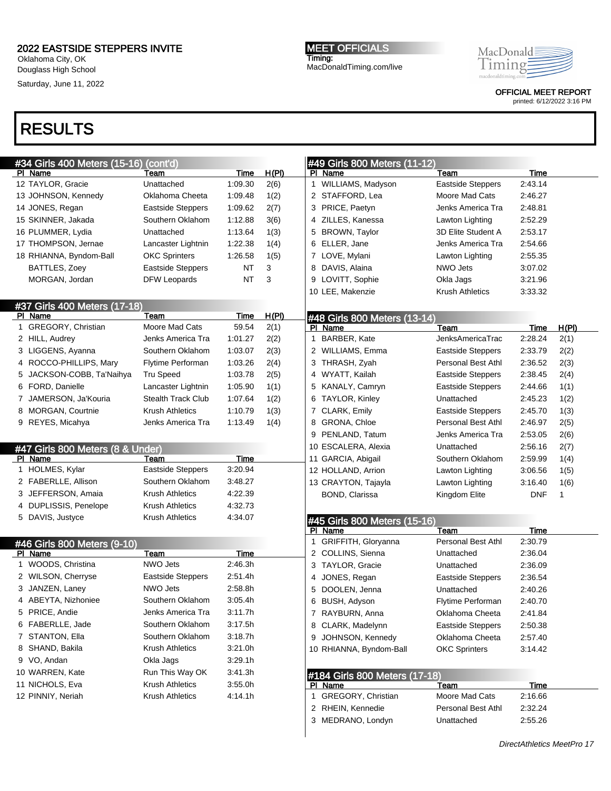Oklahoma City, OK Douglass High School

Saturday, June 11, 2022

MEET OFFICIALS Timing: MacDonaldTiming.com/live MacDonald macdonaldri OFFICIAL MEET REPORT

printed: 6/12/2022 3:16 PM

| #34 Girls 400 Meters (15-16) (cont'd) |                           |         |       |              | #49 Girls 800 Meters (11-12)  |                           |             |       |
|---------------------------------------|---------------------------|---------|-------|--------------|-------------------------------|---------------------------|-------------|-------|
| PI Name                               | Team                      | Time    | H(PI) |              | PI Name                       | Team                      | <b>Time</b> |       |
| 12 TAYLOR, Gracie                     | Unattached                | 1:09.30 | 2(6)  |              | 1 WILLIAMS, Madyson           | Eastside Steppers         | 2:43.14     |       |
| 13 JOHNSON, Kennedy                   | Oklahoma Cheeta           | 1:09.48 | 1(2)  |              | 2 STAFFORD, Lea               | Moore Mad Cats            | 2:46.27     |       |
| 14 JONES, Regan                       | <b>Eastside Steppers</b>  | 1:09.62 | 2(7)  |              | 3 PRICE, Paetyn               | Jenks America Tra         | 2:48.81     |       |
| 15 SKINNER, Jakada                    | Southern Oklahom          | 1:12.88 | 3(6)  |              | 4 ZILLES, Kanessa             | Lawton Lighting           | 2:52.29     |       |
| 16 PLUMMER, Lydia                     | Unattached                | 1:13.64 | 1(3)  |              | 5 BROWN, Taylor               | 3D Elite Student A        | 2:53.17     |       |
| 17 THOMPSON, Jernae                   | Lancaster Lightnin        | 1:22.38 | 1(4)  |              | 6 ELLER, Jane                 | Jenks America Tra         | 2:54.66     |       |
| 18 RHIANNA, Byndom-Ball               | <b>OKC Sprinters</b>      | 1:26.58 | 1(5)  |              | 7 LOVE, Mylani                | Lawton Lighting           | 2:55.35     |       |
| BATTLES, Zoey                         | Eastside Steppers         | NT      | 3     |              | 8 DAVIS, Alaina               | NWO Jets                  | 3:07.02     |       |
| MORGAN, Jordan                        | <b>DFW Leopards</b>       | NT      | 3     |              | 9 LOVITT, Sophie              | Okla Jags                 | 3:21.96     |       |
|                                       |                           |         |       |              | 10 LEE, Makenzie              | <b>Krush Athletics</b>    | 3:33.32     |       |
| #37 Girls 400 Meters (17-18)          |                           |         |       |              |                               |                           |             |       |
| PI Name                               | Team                      | Time    | H(PI) |              | #48 Girls 800 Meters (13-14)  |                           |             |       |
| 1 GREGORY, Christian                  | Moore Mad Cats            | 59.54   | 2(1)  |              | PI Name                       | Team                      | <b>Time</b> | H(PI) |
| 2 HILL, Audrey                        | Jenks America Tra         | 1:01.27 | 2(2)  | 1.           | BARBER, Kate                  | JenksAmericaTrac          | 2:28.24     | 2(1)  |
| 3 LIGGENS, Ayanna                     | Southern Oklahom          | 1:03.07 | 2(3)  |              | 2 WILLIAMS, Emma              | Eastside Steppers         | 2:33.79     | 2(2)  |
| 4 ROCCO-PHILLIPS, Mary                | Flytime Performan         | 1:03.26 | 2(4)  |              | 3 THRASH, Zyah                | Personal Best Athl        | 2:36.52     | 2(3)  |
| 5 JACKSON-COBB, Ta'Naihya             | <b>Tru Speed</b>          | 1:03.78 | 2(5)  |              | 4 WYATT, Kailah               | Eastside Steppers         | 2:38.45     | 2(4)  |
| 6 FORD, Danielle                      | Lancaster Lightnin        | 1:05.90 | 1(1)  |              | 5 KANALY, Camryn              | <b>Eastside Steppers</b>  | 2:44.66     | 1(1)  |
| 7 JAMERSON, Ja'Kouria                 | <b>Stealth Track Club</b> | 1:07.64 | 1(2)  |              | 6 TAYLOR, Kinley              | Unattached                | 2:45.23     | 1(2)  |
| 8 MORGAN, Courtnie                    | <b>Krush Athletics</b>    | 1:10.79 | 1(3)  |              | 7 CLARK, Emily                | <b>Eastside Steppers</b>  | 2:45.70     | 1(3)  |
| 9 REYES, Micahya                      | Jenks America Tra         | 1:13.49 | 1(4)  |              | 8 GRONA, Chloe                | <b>Personal Best Athl</b> | 2:46.97     | 2(5)  |
|                                       |                           |         |       |              | 9 PENLAND, Tatum              | Jenks America Tra         | 2:53.05     | 2(6)  |
| #47 Girls 800 Meters (8 & Under)      |                           |         |       |              | 10 ESCALERA, Alexia           | Unattached                | 2:56.16     | 2(7)  |
| PI Name                               | Team                      | Time    |       |              | 11 GARCIA, Abigail            | Southern Oklahom          | 2:59.99     | 1(4)  |
| 1 HOLMES, Kylar                       | <b>Eastside Steppers</b>  | 3:20.94 |       |              | 12 HOLLAND, Arrion            | Lawton Lighting           | 3:06.56     | 1(5)  |
| 2 FABERLLE, Allison                   | Southern Oklahom          | 3:48.27 |       |              | 13 CRAYTON, Tajayla           | Lawton Lighting           | 3:16.40     | 1(6)  |
| 3 JEFFERSON, Amaia                    | <b>Krush Athletics</b>    | 4:22.39 |       |              | <b>BOND, Clarissa</b>         | Kingdom Elite             | <b>DNF</b>  | 1     |
| 4 DUPLISSIS, Penelope                 | <b>Krush Athletics</b>    | 4:32.73 |       |              |                               |                           |             |       |
| 5 DAVIS, Justyce                      | <b>Krush Athletics</b>    | 4:34.07 |       |              | #45 Girls 800 Meters (15-16)  |                           |             |       |
|                                       |                           |         |       |              | PI Name                       | Team                      | Time        |       |
| #46 Girls 800 Meters (9-10)           |                           |         |       | $\mathbf{1}$ | GRIFFITH, Gloryanna           | <b>Personal Best Athl</b> | 2:30.79     |       |
| PI Name                               | Team                      | Time    |       |              | 2 COLLINS, Sienna             | Unattached                | 2:36.04     |       |
| 1 WOODS, Christina                    | NWO Jets                  | 2:46.3h |       |              | 3 TAYLOR, Gracie              | Unattached                | 2:36.09     |       |
| 2 WILSON, Cherryse                    | <b>Eastside Steppers</b>  | 2:51.4h |       | 4            | JONES, Regan                  | <b>Eastside Steppers</b>  | 2:36.54     |       |
| 3 JANZEN, Laney                       | NWO Jets                  | 2:58.8h |       | 5            | DOOLEN, Jenna                 | Unattached                | 2:40.26     |       |
| 4 ABEYTA, Nizhoniee                   | Southern Oklahom          | 3:05.4h |       | 6            | BUSH, Adyson                  | Flytime Performan         | 2:40.70     |       |
| 5 PRICE, Andie                        | Jenks America Tra         | 3:11.7h |       |              | 7 RAYBURN, Anna               | Oklahoma Cheeta           | 2:41.84     |       |
| 6 FABERLLE, Jade                      | Southern Oklahom          | 3:17.5h |       |              | 8 CLARK, Madelynn             | <b>Eastside Steppers</b>  | 2:50.38     |       |
| 7 STANTON, Ella                       | Southern Oklahom          | 3:18.7h |       |              | 9 JOHNSON, Kennedy            | Oklahoma Cheeta           | 2:57.40     |       |
| 8 SHAND, Bakila                       | Krush Athletics           | 3:21.0h |       |              | 10 RHIANNA, Byndom-Ball       | <b>OKC Sprinters</b>      | 3:14.42     |       |
| 9 VO, Andan                           | Okla Jags                 | 3:29.1h |       |              |                               |                           |             |       |
| 10 WARREN, Kate                       | Run This Way OK           | 3:41.3h |       |              | #184 Girls 800 Meters (17-18) |                           |             |       |
| 11 NICHOLS, Eva                       | Krush Athletics           | 3:55.0h |       |              | PI Name                       | Team                      | Time        |       |
| 12 PINNIY, Neriah                     | <b>Krush Athletics</b>    | 4:14.1h |       |              | 1 GREGORY, Christian          | Moore Mad Cats            | 2:16.66     |       |
|                                       |                           |         |       |              | 2 RHEIN, Kennedie             | Personal Best Athl        | 2:32.24     |       |
|                                       |                           |         |       |              | 3 MEDRANO, Londyn             | Unattached                | 2:55.26     |       |
|                                       |                           |         |       |              |                               |                           |             |       |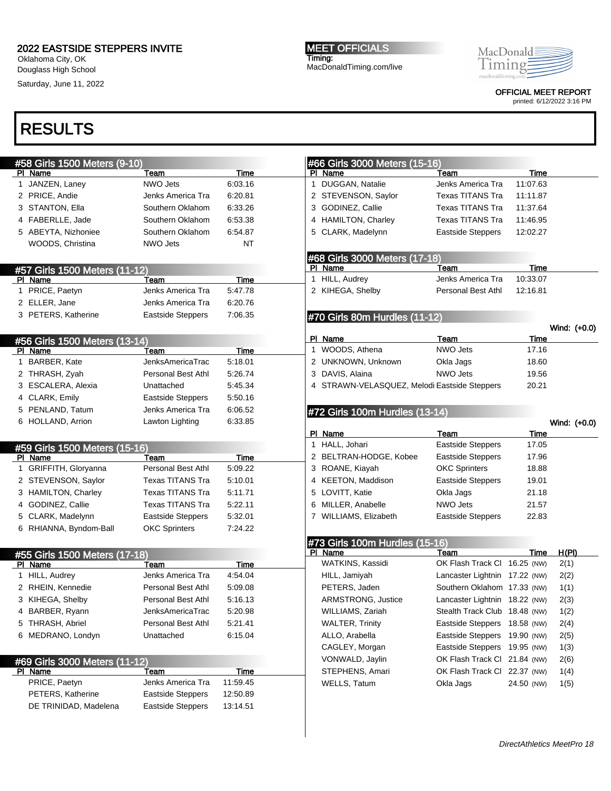Oklahoma City, OK Douglass High School

Saturday, June 11, 2022

MEET OFFICIALS Timing: MacDonaldTiming.com/live MacDonald macdonaldti

> OFFICIAL MEET REPORT printed: 6/12/2022 3:16 PM

| #58 Girls 1500 Meters (9-10)  |                           |           | #66 Girls 3000 Meters (15-16)                |                               |             |              |
|-------------------------------|---------------------------|-----------|----------------------------------------------|-------------------------------|-------------|--------------|
| PI Name                       | Team                      | Time      | PI Name                                      | Team                          | <b>Time</b> |              |
| 1 JANZEN, Laney               | <b>NWO Jets</b>           | 6:03.16   | 1 DUGGAN, Natalie                            | Jenks America Tra             | 11:07.63    |              |
| 2 PRICE, Andie                | Jenks America Tra         | 6:20.81   | 2 STEVENSON, Saylor                          | <b>Texas TITANS Tra</b>       | 11:11.87    |              |
| 3 STANTON, Ella               | Southern Oklahom          | 6:33.26   | 3 GODINEZ, Callie                            | <b>Texas TITANS Tra</b>       | 11:37.64    |              |
| 4 FABERLLE, Jade              | Southern Oklahom          | 6:53.38   | 4 HAMILTON, Charley                          | <b>Texas TITANS Tra</b>       | 11:46.95    |              |
| 5 ABEYTA, Nizhoniee           | Southern Oklahom          | 6:54.87   | 5 CLARK, Madelynn                            | <b>Eastside Steppers</b>      | 12:02.27    |              |
| WOODS, Christina              | NWO Jets                  | <b>NT</b> |                                              |                               |             |              |
|                               |                           |           | #68 Girls 3000 Meters (17-18)                |                               |             |              |
| #57 Girls 1500 Meters (11-12) |                           |           | PI Name                                      | Team                          | Time        |              |
| PI Name                       | Team                      | Time      | 1 HILL, Audrey                               | Jenks America Tra             | 10:33.07    |              |
| 1 PRICE, Paetyn               | Jenks America Tra         | 5:47.78   | 2 KIHEGA, Shelby                             | <b>Personal Best Athl</b>     | 12:16.81    |              |
| 2 ELLER, Jane                 | Jenks America Tra         | 6:20.76   |                                              |                               |             |              |
| 3 PETERS, Katherine           | Eastside Steppers         | 7:06.35   | #70 Girls 80m Hurdles (11-12)                |                               |             |              |
|                               |                           |           |                                              |                               |             | Wind: (+0.0) |
| #56 Girls 1500 Meters (13-14) |                           |           | PI Name                                      | Team                          | Time        |              |
| PI Name                       | Team                      | Time      | 1 WOODS, Athena                              | <b>NWO Jets</b>               | 17.16       |              |
| 1 BARBER, Kate                | <b>JenksAmericaTrac</b>   | 5:18.01   | 2 UNKNOWN, Unknown                           | Okla Jags                     | 18.60       |              |
| 2 THRASH, Zyah                | Personal Best Athl        | 5.26.74   | 3 DAVIS, Alaina                              | <b>NWO Jets</b>               | 19.56       |              |
| 3 ESCALERA, Alexia            | Unattached                | 5:45.34   | 4 STRAWN-VELASQUEZ, Melodi Eastside Steppers |                               | 20.21       |              |
| 4 CLARK, Emily                | <b>Eastside Steppers</b>  | 5:50.16   |                                              |                               |             |              |
| 5 PENLAND, Tatum              | Jenks America Tra         | 6:06.52   | #72 Girls 100m Hurdles (13-14)               |                               |             |              |
| 6 HOLLAND, Arrion             | Lawton Lighting           | 6:33.85   |                                              |                               |             | Wind: (+0.0) |
|                               |                           |           | PI Name                                      | Team                          | Time        |              |
| #59 Girls 1500 Meters (15-16) |                           |           | 1 HALL, Johari                               | Eastside Steppers             | 17.05       |              |
| PI Name                       | Team                      | Time      | 2 BELTRAN-HODGE, Kobee                       | Eastside Steppers             | 17.96       |              |
| 1 GRIFFITH, Gloryanna         | <b>Personal Best Athl</b> | 5:09.22   | 3 ROANE, Kiayah                              | <b>OKC Sprinters</b>          | 18.88       |              |
| 2 STEVENSON, Saylor           | <b>Texas TITANS Tra</b>   | 5:10.01   | 4 KEETON, Maddison                           | <b>Eastside Steppers</b>      | 19.01       |              |
| 3 HAMILTON, Charley           | <b>Texas TITANS Tra</b>   | 5:11.71   | 5 LOVITT, Katie                              | Okla Jags                     | 21.18       |              |
| 4 GODINEZ, Callie             | <b>Texas TITANS Tra</b>   | 5:22.11   | 6 MILLER, Anabelle                           | <b>NWO Jets</b>               | 21.57       |              |
| 5 CLARK, Madelynn             | Eastside Steppers         | 5:32.01   | 7 WILLIAMS, Elizabeth                        | <b>Eastside Steppers</b>      | 22.83       |              |
| 6 RHIANNA, Byndom-Ball        | <b>OKC Sprinters</b>      | 7:24.22   |                                              |                               |             |              |
|                               |                           |           | #73 Girls 100m Hurdles (15-16)               |                               |             |              |
| #55 Girls 1500 Meters (17-18) |                           |           | PI Name                                      | Team                          | Time        | H(PI)        |
| PI Name                       | Team                      | Time      | WATKINS, Kassidi                             | OK Flash Track Cl 16.25 (NW)  |             | 2(1)         |
| 1 HILL, Audrey                | Jenks America Tra         | 4:54.04   | HILL, Jamiyah                                | Lancaster Lightnin 17.22 (NW) |             | 2(2)         |
| 2 RHEIN, Kennedie             | <b>Personal Best Athl</b> | 5:09.08   | PETERS, Jaden                                | Southern Oklahom 17.33 (NW)   |             | 1(1)         |
| 3 KIHEGA, Shelby              | <b>Personal Best Athl</b> | 5:16.13   | <b>ARMSTRONG, Justice</b>                    | Lancaster Lightnin 18.22 (NW) |             | 2(3)         |
| 4 BARBER, Ryann               | JenksAmericaTrac          | 5:20.98   | WILLIAMS, Zariah                             | Stealth Track Club 18.48 (NW) |             | 1(2)         |
| 5 THRASH, Abriel              | Personal Best Athl        | 5:21.41   | <b>WALTER, Trinity</b>                       | Eastside Steppers 18.58 (NW)  |             | 2(4)         |
| 6 MEDRANO, Londyn             | Unattached                | 6:15.04   | ALLO, Arabella                               | Eastside Steppers 19.90 (NW)  |             | 2(5)         |
|                               |                           |           | CAGLEY, Morgan                               | Eastside Steppers 19.95 (NW)  |             | 1(3)         |
| #69 Girls 3000 Meters (11-12) |                           |           | VONWALD, Jaylin                              | OK Flash Track Cl 21.84 (NW)  |             | 2(6)         |
| PI Name                       | Team                      | Time      | STEPHENS, Amari                              | OK Flash Track Cl 22.37 (NW)  |             | 1(4)         |
| PRICE, Paetyn                 | Jenks America Tra         | 11:59.45  | WELLS, Tatum                                 | Okla Jags                     | 24.50 (NW)  | 1(5)         |
| PETERS, Katherine             | <b>Eastside Steppers</b>  | 12:50.89  |                                              |                               |             |              |
| DE TRINIDAD, Madelena         | <b>Eastside Steppers</b>  | 13:14.51  |                                              |                               |             |              |
|                               |                           |           |                                              |                               |             |              |
|                               |                           |           |                                              |                               |             |              |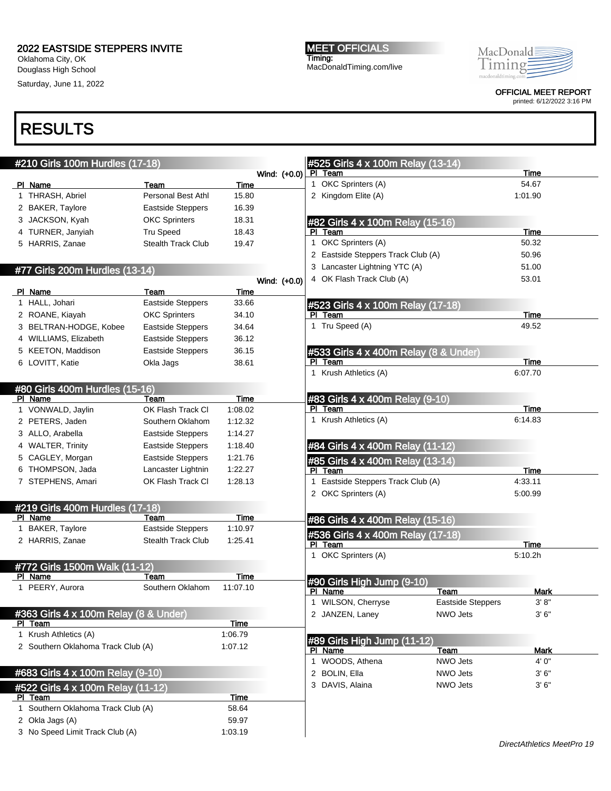Oklahoma City, OK Douglass High School Saturday, June 11, 2022 MEET OFFICIALS Timing: MacDonaldTiming.com/live MacDonald macdonaldri

#### OFFICIAL MEET REPORT printed: 6/12/2022 3:16 PM

| #210 Girls 100m Hurdles (17-18)               |                           |          |              |              | #525 Girls 4 x 100m Relay (13-14)            |                          |               |
|-----------------------------------------------|---------------------------|----------|--------------|--------------|----------------------------------------------|--------------------------|---------------|
|                                               |                           |          | Wind: (+0.0) |              | PI Team                                      |                          | Time          |
| PI Name                                       | Team                      | Time     |              | $\mathbf{1}$ | OKC Sprinters (A)                            |                          | 54.67         |
| 1 THRASH, Abriel                              | Personal Best Athl        | 15.80    |              |              | 2 Kingdom Elite (A)                          |                          | 1:01.90       |
| 2 BAKER, Taylore                              | Eastside Steppers         | 16.39    |              |              |                                              |                          |               |
| 3 JACKSON, Kyah                               | <b>OKC Sprinters</b>      | 18.31    |              |              | #82 Girls 4 x 100m Relay (15-16)             |                          |               |
| 4 TURNER, Janyiah                             | <b>Tru Speed</b>          | 18.43    |              |              | PI Team                                      |                          | Time          |
| 5 HARRIS, Zanae                               | <b>Stealth Track Club</b> | 19.47    |              | $\mathbf{1}$ | OKC Sprinters (A)                            |                          | 50.32         |
|                                               |                           |          |              |              | 2 Eastside Steppers Track Club (A)           |                          | 50.96         |
| #77 Girls 200m Hurdles (13-14)                |                           |          |              |              | 3 Lancaster Lightning YTC (A)                |                          | 51.00         |
|                                               |                           |          | Wind: (+0.0) |              | 4 OK Flash Track Club (A)                    |                          | 53.01         |
| PI Name                                       | Team                      | Time     |              |              |                                              |                          |               |
| 1 HALL, Johari                                | <b>Eastside Steppers</b>  | 33.66    |              |              | #523 Girls 4 x 100m Relay (17-18)            |                          |               |
| 2 ROANE, Kiayah                               | <b>OKC Sprinters</b>      | 34.10    |              |              | PI Team                                      |                          | Time          |
| 3 BELTRAN-HODGE, Kobee                        | <b>Eastside Steppers</b>  | 34.64    |              |              | 1 Tru Speed (A)                              |                          | 49.52         |
| 4 WILLIAMS, Elizabeth                         | <b>Eastside Steppers</b>  | 36.12    |              |              |                                              |                          |               |
| 5 KEETON, Maddison                            | <b>Eastside Steppers</b>  | 36.15    |              |              | #533 Girls 4 x 400m Relay (8 & Under)        |                          |               |
| 6 LOVITT, Katie                               | Okla Jags                 | 38.61    |              |              | PI Team                                      |                          | Time          |
|                                               |                           |          |              |              | 1 Krush Athletics (A)                        |                          | 6:07.70       |
| #80 Girls 400m Hurdles (15-16)                |                           |          |              |              |                                              |                          |               |
| PI Name                                       | Team                      | Time     |              |              | #83 Girls 4 x 400m Relay (9-10)              |                          |               |
| 1 VONWALD, Jaylin                             | OK Flash Track CI         | 1:08.02  |              |              | PI Team                                      |                          | Time          |
| 2 PETERS, Jaden                               | Southern Oklahom          | 1:12.32  |              |              | 1 Krush Athletics (A)                        |                          | 6:14.83       |
| 3 ALLO, Arabella                              | Eastside Steppers         | 1:14.27  |              |              |                                              |                          |               |
| 4 WALTER, Trinity                             | Eastside Steppers         | 1:18.40  |              |              | #84 Girls 4 x 400m Relay (11-12)             |                          |               |
| 5 CAGLEY, Morgan                              | <b>Eastside Steppers</b>  | 1:21.76  |              |              | #85 Girls 4 x 400m Relay (13-14)             |                          |               |
| 6 THOMPSON, Jada                              | Lancaster Lightnin        | 1:22.27  |              |              | PI Team                                      |                          | Time          |
| 7 STEPHENS, Amari                             | OK Flash Track Cl         | 1:28.13  |              | 1            | Eastside Steppers Track Club (A)             |                          | 4:33.11       |
|                                               |                           |          |              |              | 2 OKC Sprinters (A)                          |                          | 5:00.99       |
| #219 Girls 400m Hurdles (17-18)               |                           |          |              |              |                                              |                          |               |
| PI Name                                       | Team                      | Time     |              |              | #86 Girls 4 x 400m Relay (15-16)             |                          |               |
| 1 BAKER, Taylore                              | Eastside Steppers         | 1:10.97  |              |              |                                              |                          |               |
| 2 HARRIS, Zanae                               | <b>Stealth Track Club</b> | 1.25.41  |              |              | #536 Girls 4 x 400m Relay (17-18)<br>PI Team |                          | Time          |
|                                               |                           |          |              |              | 1 OKC Sprinters (A)                          |                          | 5:10.2h       |
| #772 Girls 1500m Walk (11-12)                 |                           |          |              |              |                                              |                          |               |
| PI Name                                       | Team                      | Time     |              |              |                                              |                          |               |
| 1 PEERY, Aurora                               | Southern Oklahom          | 11:07.10 |              |              | #90 Girls High Jump (9-10)<br>PI Name        | Team                     | Mark          |
|                                               |                           |          |              |              | 1 WILSON, Cherryse                           | <b>Eastside Steppers</b> | 3' 8''        |
| #363 Girls 4 x 100m Relay (8 & Under)         |                           |          |              |              | 2 JANZEN, Laney                              | NWO Jets                 | 3'6''         |
| PI Team                                       |                           | Time     |              |              |                                              |                          |               |
| 1 Krush Athletics (A)                         |                           | 1:06.79  |              |              |                                              |                          |               |
| 2 Southern Oklahoma Track Club (A)            |                           | 1:07.12  |              |              | #89 Girls High Jump (11-12)                  |                          |               |
|                                               |                           |          |              |              | PI Name<br>1 WOODS, Athena                   | Team<br>NWO Jets         | Mark<br>4' 0" |
| #683 Girls 4 x 100m Relay (9-10)              |                           |          |              |              | 2 BOLIN, Ella                                | NWO Jets                 | 3'6''         |
|                                               |                           |          |              |              |                                              | NWO Jets                 |               |
| #522 Girls 4 x 100m Relay (11-12)             |                           |          |              |              | 3 DAVIS, Alaina                              |                          | 3'6''         |
| PI Team<br>1 Southern Oklahoma Track Club (A) |                           | Time     |              |              |                                              |                          |               |
|                                               |                           | 58.64    |              |              |                                              |                          |               |
| 2 Okla Jags (A)                               |                           | 59.97    |              |              |                                              |                          |               |
| 3 No Speed Limit Track Club (A)               |                           | 1:03.19  |              |              |                                              |                          |               |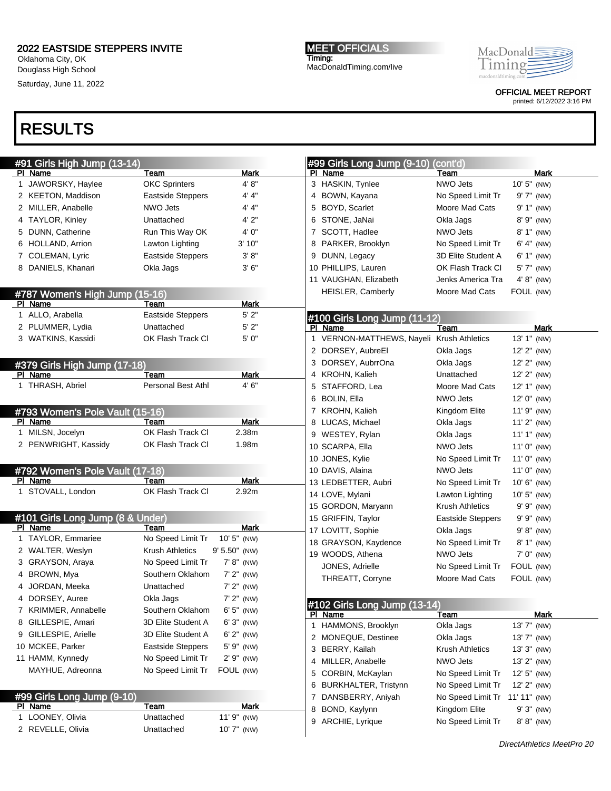Oklahoma City, OK Douglass High School Saturday, June 11, 2022 MEET OFFICIALS Timing: MacDonaldTiming.com/live MacDonald macdonaldtir OFFICIAL MEET REPORT

printed: 6/12/2022 3:16 PM

| #91 Girls High Jump (13-14)      |                           |               | #99 Girls Long Jump (9-10)       | (cont'd)                       |                |                            |
|----------------------------------|---------------------------|---------------|----------------------------------|--------------------------------|----------------|----------------------------|
| PI Name                          | Team                      | <b>Mark</b>   | PI Name                          | Team                           |                | Mark                       |
| 1 JAWORSKY, Haylee               | <b>OKC Sprinters</b>      | 4'8"          | 3 HASKIN, Tynlee                 | <b>NWO Jets</b>                | 10' 5" (NW)    |                            |
| 2 KEETON, Maddison               | <b>Eastside Steppers</b>  | 4' 4"         | 4 BOWN, Kayana                   | No Speed Limit Tr              | 9' 7" (NW)     |                            |
| 2 MILLER, Anabelle               | NWO Jets                  | 4' 4"         | 5 BOYD, Scarlet                  | Moore Mad Cats                 | 9' 1" (NW)     |                            |
| 4 TAYLOR, Kinley                 | Unattached                | 4' 2"         | 6 STONE, JaNai                   | Okla Jags                      | 8' 9" (NW)     |                            |
| 5 DUNN, Catherine                | Run This Way OK           | 4' 0"         | 7 SCOTT, Hadlee                  | NWO Jets                       | 8' 1" (NW)     |                            |
| 6 HOLLAND, Arrion                | Lawton Lighting           | 3' 10"        | PARKER, Brooklyn<br>8            | No Speed Limit Tr              | $6' 4''$ (NW)  |                            |
| 7 COLEMAN, Lyric                 | <b>Eastside Steppers</b>  | 3' 8''        | DUNN, Legacy<br>9                | 3D Elite Student A             | $6' 1''$ (NW)  |                            |
| 8 DANIELS, Khanari               | Okla Jags                 | 3'6''         | 10 PHILLIPS, Lauren              | OK Flash Track Cl              | 5' 7" (NW)     |                            |
|                                  |                           |               | 11 VAUGHAN, Elizabeth            | Jenks America Tra              | $4' 8''$ (NW)  |                            |
| #787 Women's High Jump (15-16)   |                           |               | <b>HEISLER, Camberly</b>         | Moore Mad Cats                 | FOUL (NW)      |                            |
| PI Name                          | Team                      | Mark          |                                  |                                |                |                            |
| 1 ALLO, Arabella                 | <b>Eastside Steppers</b>  | 5'2"          | #100 Girls Long Jump (11-12)     |                                |                |                            |
| 2 PLUMMER, Lydia                 | Unattached                | 5'2"          | PI Name                          | Team                           |                | Mark                       |
| 3 WATKINS, Kassidi               | OK Flash Track CI         | 5' 0"         | 1 VERNON-MATTHEWS, Nayeli        | <b>Krush Athletics</b>         | 13' 1" (NW)    |                            |
|                                  |                           |               | 2 DORSEY, AubreEl                | Okla Jags                      | 12' 2" (NW)    |                            |
| #379 Girls High Jump (17-18)     |                           |               | DORSEY, AubrrOna<br>3            | Okla Jags                      | 12' 2" (NW)    |                            |
| PI Name                          | Team                      | Mark          | 4 KROHN, Kalieh                  | Unattached                     | 12' 2" (NW)    |                            |
| 1 THRASH, Abriel                 | <b>Personal Best Athl</b> | 4' 6"         | STAFFORD, Lea<br>5               | Moore Mad Cats                 | $12' 1''$ (NW) |                            |
|                                  |                           |               | <b>BOLIN, Ella</b><br>6          | NWO Jets                       | 12' 0" (NW)    |                            |
| #793 Women's Pole Vault (15-16)  |                           |               | 7 KROHN, Kalieh                  | Kingdom Elite                  | $11'9''$ (NW)  |                            |
| PI Name                          | Team                      | <b>Mark</b>   | 8 LUCAS, Michael                 | Okla Jags                      | $11'2''$ (NW)  |                            |
| 1 MILSN, Jocelyn                 | OK Flash Track Cl         | 2.38m         | 9 WESTEY, Rylan                  | Okla Jags                      | $11'1''$ (NW)  |                            |
| 2 PENWRIGHT, Kassidy             | OK Flash Track CI         | 1.98m         | 10 SCARPA, Ella                  | NWO Jets                       | $11'0''$ (NW)  |                            |
|                                  |                           |               | 10 JONES, Kylie                  | No Speed Limit Tr              | $11'0''$ (NW)  |                            |
| #792 Women's Pole Vault (17-18)  |                           |               | 10 DAVIS, Alaina                 | NWO Jets                       | $11'0''$ (NW)  |                            |
| PI Name                          | Team                      | <b>Mark</b>   | 13 LEDBETTER, Aubri              | No Speed Limit Tr              | $10' 6''$ (NW) |                            |
| 1 STOVALL, London                | OK Flash Track CI         | 2.92m         | 14 LOVE, Mylani                  | Lawton Lighting                | $10' 5''$ (NW) |                            |
|                                  |                           |               | 15 GORDON, Maryann               | Krush Athletics                | $9' 9''$ (NW)  |                            |
| #101 Girls Long Jump (8 & Under) |                           |               | 15 GRIFFIN, Taylor               | <b>Eastside Steppers</b>       | $9' 9''$ (NW)  |                            |
| PI Name                          | Team                      | <b>Mark</b>   | 17 LOVITT, Sophie                | Okla Jags                      | $9' 8''$ (NW)  |                            |
| 1 TAYLOR, Emmariee               | No Speed Limit Tr         | 10' 5" (NW)   | 18 GRAYSON, Kaydence             | No Speed Limit Tr              | $8'1''$ (NW)   |                            |
| 2 WALTER, Weslyn                 | <b>Krush Athletics</b>    | 9' 5.50" (NW) | 19 WOODS, Athena                 | NWO Jets                       | $7' 0''$ (NW)  |                            |
| 3 GRAYSON, Araya                 | No Speed Limit Tr         | $7' 8''$ (NW) | JONES, Adrielle                  | No Speed Limit Tr              | FOUL (NW)      |                            |
| 4 BROWN, Mya                     | Southern Oklahom          | 7' 2" (NW)    | THREATT, Corryne                 | Moore Mad Cats                 | FOUL (NW)      |                            |
| JORDAN, Meeka                    | Unattached                | $7' 2''$ (NW) |                                  |                                |                |                            |
| 4 DORSEY, Auree                  | Okla Jags                 | $7' 2''$ (NW) | #102 Girls Long Jump (13-14)     |                                |                |                            |
| 7 KRIMMER, Annabelle             | Southern Oklahom          | $6'5''$ (NW)  | PI Name                          | Team                           |                | Mark                       |
| 8 GILLESPIE, Amari               | 3D Elite Student A        | $6'3''$ (NW)  | 1 HAMMONS, Brooklyn              | Okla Jags                      | 13' 7" (NW)    |                            |
| 9 GILLESPIE, Arielle             | 3D Elite Student A        | $6'$ 2" (NW)  | 2 MONEQUE, Destinee              | Okla Jags                      | 13' 7" (NW)    |                            |
| 10 MCKEE, Parker                 | <b>Eastside Steppers</b>  | 5' 9" (NW)    | BERRY, Kailah<br>3               | Krush Athletics                | 13' 3" (NW)    |                            |
| 11 HAMM, Kynnedy                 | No Speed Limit Tr         | $2' 9''$ (NW) | MILLER, Anabelle<br>4            | NWO Jets                       | 13' 2" (NW)    |                            |
| MAYHUE, Adreonna                 | No Speed Limit Tr         | FOUL (NW)     | CORBIN, McKaylan<br>5            | No Speed Limit Tr              | $12' 5''$ (NW) |                            |
|                                  |                           |               | <b>BURKHALTER, Tristynn</b><br>6 | No Speed Limit Tr              | 12' 2" (NW)    |                            |
| #99 Girls Long Jump (9-10)       |                           |               | 7 DANSBERRY, Aniyah              | No Speed Limit Tr 11' 11" (NW) |                |                            |
| <b>PI Name</b>                   | <b>Team</b>               | <b>Mark</b>   | BOND, Kaylynn<br>8               | Kingdom Elite                  | $9'3''$ (NW)   |                            |
| 1 LOONEY, Olivia                 | Unattached                | 11' 9" (NW)   | 9<br>ARCHIE, Lyrique             | No Speed Limit Tr              | $8' 8''$ (NW)  |                            |
| 2 REVELLE, Olivia                | Unattached                | 10' 7" (NW)   |                                  |                                |                |                            |
|                                  |                           |               |                                  |                                |                | DirectAthletics MeetPro 20 |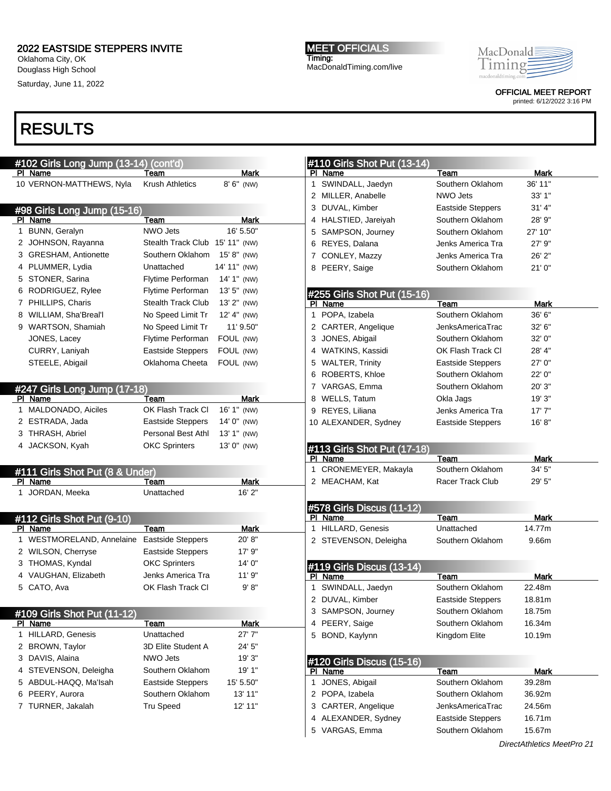Oklahoma City, OK Douglass High School

Saturday, June 11, 2022

MEET OFFICIALS Timing: MacDonaldTiming.com/live MacDonald macdonaldtir

OFFICIAL MEET REPORT printed: 6/12/2022 3:16 PM

|    | #102 Girls Long Jump (13-14) (cont'd)       |                                 |                | #110 Girls Shot Put (13-14)          |                          |             |
|----|---------------------------------------------|---------------------------------|----------------|--------------------------------------|--------------------------|-------------|
|    | PI Name                                     | Team                            | <b>Mark</b>    | PI Name                              | Team                     | Mark        |
|    | 10 VERNON-MATTHEWS, Nyla                    | <b>Krush Athletics</b>          | 8' 6" (NW)     | 1 SWINDALL, Jaedyn                   | Southern Oklahom         | 36' 11"     |
|    |                                             |                                 |                | 2 MILLER, Anabelle                   | NWO Jets                 | 33'1"       |
|    | #98 Girls Long Jump (15-16)                 |                                 |                | 3 DUVAL, Kimber                      | <b>Eastside Steppers</b> | 31' 4"      |
|    | PI Name                                     | Team                            | Mark           | 4 HALSTIED, Jareiyah                 | Southern Oklahom         | 28' 9"      |
|    | 1 BUNN, Geralyn                             | NWO Jets                        | 16' 5.50"      | 5 SAMPSON, Journey                   | Southern Oklahom         | 27' 10"     |
|    | 2 JOHNSON, Rayanna                          | Stealth Track Club 15' 11" (NW) |                | 6 REYES, Dalana                      | Jenks America Tra        | 27' 9"      |
|    | 3 GRESHAM, Antionette                       | Southern Oklahom                | 15'8" (NW)     | 7 CONLEY, Mazzy                      | Jenks America Tra        | 26' 2"      |
|    | 4 PLUMMER, Lydia                            | Unattached                      | 14' 11" (NW)   | 8 PEERY, Saige                       | Southern Oklahom         | 21'0''      |
|    | 5 STONER, Sarina                            | Flytime Performan               | 14' 1" (NW)    |                                      |                          |             |
|    | 6 RODRIGUEZ, Rylee                          | Flytime Performan               | $13'5''$ (NW)  | #255 Girls Shot Put (15-16)          |                          |             |
|    | 7 PHILLIPS, Charis                          | <b>Stealth Track Club</b>       | 13' 2" (NW)    | PI Name                              | Team                     | Mark        |
|    | 8 WILLIAM, Sha'Breal'l                      | No Speed Limit Tr               | $12' 4''$ (NW) | 1 POPA, Izabela                      | Southern Oklahom         | 36' 6"      |
|    | 9 WARTSON, Shamiah                          | No Speed Limit Tr               | 11' 9.50"      | 2 CARTER, Angelique                  | JenksAmericaTrac         | 32' 6"      |
|    | JONES, Lacey                                | Flytime Performan               | FOUL (NW)      | 3 JONES, Abigail                     | Southern Oklahom         | 32' 0"      |
|    | CURRY, Laniyah                              | <b>Eastside Steppers</b>        | FOUL (NW)      | 4 WATKINS, Kassidi                   | OK Flash Track Cl        | 28' 4"      |
|    | STEELE, Abigail                             | Oklahoma Cheeta                 | FOUL (NW)      | 5 WALTER, Trinity                    | <b>Eastside Steppers</b> | 27' 0"      |
|    |                                             |                                 |                | 6 ROBERTS, Khloe                     | Southern Oklahom         | 22' 0"      |
|    | #247 Girls Long Jump (17-18)                |                                 |                | 7 VARGAS, Emma                       | Southern Oklahom         | 20'3"       |
|    | PI Name                                     | Team                            | Mark           | 8 WELLS, Tatum                       | Okla Jags                | 19'3"       |
|    | 1 MALDONADO, Aiciles                        | OK Flash Track Cl               | $16' 1''$ (NW) | 9 REYES, Liliana                     | Jenks America Tra        | 17'7''      |
|    | 2 ESTRADA, Jada                             | <b>Eastside Steppers</b>        | $14'0''$ (NW)  | 10 ALEXANDER, Sydney                 | <b>Eastside Steppers</b> | 16' 8''     |
|    | 3 THRASH, Abriel                            | <b>Personal Best Athl</b>       | $13' 1''$ (NW) |                                      |                          |             |
|    | 4 JACKSON, Kyah                             | <b>OKC Sprinters</b>            | $13'0''$ (NW)  | #113 Girls Shot Put (17-18)          |                          |             |
|    |                                             |                                 |                | PI Name                              | Team                     | Mark        |
|    |                                             |                                 |                |                                      |                          |             |
|    |                                             |                                 |                | 1 CRONEMEYER, Makayla                | Southern Oklahom         | 34' 5"      |
|    | #111 Girls Shot Put (8 & Under)<br>PI Name  | Team                            | <b>Mark</b>    | 2 MEACHAM, Kat                       | Racer Track Club         | 29' 5"      |
|    | 1 JORDAN, Meeka                             | Unattached                      | 16'2"          |                                      |                          |             |
|    |                                             |                                 |                |                                      |                          |             |
|    |                                             |                                 |                | #578 Girls Discus (11-12)<br>PI Name | Team                     | Mark        |
|    | #112 Girls Shot Put (9-10)<br>PI Name       | Team                            | <b>Mark</b>    | 1 HILLARD, Genesis                   | Unattached               | 14.77m      |
|    | 1 WESTMORELAND, Annelaine Eastside Steppers |                                 | 20'8"          | 2 STEVENSON, Deleigha                | Southern Oklahom         | 9.66m       |
|    | 2 WILSON, Cherryse                          | <b>Eastside Steppers</b>        | 17' 9"         |                                      |                          |             |
|    | 3 THOMAS, Kyndal                            | <b>OKC Sprinters</b>            | 14' 0"         |                                      |                          |             |
|    | 4 VAUGHAN, Elizabeth                        | Jenks America Tra               | 11'9''         | #119 Girls Discus (13-14)<br>PI Name | Team                     | Mark        |
|    | 5 CATO, Ava                                 | OK Flash Track CI               | 9' 8''         | SWINDALL, Jaedyn                     | Southern Oklahom         | 22.48m      |
|    |                                             |                                 |                | 2 DUVAL, Kimber                      | <b>Eastside Steppers</b> | 18.81m      |
|    |                                             |                                 |                | 3 SAMPSON, Journey                   | Southern Oklahom         | 18.75m      |
|    | #109 Girls Shot Put (11-12)<br>PI Name      | Team                            | <b>Mark</b>    | 4 PEERY, Saige                       | Southern Oklahom         | 16.34m      |
| 1. | HILLARD, Genesis                            | Unattached                      | 27'7"          | 5 BOND, Kaylynn                      | Kingdom Elite            | 10.19m      |
|    | 2 BROWN, Taylor                             | 3D Elite Student A              | 24' 5"         |                                      |                          |             |
|    | 3 DAVIS, Alaina                             | NWO Jets                        | 19'3"          | #120 Girls Discus (15-16)            |                          |             |
| 4  | STEVENSON, Deleigha                         | Southern Oklahom                | 19' 1"         | PI Name                              | Team                     | <b>Mark</b> |
|    | 5 ABDUL-HAQQ, Ma'lsah                       | Eastside Steppers               | 15' 5.50"      | 1 JONES, Abigail                     | Southern Oklahom         | 39.28m      |
|    | 6 PEERY, Aurora                             | Southern Oklahom                | 13' 11"        | 2 POPA, Izabela                      | Southern Oklahom         | 36.92m      |
|    | 7 TURNER, Jakalah                           | Tru Speed                       | 12' 11"        | 3 CARTER, Angelique                  | JenksAmericaTrac         | 24.56m      |
|    |                                             |                                 |                | 4 ALEXANDER, Sydney                  | <b>Eastside Steppers</b> | 16.71m      |
|    |                                             |                                 |                | 5 VARGAS, Emma                       | Southern Oklahom         | 15.67m      |